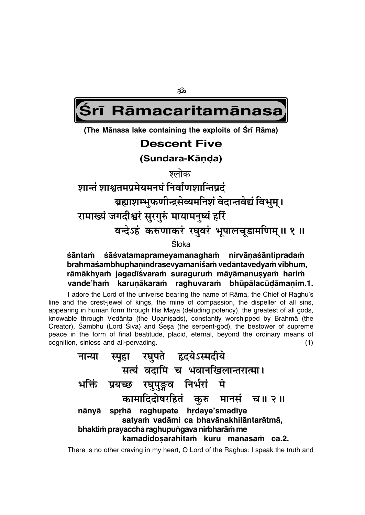ૐ

Rāmacaritamānasa

(The Mānasa lake containing the exploits of Srī Rāma)

### **Descent Five**

(Sundara-Kānda)

ञ्लोक

शान्तं शाश्वतमप्रमेयमनघं निर्वाणशान्तिप्रदं

ब्रह्माशम्भुफणीन्द्रसेव्यमनिशं वेदान्तवेद्यं विभुम् ।

रामाख्यं जगदीश्वरं सुरगुरुं मायामनुष्यं हरिं

वन्देऽहं करुणाकरं रघुवरं भूपालचूडामणिम् ॥ १ ॥

Śloka.

#### śāntaṁ śāśvatamaprameyamanagham nirvānaśāntipradam brahmāśambhuphaṇīndrasevyamaniśam vedāntavedyam vibhum, rāmākhyam jagadīśvaram suragurum māyāmanusyam harim vande'ham karunākaram raghuvaram bhūpālacūdāmanim.1.

I adore the Lord of the universe bearing the name of Rama, the Chief of Raghu's line and the crest-jewel of kings, the mine of compassion, the dispeller of all sins, appearing in human form through His Māyā (deluding potency), the greatest of all gods, knowable through Vedānta (the Upanisads), constantly worshipped by Brahmā (the Creator), Sambhu (Lord Siva) and Sesa (the serpent-god), the bestower of supreme peace in the form of final beatitude, placid, eternal, beyond the ordinary means of cognition, sinless and all-pervading.  $(1)$ 

|                                             | स्पृहा रघुपते हृदयेऽस्मदीये                                                    |  |  |  |  |  |  |
|---------------------------------------------|--------------------------------------------------------------------------------|--|--|--|--|--|--|
|                                             | सत्यं वदामि च भवानखिलान्तरात्मा।                                               |  |  |  |  |  |  |
|                                             | भक्तिं प्रयच्छ रघुपुङ्गव निर्भरां मे                                           |  |  |  |  |  |  |
|                                             | कामादिदोषरहितं कुरु मानसं च॥ २॥                                                |  |  |  |  |  |  |
|                                             | nānyā sprhā raghupate hrdaye'smadīye<br>satyam vadāmi ca bhavānakhilāntarātmā, |  |  |  |  |  |  |
| bhaktim prayaccha raghupungava nirbharām me |                                                                                |  |  |  |  |  |  |
|                                             | kāmādidosarahitam kuru mānasam<br>ca.2.                                        |  |  |  |  |  |  |

There is no other craving in my heart, O Lord of the Raghus: I speak the truth and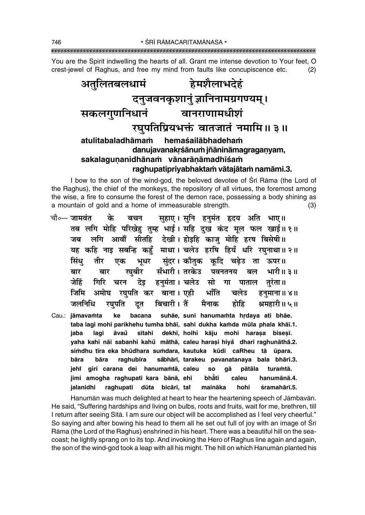You are the Spirit indwelling the hearts of all. Grant me intense devotion to Your feet, O crest-jewel of Raghus, and free my mind from faults like concupiscence etc.  $(2)$ 



I bow to the son of the wind-god, the beloved devotee of Sri Rama (the Lord of the Raghus), the chief of the monkeys, the repository of all virtues, the foremost among the wise, a fire to consume the forest of the demon race, possessing a body shining as a mountain of gold and a home of immeasurable strength.  $(3)$ 

- चौ०— जामवंत के सुहाए। सुनि हुनुमंत हृदय अति भाए॥ बचन तब लगि मोहि परिखेहु तुम्ह भाई। सहि दुख कंद मूल फल खाई॥१॥ जब लगि आवौं सीतहि देखी।होइहि काजु मोहि हरष बिसेषी॥ यह कहि नाइ सबन्हि कहुँ माथा। चलेउ हरषि हियँ धरि रघुनाथा॥२॥ भूधर सुंदर।कौतुक कृदि चढ़ेउ ता ऊपर॥ सिंध तीर एक रघबीर सँभारी। तरकेउ पवनतनय बल भारी॥ ३॥ बार बार देइ हनमंता। चलेउ सो गा पाताल तरंता॥ गिरि चरन जेहिं अमोघ रघुपति कर बाना। एही जिमि भाँति चलेउ हनुमाना ॥ ४॥ बिचारी । तैं होहि जलनिधि रघपति मैनाक श्रमहारी॥ ५॥ दुत
- suhāe, suni hanumamta hrdaya ati bhāe. Cau.: jāmavamta ke bacana taba lagi mohi parikhehu tumha bhāi, sahi dukha kamda mūla phala khāi.1. sītahi dekhī, hoihi kāju mohi harașa biseșī. jaba lagi āvaů yaha kahi nāi sabanhi kahů māthā, caleu harași hiyå dhari raghunāthā.2. simdhu tīra eka bhūdhara sumdara, kautuka kūdi caRheu tā ūpara. bāra såbhārī, tarakeu pavanatanaya bala bhārī.3. bāra raghubīra jehi giri carana dei hanumamtā, caleu **SO** qā pātāla turamtā. jimi amogha raghupati kara bānā, ehī bhăti hanumānā.4. caleu jalanidhi raghupati dūta bicārī, tat maināka hohi śramahārī.5.

Hanumān was much delighted at heart to hear the heartening speech of Jāmbavān. He said, "Suffering hardships and living on bulbs, roots and fruits, wait for me, brethren, till I return after seeing Sītā. I am sure our object will be accomplished as I feel very cheerful." So saying and after bowing his head to them all he set out full of joy with an image of Sri Rāma (the Lord of the Raghus) enshrined in his heart. There was a beautiful hill on the seacoast; he lightly sprang on to its top. And invoking the Hero of Raghus line again and again, the son of the wind-god took a leap with all his might. The hill on which Hanuman planted his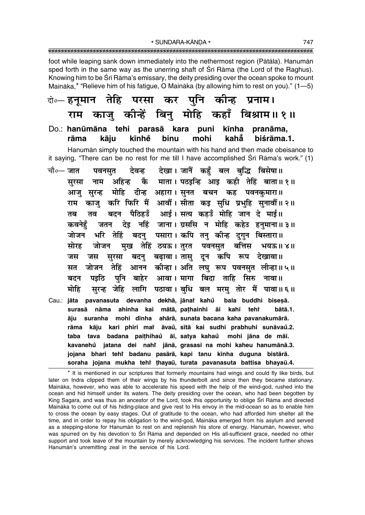\* SUNDARA-KĀNDA \* 

foot while leaping sank down immediately into the nethermost region (Pātāla). Hanumān sped forth in the same way as the unerring shaft of Sri Rama (the Lord of the Raghus). Knowing him to be Srī Rāma's emissary, the deity presiding over the ocean spoke to mount Maināka,\* "Relieve him of his fatigue, O Maināka (by allowing him to rest on you)." (1-5)

#### दो∘— हनूमान तेहि परसा कर पुनि कीन्ह प्रनाम। काजु कीन्हें बिनु मोहि कहाँ बिश्राम॥१॥ राम

Do.: hanūmāna tehi parasā kara puni kīnha pranāma. kīnhě binu mohi kahă biśrāma.1. rāma kāju

Hanuman simply touched the mountain with his hand and then made obeisance to it saying, "There can be no rest for me till I have accomplished Srī Rāma's work." (1)

चौ∘— जात देवन्ह देखा। जानैं कहँ बल बद्धि बिसेषा॥ पवनसत कै माता। पठइन्हि आइ कही तेहिं बाता॥१॥ नाम अहिन्ह सरसा मोहि दीन्ह अहारा।सूनत बचन कह पवनकुमारा॥ आज सरन्ह काजु करि फिरि मैं आवौं। सीता कइ सुधि प्रभुहि सुनावौं॥२॥ राम पैठिहउँ आई। सत्य कहउँ मोहि जान दे माई॥ बदन तब तव नहिं जाना। ग्रससि न मोहि कहेउ हनमाना॥३॥ देड कवनेहॅ जतन पसारा। कपि तन् कीन्ह दगन बिस्तारा॥ भरि तेहिं बदन जोजन जोजन मुख तेहिं ठयऊ। तुरत पवनसुत बत्तिस सोरह भयऊ॥४॥ सुरसा बदनु बढ़ावा।तासु दून कपि रूप देखावा॥ जस जस जोजन तेहिं आनन कीन्हा।अति लघु रूप पवनसुत लीन्हा॥५॥ सत पनि बाहेर आवा । मागा बिदा ताहि सिरु नावा ॥ पड़ठि बदन मोहि सुरन्ह जेहि लागि पठावा।बुधि बल मरम् तोर मैं पावा॥६॥ Cau.: jāta pavanasuta devanha dekhā, jānai kahů bala buddhi bisesā. surasā nāma ahinha kai mātā, pathainhi āi kahī tehr bātā.1. āju suranha mohi dīnha ahārā, sunata bacana kaha pavanakumārā. rāma kāju kari phiri mai āvau, sītā kai sudhi prabhuhi sunāvau.2. taba tava badana paithihaů āī, satya kahaů mohi jāna de māī. kavanehů jatana dei nahř jānā, grasasi na mohi kaheu hanumānā.3. jojana bhari tehr badanu pasārā, kapi tanu kīnha duguna bistārā. soraha jojana mukha tehi thayaū, turata pavanasuta battisa bhayaū.4.

\* It is mentioned in our scriptures that formerly mountains had wings and could fly like birds, but later on Indra clipped them of their wings by his thunderbolt and since then they became stationary. Maināka, however, who was able to accelerate his speed with the help of the wind-god, rushed into the ocean and hid himself under its waters. The deity presiding over the ocean, who had been begotten by King Sagara, and was thus an ancestor of the Lord, took this opportunity to oblige Sri Rāma and directed Maināka to come out of his hiding-place and give rest to His envoy in the mid-ocean so as to enable him to cross the ocean by easy stages. Out of gratitude to the ocean, who had afforded him shelter all the time, and in order to repay his obligation to the wind-god, Maināka emerged from his asylum and served as a stepping-stone for Hanuman to rest on and replenish his store of energy. Hanuman, however, who was spurred on by his devotion to Śrī Rāma and depended on His all-sufficient grace, needed no other support and took leave of the mountain by merely acknowledging his services. The incident further shows Hanumān's unremitting zeal in the service of his Lord.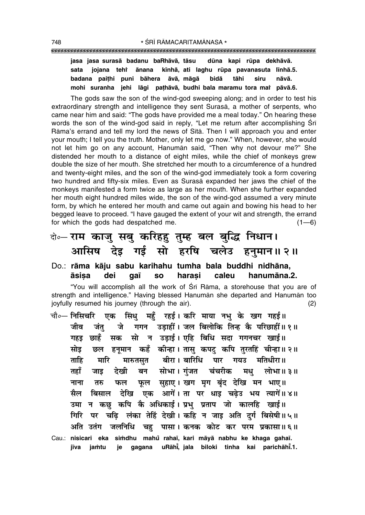#### """""""""""""""""""""""""""""""""""""""""""""""""""""""""""""""""""""""""""""""""""

**jasa jasa suraså badanu baRhåvå, tåsu dµuna kapi rµupa dekhåvå. sata jojana tehiÚ ånana k∂nhå, ati laghu rµupa pavanasuta l∂nhå.5. badana pai¢hi puni båhera åvå, mågå bidå tåhi siru nåvå. mohi suranha jehi lågi pa¢håvå, budhi bala maramu tora maiÚ påvå.6.**

The gods saw the son of the wind-god sweeping along; and in order to test his extraordinary strength and intelligence they sent Suraså, a mother of serpents, who came near him and said: "The gods have provided me a meal today." On hearing these words the son of the wind-god said in reply, "Let me return after accomplishing Śrī Rāma's errand and tell my lord the news of Sītā. Then I will approach you and enter your mouth; I tell you the truth. Mother, only let me go now." When, however, she would not let him go on any account, Hanumān said, "Then why not devour me?" She distended her mouth to a distance of eight miles, while the chief of monkeys grew double the size of her mouth. She stretched her mouth to a circumference of a hundred and twenty-eight miles, and the son of the wind-god immediately took a form covering two hundred and fifty-six miles. Even as Suraså expanded her jaws the chief of the monkeys manifested a form twice as large as her mouth. When she further expanded her mouth eight hundred miles wide, the son of the wind-god assumed a very minute form, by which he entered her mouth and came out again and bowing his head to her begged leave to proceed. "I have gauged the extent of your wit and strength, the errand for which the gods had despatched me.  $(1-6)$ 

# दो**०– राम काजु सबु करिहहु तुम्ह बल बुद्धि निधान।** <u>आसिष देइ गई सो हरषि चलेउ हनुमान॥२॥</u>

Do.: **råma kåju sabu karihahu tumha bala buddhi nidhåna, åsi¶a dei ga∂ so hara¶i caleu hanumåna.2.**

"You will accomplish all the work of Śrī Rāma, a storehouse that you are of strength and intelligence." Having blessed Hanumān she departed and Hanumān too joyfully resumed his journey (through the air). (2)

चौ०— निसिचरि एक सिंधु महँ रहई। करि माया नभु के खग गहई॥ जीव जंत जे गगन उडाहीं। जल बिलोकि तिन्ह कै परिछाहीं॥१॥ गहड़ छाहँ सक सो न उड़ाई। एहि बिधि सदा गगनचर खाई॥ सोइ छल हनूमान कहँ कीन्हा । तासु कपटु कपि तुरतहिं चीन्हा ॥ २ ॥ ताहि मारि मारुतसुत बीरा।बारिधि पार गयउ मतिधीरा॥ तहाँ जाइ देखी बन सोभा।गंजत चंचरीक मध् लोभा॥३॥ नाना तरु फल फल सहाए। खग**मग** बंद देखि मन भाए॥ सैल बिसाल देखि एक आगें।ता पर धाइ चढेउ भय त्यागें॥४॥ उमा न कछ कपि कै अधिकाई। प्रभु प्रताप जो कालहि खाई**॥** गिरि पर चढ़ि लंका तेहिं देखी। कहि न जाइ अति दुर्ग बिसेषी॥५॥ <u>अति उतंग जलनिधि चह पासा। कनक कोट कर परम प्रकासा॥६॥</u> Cau.: **nisicari eka si≈dhu mahu° raha∂, kari måyå nabhu ke khaga gaha∂. j∂va ja≈tu je gagana uRåh∂° , jala biloki tinha kai parichåh∂° .1.**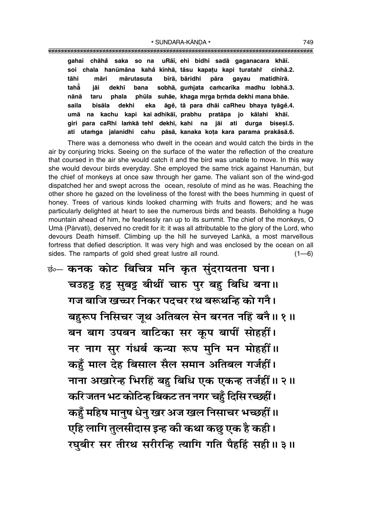#### \* SUNDARA-KĀNDA \* 749

""""""""""""""""""""""""""""""""""""""""""""""""""""""""""""""""""""""""""""""""""" **gahai chåha° saka so na uRå∂, ehi bidhi sadå gaganacara khå∂. soi chala hanµumåna kaha° k∂nhå, tåsu kapa¢u kapi turatahiÚ c∂nhå.2. tåhi måri mårutasuta b∂rå, båridhi påra gayau matidh∂rå. tahå° jåi dekh∂ bana sobhå, gu≈jata ca≈car∂ka madhu lobhå.3.** nānā taru phala phūla suhāe, khaga mrga brmda dekhi mana bhāe. **saila bisåla dekhi eka åge° , tå para dhåi caRheu bhaya tyåge°.4.**

**umå na kachu kapi kai adhikå∂, prabhu pratåpa jo kålahi khå∂. giri para caRhi la≈kå tehiÚ dekh∂, kahi na jåi ati durga bise¶∂.5. ati uta≈ga jalanidhi cahu påså, kanaka ko¢a kara parama prakåså.6.**

There was a demoness who dwelt in the ocean and would catch the birds in the air by conjuring tricks. Seeing on the surface of the water the reflection of the creature that coursed in the air she would catch it and the bird was unable to move. In this way she would devour birds everyday. She employed the same trick against Hanumån, but the chief of monkeys at once saw through her game. The valiant son of the wind-god dispatched her and swept across the ocean, resolute of mind as he was. Reaching the other shore he gazed on the loveliness of the forest with the bees humming in quest of honey. Trees of various kinds looked charming with fruits and flowers; and he was particularly delighted at heart to see the numerous birds and beasts. Beholding a huge mountain ahead of him, he fearlessly ran up to its summit. The chief of the monkeys, O Umã (Pārvatī), deserved no credit for it: it was all attributable to the glory of the Lord, who devours Death himself. Climbing up the hill he surveyed Lanka, a most marvellous fortress that defied description. It was very high and was enclosed by the ocean on all sides. The ramparts of gold shed great lustre all round.  $(1-6)$ 

 $\dot{\vec{v}}$ ∞ कनक कोट बिचित्र मनि कृत सुंदरायतना घना। <u>चउहट्ट</u> हट्ट सुबट्ट बीथीं चारु पुर बह बिधि बना।। <u>गज बाजि खच्चर निकर पदचर रथ बरूथन्हि को गनै।</u> <u>बह</u>रूप निसिचर जूथ अतिबल सेन बरनत नहिं बनै॥ १॥ बन बाग उपबन बाटिका सर कूप बापीं सोहहीं। **जर नाग सुर गंधर्ब कन्या रूप मुनि मन मोहहीं ।। कहँ माल देह बिसाल सैल समान अतिबल गर्जहीं।** नाना अखारेन्ह भिरहिं बहु बिधि एक एकन्ह तर्जहीं ॥ २ ॥ **करिजतन भट कोटिन्ह बिकट तन नगर चहँ दिसि रच्छहीं। कहुँ महिष मानुष धेनु खर अज खल निसाचर भच्छहीं।।**  $\overline{u}$ हि लागि तुलसीदास इन्ह की कथा कछु एक है कही । **/ रघूबीर सर तीरथ सरीरन्हि त्यागि गति पैहहिं सही ॥ ३ ॥**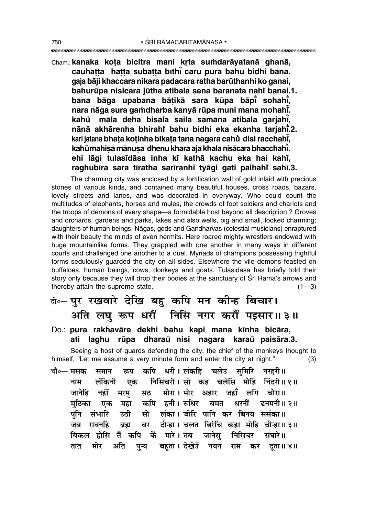### Chaṁ.: **kanaka kota bicitra mani krta sumdarāyatanā ghanā, cauha¢¢a ha¢¢a suba¢¢a b∂th∂° cåru pura bahu bidhi banå. gaja båji khaccara nikara padacara ratha barµuthanhi ko ganai, bahurµupa nisicara jµutha atibala sena baranata nahiÚ banai.1. bana båga upabana bå¢ikå sara kµupa båp∂° sohah∂° , nara någa sura ga≈dharba kanyå rµupa muni mana mohah∂° . kahu måla deha bisåla saila samåna atibala garjah∂ ° ° , nånå akhårenha bhirahiÚ bahu bidhi eka ekanha tarjah∂° .2. kari jatana bha¢a ko¢inha bika¢a tana nagara cahu° disi racchah∂° , kahŭmahiṣa mānuṣa dhenu khara aja khala nisācara bhacchahī̇̃. ehi lågi tulas∂dåsa inha k∂ kathå kachu eka hai kah∂, raghub∂ra sara t∂ratha sar∂ranhi tyågi gati paihahiÚ sah∂.3.**

The charming city was enclosed by a fortification wall of gold inlaid with precious stones of various kinds, and contained many beautiful houses, cross roads, bazars, lovely streets and lanes, and was decorated in everyway. Who could count the multitudes of elephants, horses and mules, the crowds of foot soldiers and chariots and the troops of demons of every shape—a formidable host beyond all description ? Groves and orchards, gardens and parks, lakes and also wells, big and small, looked charming; daughters of human beings, Någas, gods and Gandharvas (celestial musicians) enraptured with their beauty the minds of even hermits. Here roared mighty wrestlers endowed with huge mountainlike forms. They grappled with one another in many ways in different courts and challenged one another to a duel. Myriads of champions possessing frightful forms sedulously guarded the city on all sides. Elsewhere the vile demons feasted on buffaloes, human beings, cows, donkeys and goats. Tulas∂dåsa has briefly told their story only because they will drop their bodies at the sanctuary of Śrī Rāma's arrows and thereby attain the supreme state.  $(1-3)$ 

# दो**०– पुर रखवारे देखि बहु कपि मन कीन्ह बिचार। •Áà ‹ÉÊÈ M§¬ œ⁄Uı¥ ÁŸÁ' Ÿª⁄U ∑§⁄Uı¥ ¬ß'Ê⁄UH 3H**

### Do.: **pura rakhavåre dekhi bahu kapi mana k∂nha bicåra, ati laghu rµupa dharau nisi nagara karau ° paisåra.3. °**

Seeing a host of guards defending the city, the chief of the monkeys thought to himself, "Let me assume a very minute form and enter the city at night." $(3)$ 

चौ०— मसक समान रूप कपि धरी।**लंकहि चलेउ समिरि नरहरी**॥ नाम लंकिनी एक निसिचरी।सो कह चलेसि मोहि निंदरी॥१॥ जानेहि नहीं मरम् सठ मोरा । मोर अहार जहाँ लगि चोरा ॥ मठिका एक महा कपि हनी।**रुधिर बमत धरनीं ढनमनी॥२॥** पनि संभारि उठी सो लंका।जोरि पानि कर बिनय ससंका॥ जब रावनहि ब्रह्म बर दीन्हा। चलत बिरंचि कहा मोहि चीन्हा॥३॥ **बिकल होसि तैं कपि कें मारे।** तब जानेस निसिचर संघारे॥ तात मोर अति पुन्य बहूता**।**देखेउँ नयन राम कर दूता॥४॥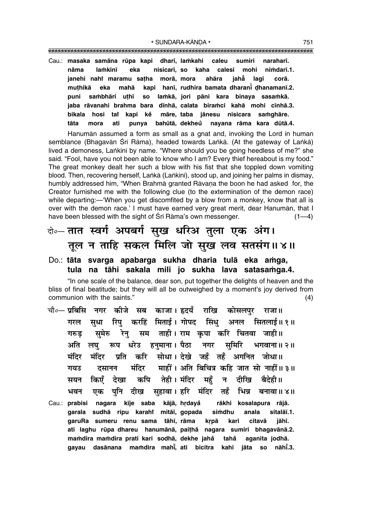\* SUNDARA-KĀNDA \* 751

"""""""""""""""""""""""""""""""""""""""""""""""""""""""""""""""""""""""""""""""""""

Cau.: masaka samāna rūpa kapi dharī, lamkahi caleu sumiri naraharī. nāma lamkinī eka nisicarī, so kaha calesi mohi nimdarī.1. **janehi nahiÚ maramu sa¢ha morå, mora ahåra jahå° lagi corå. mu¢hikå eka mahå kapi han∂, rudhira bamata dharan∂° Œhanaman∂.2. puni sa≈bhåri u¢h∂ so la≈kå, jori påni kara binaya sasa≈kå. jaba råvanahi brahma bara d∂nhå, calata bira≈ci kahå mohi c∂nhå.3. bikala hosi tat kapi ke° måre, taba jånesu nisicara sa≈ghåre. tåta mora ati punya bahµutå, dekheu nayana råma kara dµutå.4. °**

Hanumån assumed a form as small as a gnat and, invoking the Lord in human semblance (Bhagavān Śrī Rāma), headed towards Laṅkā. (At the gateway of Laṅkā) lived a demoness, Lankinī by name. "Where should you be going heedless of me?" she said. "Fool, have you not been able to know who I am? Every thief hereabout is my food." The great monkey dealt her such a blow with his fist that she toppled down vomiting blood. Then, recovering herself, Laṅkā (Laṅkinī), stood up, and joining her palms in dismay, humbly addressed him, "When Brahmā granted Rāvana the boon he had asked for, the Creator furnished me with the following clue (to the extermination of the demon race) while departing:—'When you get discomfited by a blow from a monkey, know that all is over with the demon race.' I must have earned very great merit, dear Hanumān, that I have been blessed with the sight of Śrī Rāma's own messenger. (1—4)

# दो∘– **तात स्वर्ग अपबर्ग सुख धरिअ तुला एक अंग। तूल न ताहि सकल मिलि जो सुख लव सतसंग॥४॥**

### Do.: tāta svarga apabarga sukha dharia tulā eka amga, tula na tāhi sakala mili jo sukha lava satasamga.4.

"In one scale of the balance, dear son, put together the delights of heaven and the bliss of final beatitude; but they will all be outweighed by a moment's joy derived from communion with the saints.î (4)

- <sub>.</sub><br>चौ०— प्रबिसि नगर कीजे सब काजा। हृदयँ राखि कोसलपर राजा॥ <u>गरल सुधा रिपु</u> करहिं मिताई। गोपद सिंधु अनल सितलाई॥१॥ गरुड सुमेरु रेनु सम ताही।**राम कुपा करि चितवा जाही**॥ <u>अति लघु रूप धरेउ हुनुमाना।</u> पैठा नगर सुमिरि भगवाना॥२॥ **मंदिर मंदिर प्रति करि सोधा। देखे जहँ तहँ अगनित जोधा॥ ªÿ©U Œ'ÊŸŸ ◊¢ÁŒ⁄U ◊Ê"UË¥ – •Áà Á'ÁøòÊ ∑§Á"U ¡Êà 'Ù ŸÊ"UË¥H 3H** सयन किएँ देखा कपि तेही।मंदिर महँ न दीखि **बैदेही**॥ भवन एक पनि दीख सहावा। **हरि मंदिर तहँ भिन्न बनावा**॥ ४॥
- Cau.: **prabisi nagara k∂je saba kåjå, hædaya° råkhi kosalapura råjå.** garala sudhā ripu karahì mitāī, gopada simdhu anala sitalāī.1. garuRa sumeru renu sama tāhī, rāma krpā kari citavā jāhī. **ati laghu rµupa dhareu hanumånå, pai¢hå nagara sumiri bhagavånå.2. ma≈dira ma≈dira prati kari sodhå, dekhe jaha° taha° aganita jodhå. gayau dasånana ma≈dira mah∂° , ati bicitra kahi jåta so nåh∂° .3.**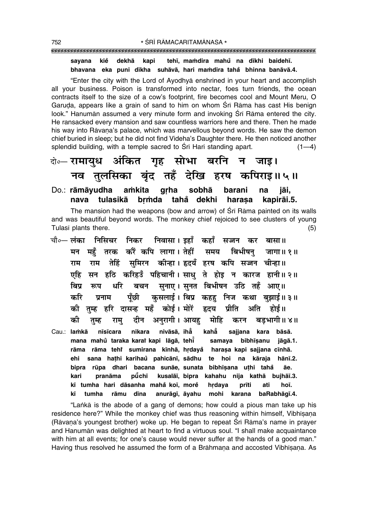#### tehī, mamdira mahů na dīkhi baidehī. sayana kiě dekhā kapi bhavana eka puni dīkha suhāvā, hari mamdira taha bhinna banāvā.4.

"Enter the city with the Lord of Ayodhya enshrined in your heart and accomplish all your business. Poison is transformed into nectar, foes turn friends, the ocean contracts itself to the size of a cow's footprint, fire becomes cool and Mount Meru, O Garuda, appears like a grain of sand to him on whom Srī Rāma has cast His benign look." Hanuman assumed a very minute form and invoking Sri Rama entered the city. He ransacked every mansion and saw countless warriors here and there. Then he made his way into Rāvana's palace, which was marvellous beyond words. He saw the demon chief buried in sleep; but he did not find Videha's Daughter there. He then noticed another splendid building, with a temple sacred to Sri Hari standing apart.  $(1-4)$ 

### केन्-रामायध अंकित गह सोभा बरनि न जाड। नव तुलसिका बुंद तहँ देखि हरष कपिराइ॥५॥

#### sobhā amkita grha Do.: rāmāyudha barani na iāi. nava tulasikā brmda tahå dekhi harasa kapirāi.5.

The mansion had the weapons (bow and arrow) of Srī Rāma painted on its walls and was beautiful beyond words. The monkey chief rejoiced to see clusters of young Tulasī plants there.  $(5)$ 

चौ०— लंका निसिचर निकर निवासा। इहाँ कहाँ सज्जन कर बासा॥ तरक करैं कपि लागा। तेहीं मन महँ समय बिभीषन जागा॥ १॥ तेहिं सुमिरन कीन्हा। हृदयँ हरष कपि सज्जन चीन्हा॥ राम राम एहि सन हठि करिहउँ पहिचानी। साध ते होड़ न कारज हानी॥२॥ बचन सुनाए। सुनत बिभीषन उठि तहँ आए॥ बिप्र धरि रूप कसलाई। बिप्र कहह निज कथा बझाई॥३॥ करि पँछी प्रनाम की तुम्ह हरि दासन्ह महँ कोई। मोरें हृदय प्रीति अति होई ॥ अनुरागी। आयह मोहि बडभागी॥ ४॥ को राम् दीन करन तम्ह nivāsā, ihå kahẳ Cau.: lamkā nīsīcara nikara sajjana kara bāsā. mana mahů taraka karať kapi lāgā, tehī samaya bibhīsanu jāgā.1. rāma rāma teht sumirana kīnhā, hrdayå harasa kapi sajjana cīnhā. ehi sana hathi karihaŭ pahicānī, sādhu te hoi na kāraja hānī.2. bipra rūpa dhari bacana sunāe, sunata bibhīsana uthi tahå āe. kusalāi, bipra kahahu nija kathā bujhāi.3. kari pranāma půchī kī tumha hari dāsanha mahā koī, more hrdaya prīti ati hoī.

"Lanka is the abode of a gang of demons; how could a pious man take up his residence here?" While the monkey chief was thus reasoning within himself, Vibhisana (Rāvana's youngest brother) woke up. He began to repeat Śrī Rāma's name in prayer and Hanuman was delighted at heart to find a virtuous soul. "I shall make acquaintance with him at all events; for one's cause would never suffer at the hands of a good man." Having thus resolved he assumed the form of a Brāhmana and accosted Vibhīsana. As

anurāgī, āyahu mohi karana baRabhāgī.4.

rāmu dīna

kī

tumha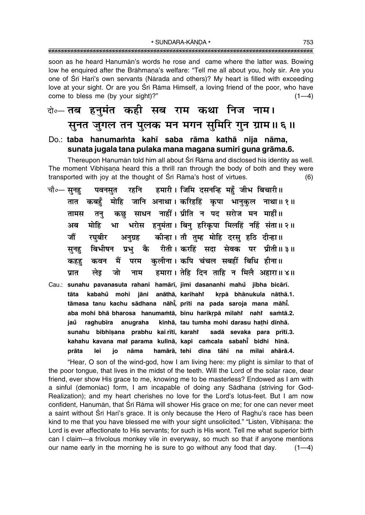soon as he heard Hanumān's words he rose and came where the latter was. Bowing low he enguired after the Brāhmana's welfare: "Tell me all about you, holy sir. Are you one of Sri Hari's own servants (Nārada and others)? My heart is filled with exceeding love at your sight. Or are you Srī Rāma Himself, a loving friend of the poor, who have come to bless me (by your sight)?"  $(1-4)$ 

### के— तब हनुमंत कही सब राम कथा निज नाम। सूनत जुगल तन पुलक मन मगन सुमिरि गुन ग्राम॥६॥

#### Do.: taba hanumamta kahī saba rāma kathā nija nāma, sunata jugala tana pulaka mana magana sumiri guna grāma.6.

Thereupon Hanumān told him all about Śrī Rāma and disclosed his identity as well. The moment Vibhisana heard this a thrill ran through the body of both and they were transported with joy at the thought of Sri Rama's host of virtues.  $(6)$ 

- हमारी। जिमि दसनन्हि महँ जीभ बिचारी॥ चौ०— सूनह रहनि पवनसत मोहि जानि अनाथा। करिहहिं कृपा भानुकुल नाथा॥१॥ कबहँ तात कछ साधन नाहीं। प्रीति न पद सरोज मन माहीं॥ तामस तन् भरोस हनुमंता। बिन् हरिकृपा मिलहिं नहिं संता॥ २॥ मोहि भा अब कीन्हा। तौ तुम्ह मोहि दरसु हठि दीन्हा॥ जौं रघबीर अनग्रह बिभीषन प्रभु कै रीती।करहिं सदा सेवक पर प्रीती॥३॥ सनह परम कलीना। कपि चंचल सबहीं बिधि हीना॥ कवन मैं कहह हमारा। तेहि दिन ताहि न मिलै अहारा॥४॥ जो लेड नाम प्रात
- Cau.: sunahu pavanasuta rahani hamārī, jimi dasananhi mahu jībha bicārī. kabahů mohi jāni anāthā, karihahř krpā bhānukula nāthā.1. tāta tāmasa tanu kachu sādhana nāhī, prīti na pada saroja mana māhī. aba mohi bhā bharosa hanumamtā, binu harikrpā milahi nahi samtā.2. kīnhā, tau tumha mohi darasu hathi dīnhā. raghubīra anugraha iaů sunahu bibhīṣana prabhu kai rītī, karahi sadā sevaka para prītī.3. kahahu kavana mai parama kulīnā, kapi camcala sabahī bidhi hīnā. hamārā, tehi dina tāhi na milai ahārā.4. prāta lei io nāma

"Hear, O son of the wind-god, how I am living here: my plight is similar to that of the poor tongue, that lives in the midst of the teeth. Will the Lord of the solar race, dear friend, ever show His grace to me, knowing me to be masterless? Endowed as I am with a sinful (demoniac) form, I am incapable of doing any Sādhana (striving for God-Realization); and my heart cherishes no love for the Lord's lotus-feet. But I am now confident, Hanumān, that Srī Rāma will shower His grace on me; for one can never meet a saint without Srī Hari's grace. It is only because the Hero of Raghu's race has been kind to me that you have blessed me with your sight unsolicited." "Listen, Vibhisana: the Lord is ever affectionate to His servants; for such is His wont. Tell me what superior birth can I claim-a frivolous monkey vile in everyway, so much so that if anyone mentions our name early in the morning he is sure to go without any food that day.  $(1-4)$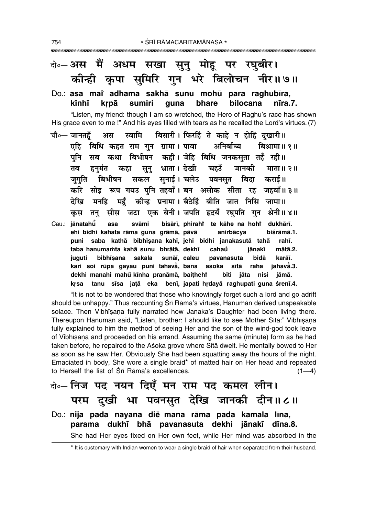### बे॰ अस मैं अधम सखा सुनु मोहू पर रघुबीर। कीन्ही कृपा समिरि गुन भरे बिलोचन नीर॥७॥

Do.: asa mai adhama sakhā sunu mohū para raghubīra, kīnhī krpā sumiri quna bhare bilocana nīra.7.

"Listen, my friend: though I am so wretched, the Hero of Raghu's race has shown His grace even to me!" And his eyes filled with tears as he recalled the Lord's virtues. (7)

- बिसारी। फिरहिं ते काहे न होहिं दखारी।। चौ∘— जानतहँ अस स्वामि बिधि कहत राम गुन ग्रामा। पावा अनिर्बाच्य बिश्रामा॥ १॥ एहि पुनि सब कथा बिभीषन कही।जेहि बिधि जनकसुता तहँ रही॥ सुनु भ्राता। देखी चहउँ जानकी माता॥२॥ तब हनमंत कहा जगति बिभीषन सकल सनाई। चलेउ पवनसत बिदा कराई॥ करि सोड़ रूप गयउ पनि तहवाँ। बन असोक सीता रह जहवाँ॥३॥ मनहि महँ कीन्ह प्रनामा। बैठेहिं बीति जात निसि जामा॥ देरिव कस तन सीस जटा एक बेनी।जपति हृदयँ रघपति गन श्रेनी॥४॥
- Cau.: jānatahū svāmi bisārī, phirahi te kāhe na hohi dukhārī. asa anirbācya ehi bidhi kahata rāma guna grāmā, pāvā biśrāmā.1. puni saba kathā bibhīsana kahī, jehi bidhi janakasutā tahå rahī. taba hanumamta kahā sunu bhrātā, dekhī cahaů iānakī mātā.2. bibhīsana sakala sunāī, caleu karāī. juguti pavanasuta bidā kari soi rūpa gayau puni tahava, bana asoka sītā raha jahava.3. dekhi manahi mahů kīnha pranāmā, baitheht bīti jāta nisi jāmā. krsa tanu sīsa jatā eka benī, japati hrdayă raghupati guna śrenī.4.

"It is not to be wondered that those who knowingly forget such a lord and go adrift should be unhappy." Thus recounting Sri Rama's virtues, Hanuman derived unspeakable solace. Then Vibhisana fully narrated how Janaka's Daughter had been living there. Thereupon Hanumān said, "Listen, brother: I should like to see Mother Sītā:" Vibhīsana fully explained to him the method of seeing Her and the son of the wind-god took leave of Vibhisana and proceeded on his errand. Assuming the same (minute) form as he had taken before, he repaired to the Asoka grove where Sita dwelt. He mentally bowed to Her as soon as he saw Her. Obviously She had been squatting away the hours of the night. Emaciated in body, She wore a single braid\* of matted hair on Her head and repeated to Herself the list of Sri Rama's excellences.  $(1-4)$ 

वो०- निज पद नयन दिएँ मन राम पद कमल लीन। परम दुखी भा पवनसुत देखि जानकी दीन॥८॥ Do.: nija pada nayana die mana rāma pada kamala līna, parama dukhī bhā pavanasuta dekhi jānakī dīna.8. She had Her eyes fixed on Her own feet, while Her mind was absorbed in the

\* It is customary with Indian women to wear a single braid of hair when separated from their husband.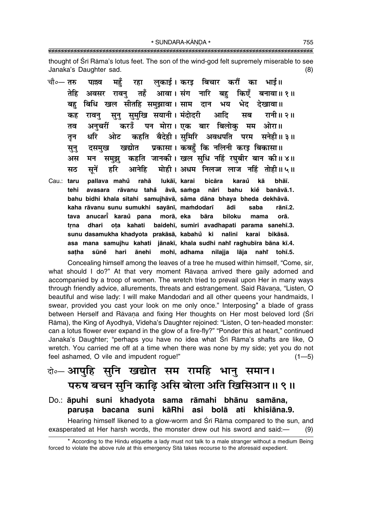\* SUNDARA-KĀNDA \* 

thought of Sri Rama's lotus feet. The son of the wind-god felt supremely miserable to see Janaka's Daughter sad.  $(8)$ 

|      |  | चौ०— तरु   पल्लव   महुँ   रहा   लुकाई । करइ  बिचार  करौं   का   भाई॥ |  |  |  |
|------|--|----------------------------------------------------------------------|--|--|--|
|      |  | तेहि अवसर रावनु तहँ आवा।संग नारि बहु किएँ बनावा॥१॥                   |  |  |  |
|      |  | बहु बिधि खल सीतहि समुझावा।साम दान भय भेद देखावा॥                     |  |  |  |
|      |  | कह रावनु सुनु सुमुखि सयानी। मंदोदरी  आदि  सब  रानी॥ २॥               |  |  |  |
|      |  | तव अनुचरीं करउँ पन मोरा।एक बार बिलोकु मम ओरा॥                        |  |  |  |
| तन   |  | धरि ओट कहति बैदेही।सुमिरि अवधपति परम सनेही॥३॥                        |  |  |  |
| सून् |  | दसमुख खद्योत प्रकासा। कबहुँ कि नलिनी करइ बिकासा॥                     |  |  |  |
|      |  | अस मन समुझु कहति जानकी। खल सुधि नहिं रघुबीर बान की॥४॥                |  |  |  |
| सठ   |  | सुनें हरि आनेहि मोही। अधम निलज्ज लाज नहिं तोही॥५॥                    |  |  |  |

Cau.: taru pallava mahů rahā lukāī, karai bicāra karaů kā bhāī. āvā, samqa tehi avasara rāvanu tahå nāri bahu kiể banāvā.1. bahu bidhi khala sītahi samujhāvā, sāma dāna bhaya bheda dekhāvā. kaha rāvanu sunu sumukhi sayānī, mamdodarī ādi saba rānī.2. anucari karaŭ pana morā, eka biloku tava bāra mama orā. baidehī, sumiri avadhapati parama sanehī.3. dhari ota kahati trna sunu dasamukha khadyota prakāsā, kabahů ki nalinī karai bikāsā. asa mana samujhu kahati jānakī, khala sudhi nahi raghubīra bāna kī.4. satha sūně hari ānehi mohī, adhama nilajja lāja nahi tohī.5.

Concealing himself among the leaves of a tree he mused within himself, "Come, sir, what should I do?" At that very moment Ravana arrived there gaily adorned and accompanied by a troop of women. The wretch tried to prevail upon Her in many ways through friendly advice, allurements, threats and estrangement. Said Rāvana, "Listen, O beautiful and wise lady: I will make Mandodari and all other queens your handmaids, I swear, provided you cast your look on me only once." Interposing\* a blade of grass between Herself and Rāvana and fixing Her thoughts on Her most beloved lord (Srī Rāma), the King of Ayodhyā, Videha's Daughter rejoined: "Listen, O ten-headed monster: can a lotus flower ever expand in the glow of a fire-fly?" "Ponder this at heart," continued Janaka's Daughter; "perhaps you have no idea what Śrī Rāma's shafts are like, O wretch. You carried me off at a time when there was none by my side; yet you do not feel ashamed, O vile and impudent roque!"  $(1 - 5)$ 

### बे॰ आपुहि सुनि खद्योत सम रामहि भानु समान। परुष बचन सुनि काढ़ि असि बोला अति खिसिआन॥ ९॥

#### Do.: āpuhi suni khadyota sama rāmahi bhānu samāna, kāRhi asi bolā ati khisiāna.9. parusa bacana suni

Hearing himself likened to a glow-worm and Sri Rama compared to the sun, and exasperated at Her harsh words, the monster drew out his sword and said:- $(9)$ 

<sup>\*</sup> According to the Hindu etiquette a lady must not talk to a male stranger without a medium Being forced to violate the above rule at this emergency Sita takes recourse to the aforesaid expedient.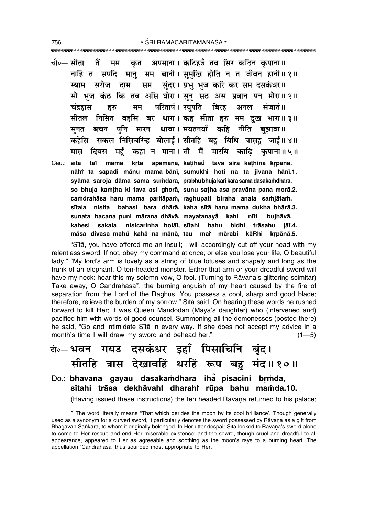| चौ∘— सीता तैं मम कृत अपमाना। कटिहउँ तव सिर कठिन कृपाना॥                   |
|---------------------------------------------------------------------------|
| नाहिं त सपदि मानु मम बानी। सुमुखि होति न त जीवन हानी॥१॥                   |
| स्याम सरोज दाम सम सुंदर।प्रभु भुजनकरि कर समंदसकंधर॥                       |
| सो भुज कंठ कि तव असि घोरा। सूनु सठ अस प्रवान पन मोरा॥२॥                   |
| चंद्रहास हरु मम परितापं। रघुपति बिरह अनल संजातं॥                          |
| सीतल निसित बहसि बर धारा।।कह सीता हरु मम दुख भारा॥३॥                       |
| सुनत बचन पुनि मारन धावा। मयतनयाँ कहि नीति बुझावा॥                         |
| कहेसि  सकल निसिचरिन्ह बोलाई। सीतहि बहु बिधि त्रासहु जाई॥४॥                |
| मास दिवस महुँ कहा न माना।तौ मैं मारबि काढ़ि कृपाना॥५॥                     |
| Cau.: sītā tai mama krta apamānā, katihaŭ tava sira kathina krpānā.       |
| nāhi ta sapadi mānu mama bānī, sumukhi hoti na ta jīvana hānī.1.          |
| syāma saroja dāma sama sumdara, prabhu bhuja kari kara sama dasakamdhara. |
| so bhuja kamtha ki tava asi ghorā, sunu satha asa pravāna pana morā.2.    |
| camdrahāsa haru mama paritāpam, raghupati biraha anala samjātam.          |
| nisita bahasi bara dhārā, kaha sītā haru mama dukha bhārā.3.<br>sītala    |
| sunata bacana puni mārana dhāvā, mayatanayā kahi nīti<br>bujhāvā.         |
| kahesi sakala nisicarinha bolāī, sītahi bahu bidhi trāsahu jāī.4.         |
| māsa divasa mahů kahā na mānā, tau mat mārabi kāRhi kṛpānā.5.             |

"Sita, you have offered me an insult; I will accordingly cut off your head with my relentless sword. If not, obey my command at once; or else you lose your life, O beautiful lady." "My lord's arm is lovely as a string of blue lotuses and shapely and long as the trunk of an elephant, O ten-headed monster. Either that arm or your dreadful sword will have my neck: hear this my solemn vow, O fool. (Turning to Rāvana's glittering scimitar) Take away, O Candrahāsa\*, the burning anguish of my heart caused by the fire of separation from the Lord of the Raghus. You possess a cool, sharp and good blade; therefore, relieve the burden of my sorrow," Sītā said. On hearing these words he rushed forward to kill Her; it was Queen Mandodarī (Maya's daughter) who (intervened and) pacified him with words of good counsel. Summoning all the demonesses (posted there) he said, "Go and intimidate Sita in every way. If she does not accept my advice in a month's time I will draw my sword and behead her."  $(1 - 5)$ 

### बे॰ भवन गयउ दसकंधर इहाँ पिसाचिनि बृंद। सीतहि त्रास देखावहिं धरहिं रूप बहु मंद॥१०॥ Do.: bhavana gayau dasakamdhara iha pisācini brmda, sītahi trāsa dekhāvahi dharahi rūpa bahu mamda.10.

(Having issued these instructions) the ten headed Rāvana returned to his palace;

756

<sup>\*</sup> The word literally means "That which derides the moon by its cool brilliance'. Though generally used as a synonym for a curved sword, it particularly denotes the sword possessed by Rāvana as a gift from Bhagavān Śankara, to whom it originally belonged. In Her utter despair Sītā looked to Rāvana's sword alone to come to Her rescue and end Her miserable existence; and the sowrd, though cruel and dreadful to all appearance, appeared to Her as agreeable and soothing as the moon's rays to a burning heart. The appellation 'Candrahāsa' thus sounded most appropriate to Her.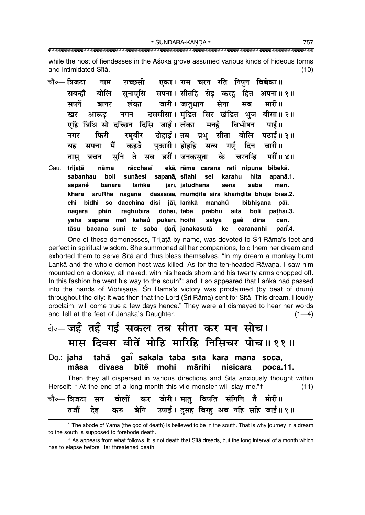while the host of fiendesses in the Aśoka grove assumed various kinds of hideous forms and intimidated Sītā.  $(10)$ 

चौ०— त्रिजटा एका। राम चरन रति निपुन बिबेका॥ नाम राच्छसी सपना। सीतहि सेइ करह सबन्हौ बोलि सनाएसि हित अपना॥ १॥ जारी। जातुधान मपनें लंका मारी॥ सेना मब बानर दससीसा। मंडित सिर खंडित भूज बीसा॥ २॥ खर आरूढ नगन एहि बिधि सो दच्छिन दिसि जाई। लंका मनहँ बिभीषन पाई॥ फिरी रघबीर दोहाई । तब प्रभ् सीता बोलि पठाई॥ ३॥ नगर पकारी। होइहि गाएँ मैं कहउँ सत्य दिन चारी॥ यह सपना सनि ते सब डरीं।जनकसता चरनन्दि परीं॥ ४॥ बचन के तास Cau.: trijațā nāma rācchasī ekā, rāma carana rati nipuna bibekā. sabanhau boli sunāesi sapanā, sītahi sei karahu hita apanā.1. jārī, jātudhāna sapaně bānara lamkā senā saba mārī. dasasīsā, mumdita sira khamdita bhuja bīsā.2. khara ārūRha nagana jāī, lamkā manahů ehi bidhi so dacchina disi bibhīsana pāī. raghubīra dohāī, taba nagara phirī prabhu sītā boli pathāī.3. vaha sapanā mai kahaŭ pukārī, hoihi satva qaĕ dina cārī. tāsu bacana suni te saba darī, janakasutā part.4. ke carananhi

One of these demonesses, Trijatā by name, was devoted to Śrī Rāma's feet and perfect in spiritual wisdom. She summoned all her companions, told them her dream and exhorted them to serve Sita and thus bless themselves. "In my dream a monkey burnt Lanka and the whole demon host was killed. As for the ten-headed Ravana, I saw him mounted on a donkey, all naked, with his heads shorn and his twenty arms chopped off. In this fashion he went his way to the south<sup>\*</sup>; and it so appeared that Lanka had passed into the hands of Vibhisana. Sri Rama's victory was proclaimed (by beat of drum) throughout the city: it was then that the Lord (Sri Rāma) sent for Sitā. This dream, I loudly proclaim, will come true a few days hence." They were all dismayed to hear her words and fell at the feet of Janaka's Daughter.  $(1-4)$ 

### बे॰- जहँ तहँ गईं सकल तब सीता कर मन सोच। मास दिवस बीतें मोहि मारिहि निसिचर पोच॥११॥

#### gai sakala taba sītā kara mana soca, Do.: jahå tahå bītě mohi mārihi māsa divasa nisicara  $poca.11$ .

Then they all dispersed in various directions and Sita anxiously thought within Herself: " At the end of a long month this vile monster will slay me."<sup>†</sup>  $(11)$ 

|  |  | चौ∘— त्रिजटा सन  बोलीं  कर  जोरी। मातु  बिपति  संगिनि  तैं  मोरी॥ |  |  |
|--|--|-------------------------------------------------------------------|--|--|
|  |  | तजौं देह करु बेगि उपाई। दुसह बिरहु अब नहिं सहि जाई॥१॥             |  |  |

<sup>\*</sup> The abode of Yama (the god of death) is believed to be in the south. That is why journey in a dream to the south is supposed to forebode death.

<sup>†</sup> As appears from what follows, it is not death that Sītā dreads, but the long interval of a month which has to elapse before Her threatened death.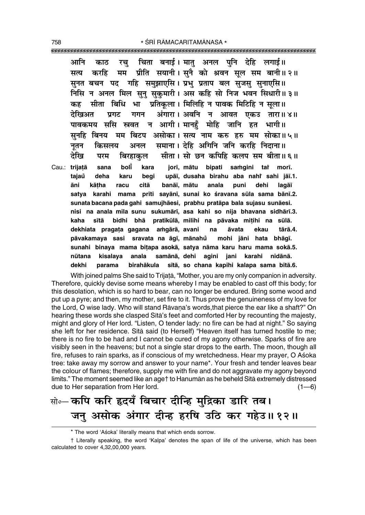चिता बनाई। मातु अनल पनि देहि लगाई॥ आनि काठ रच ग्रीति सयानी । सुनै को श्रवन सुल सम बानी ॥ २ ॥ करहि मम सत्य सनत बचन पद गहि समझाएसि। प्रभ प्रताप बल सजस सनाएसि॥ निसि न अनल मिल सन सकमारी। अस कहि सो निज भवन सिधारी॥३॥ सीता बिधि भा प्रतिकुला । मिलिहि न पावक मिटिहि न सुला॥ कह अंगारा। अवनि न आवत एकउ तारा॥४॥ देखिअत प्रगट गगन पावकमय ससि स्त्रवत न आगी। मानहँ मोहि जानि हत भागी॥ सनहि बिनय मम बिटप असोका। सत्य नाम करु हरु मम सोका॥५॥ समाना। देहि अगिनि जनि करहि निदाना॥ किसलय नतन अनल सीता। सो छन कपिहि कलप सम बीता॥६॥ देखि परम बिरहाकल Cau.: trijațā sana boli kara jorī, mātu bipati samgini tat morī. taiaů deha karu beai upāī, dusaha birahu aba nahi sahi jāī.1. kātha banāī, mātu āni racu citā anala puni dehi lagāī satya karahi mama prīti sayānī, sunai ko śravana sūla sama bānī.2. sunata bacana pada gahi samujhāesi, prabhu pratāpa bala sujasu sunāesi. nisi na anala mila sunu sukumārī, asa kahi so nija bhavana sidhārī.3. kaha sītā bidhi bhā pratikūlā, milihi na pāvaka mițihi na sūlā. dekhiata pragata gagana amgārā, avani na tārā.4. āvata ekau pāvakamaya sasi sravata na āgī, mānahů mohi jāni hata bhāqī. sunahi binaya mama bitapa asokā, satya nāma karu haru mama sokā.5.

samānā, dehi agini jani karahi nūtana kisalava anala nidānā. dekhi parama birahākula sītā, so chana kapihi kalapa sama bītā.6. With joined palms She said to Trijatā, "Mother, you are my only companion in adversity.

Therefore, quickly devise some means whereby I may be enabled to cast off this body; for this desolation, which is so hard to bear, can no longer be endured. Bring some wood and put up a pyre; and then, my mother, set fire to it. Thus prove the genuineness of my love for the Lord, O wise lady. Who will stand Rāvana's words, that pierce the ear like a shaft?" On hearing these words she clasped Sita's feet and comforted Her by recounting the majesty, might and glory of Her lord. "Listen, O tender lady: no fire can be had at night." So saying she left for her residence. Sita said (to Herself) "Heaven itself has turned hostile to me; there is no fire to be had and I cannot be cured of my agony otherwise. Sparks of fire are visibly seen in the heavens; but not a single star drops to the earth. The moon, though all fire, refuses to rain sparks, as if conscious of my wretchedness. Hear my prayer, O Asoka tree: take away my sorrow and answer to your name\*. Your fresh and tender leaves bear the colour of flames; therefore, supply me with fire and do not aggravate my agony beyond limits." The moment seemed like an age† to Hanuman as he beheld Sita extremely distressed due to Her separation from Her lord.  $(1-6)$ 

# सो∘– कपि करि हृदयँ बिचार दीन्हि मुद्रिका डारि तब। जनु असोक अंगार दीन्ह हरषि उठि कर गहेउ॥१२॥

<sup>\*</sup> The word 'Aśoka' literally means that which ends sorrow.

<sup>†</sup> Literally speaking, the word 'Kalpa' denotes the span of life of the universe, which has been calculated to cover 4,32,00,000 years.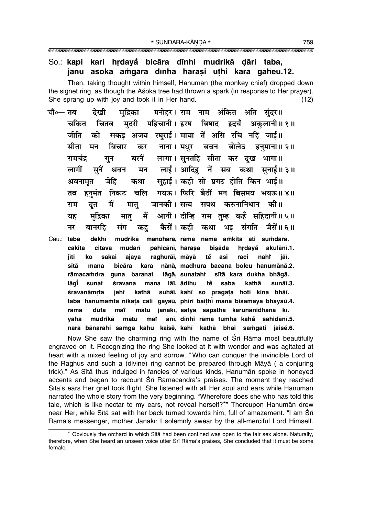### So.: kapi kari hrdayå bicāra dīnhi mudrikā dāri taba, janu asoka amgāra dīnha harasi uthi kara gaheu.12.

Then, taking thought within himself, Hanuman (the monkey chief) dropped down the signet ring, as though the Asoka tree had thrown a spark (in response to Her prayer). She sprang up with joy and took it in Her hand.  $(12)$ 

- मनोहर। राम नाम अंकित अति सुंदर॥ चौ∘— **तब** देखी मद्रिका मदरी पहिचानी। हरष बिषाद हृदयँ अकलानी॥१॥ चकित चितव जीति को सकड अजय रघराई। माया तें असि रचि नहिं जाई॥ सीता मन बिचार नाना । मधर बचन बोलेउ हनमाना ॥ २ ॥ कर बरनैं लागा। सनतहिं सीता कर दख भागा॥ रामचंद्र गन लाई। आदिह तें सब कथा सनाई॥३॥ लागीं सनैं श्रवन मन सहाई। कही सो प्रगट होति किन भाई॥ श्रवनामृत जेहिं कथा गयऊ। फिरि बैठीं मन बिसमय भयऊ॥४॥ हनमंत निकट चलि तब मैं करुनानिधान की॥ राम दत मात् जानकी। सत्य सपथ मद्रिका मैं आनी। दीन्हि राम तुम्ह कहँ सहिदानी॥५॥ यह मात् नर बानरहि कैसें। कही कथा भइ संगति जैसें॥ ६॥ संग कह dekhī mudrikā manohara rāma nāma amkita ati sumdara. Cau: taba cakita citava mudarī pahicānī, harasa bisāda hrdayå akulānī.1. iīti ko sakai ajava raghurāī, māyā tě asi raci nahi jāī.
	- bicāra sītā mana kara nānā, madhura bacana boleu hanumānā.2. rāmacamdra guna baranat lāgā, sunataht sītā kara dukha bhāgā. lāgī sunat śravana mana lāī, ādihu tě saba kathā sunāī.3. ieht kathā suhāī, kahī so pragața hoti kina bhāī. śravanāmrta taba hanumamta nikata cali gayaū, phiri baithi mana bisamaya bhayaū.4. mat mātu jānakī, satya sapatha karunānidhāna kī. rāma dūta ānī, dīnhi rāma tumha kahå sahidānī.5. yaha mudrikā mātu mat nara bānarahi samga kahu kaisė, kahī kathā bhai samgati jaisė.6.

Now She saw the charming ring with the name of Sri Rama most beautifully engraved on it. Recognizing the ring She looked at it with wonder and was agitated at heart with a mixed feeling of joy and sorrow. "Who can conguer the invincible Lord of the Raghus and such a (divine) ring cannot be prepared through Māyā (a conjuring trick)." As Sītā thus indulged in fancies of various kinds, Hanumān spoke in honeyed accents and began to recount Sri Ramacandra's praises. The moment they reached Sītā's ears Her grief took flight. She listened with all Her soul and ears while Hanumān narrated the whole story from the very beginning. "Wherefore does she who has told this tale, which is like nectar to my ears, not reveal herself?\*" Thereupon Hanumān drew near Her, while Sītā sat with her back turned towards him, full of amazement. "I am Śrī Rāma's messenger, mother Jānakī: I solemnly swear by the all-merciful Lord Himself.

<sup>\*</sup> Obviously the orchard in which Sītā had been confined was open to the fair sex alone. Naturally, therefore, when She heard an unseen voice utter Srī Rāma's praises, She concluded that it must be some female.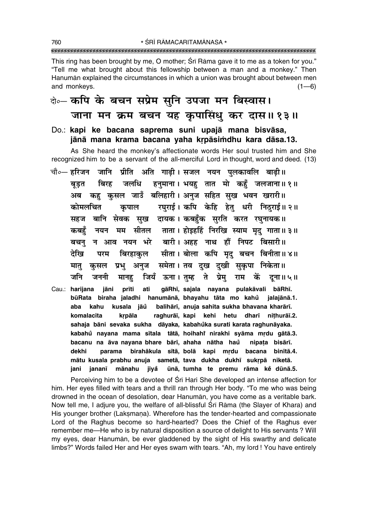\* ŚRĪ RĀMACARITAMĀNASA \* 

This ring has been brought by me, O mother; Srī Rāma gave it to me as a token for you." "Tell me what brought about this fellowship between a man and a monkey." Then Hanumān explained the circumstances in which a union was brought about between men and monkeys.  $(1-6)$ 

# के- कपि के बचन सप्रेम सुनि उपजा मन बिस्वास। जाना मन क्रम बचन यह कुपासिंधु कर दास॥१३॥

Do.: kapi ke bacana saprema suni upajā mana bisvāsa, jānā mana krama bacana yaha krpāsimdhu kara dāsa.13.

As She heard the monkey's affectionate words Her soul trusted him and She recognized him to be a servant of the all-merciful Lord in thought, word and deed. (13)

- चौ∘— हरिजन जानि प्रीति अति गाढी। सजल नयन पलकावलि बाढी॥ जलधि हनुमाना। भयहु तात मो कहुँ जलजाना॥१॥ बिरह बडत कह कुसल जाउँ बलिहारी। अनुज सहित सुख भवन खरारी॥ अब रघुराई। कपि केहि हेतु धरी निठुराई॥२॥ कोमलचित कपाल बानि सेवक सुख दायक। कबहँक सुरति करत रघुनायक॥ सहज नयन मम सीतल ताता। होइहहिं निरखि स्याम मृद् गाता॥३॥ कबहँ बचन् न आव नयन भरे बारी। अहह नाथ हौं निपट बिसारी॥ बिरहाकुल सीता। बोला कपि मृद् बचन बिनीता॥४॥ देखि परम समेता। तव दुख दुखी सुकृपा निकेता॥ प्रभु अनुज मात् कसल जियँ ऊना।तुम्ह ते प्रेम राम कें दना॥५॥ जनि जननी मानह
- gāRhī, sajala nayana pulakāvali bāRhī. Cau.: harijana jāni prīti ati būRata biraha jaladhi hanumānā, bhayahu tāta mo kahů jalajānā.1. kusala jāů balihārī, anuja sahita sukha bhavana kharārī. aba kahu raghurāi, kapi kehi hetu dharī nithurāi.2. komalacita krpāla sahaja bāni sevaka sukha dāyaka, kabahůka surati karata raghunāyaka. kabahů nayana mama sītala tātā, hoihahi nirakhi syāma mrdu gātā.3. bacanu na āva navana bhare bārī, ahaha nātha haŭ nipata bisārī. birahākula sītā, bolā kapi mrdu bacana binītā.4. dekhi parama mātu kusala prabhu anuja sametā, tava dukha dukhī sukrpā niketā. ūnā, tumha te premu rāma ke dūnā.5. jani jananī mānahu jiyå

Perceiving him to be a devotee of Sri Hari She developed an intense affection for him. Her eyes filled with tears and a thrill ran through Her body. "To me who was being drowned in the ocean of desolation, dear Hanuman, you have come as a veritable bark. Now tell me, I adjure you, the welfare of all-blissful Sri Rama (the Slayer of Khara) and His younger brother (Laksmana). Wherefore has the tender-hearted and compassionate Lord of the Raghus become so hard-hearted? Does the Chief of the Raghus ever remember me—He who is by natural disposition a source of delight to His servants? Will my eyes, dear Hanuman, be ever gladdened by the sight of His swarthy and delicate limbs?" Words failed Her and Her eyes swam with tears. "Ah, my lord ! You have entirely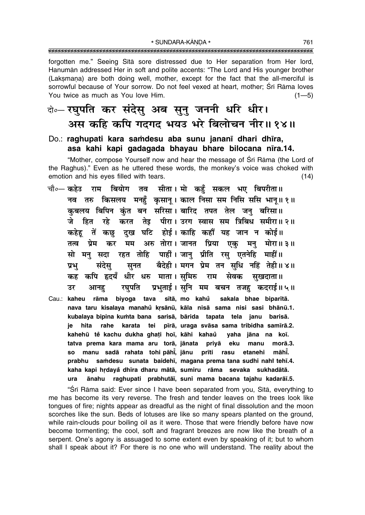\* SUNDARA-KĀNDA \* 

forgotten me." Seeing Sita sore distressed due to Her separation from Her lord, Hanuman addressed Her in soft and polite accents: "The Lord and His younger brother (Laksmana) are both doing well, mother, except for the fact that the all-merciful is sorrowful because of Your sorrow. Do not feel vexed at heart, mother; Śrī Rāma loves You twice as much as You love Him.  $(1 - 5)$ 

## बे-एघुपति कर संदेसू अब सूनु जननी धरि धीर। अस कहि कपि गदगद भयउ भरे बिलोचन नीर॥ १४॥

### Do.: raghupati kara samdesu aba sunu jananī dhari dhīra, asa kahi kapi gadagada bhayau bhare bilocana nīra.14.

"Mother, compose Yourself now and hear the message of Srī Rāma (the Lord of the Raghus)." Even as he uttered these words, the monkey's voice was choked with emotion and his eyes filled with tears.  $(14)$ 

- चौ०— कहेउ राम बियोग तव सीता। मो कहँ सकल भए बिपरीता॥ नव तरु किसलय मनहँ कुसान् । काल निसा सम निसि ससि भान्॥१॥ कबलय बिपिन कंत बन सरिसा। बारिद तपत तेल जन बरिसा॥ हित रहे करत तेइ पीरा। उरग स्वास सम त्रिबिध समीरा॥ २॥ कहेहू तें कछु दुख घटि होई।काहि कहौं यह जान न कोई॥ तत्व प्रेम कर मम अरु तोरा।जानत प्रिया एक मन् मोरा॥३॥ सो मन् सदा रहत तोहि पाहीं। जान् प्रीति रस् एतनेहि माहीं॥ सुनत वैदेही । मगन प्रेम तन सुधि नहिं तेही ॥ ४ ॥ प्रभु संदेस कह कपि हृदयँ धीर धरु माता।सुमिरु राम सेवक सखदाता ॥ उर आनह रघपति प्रभताई । सनि मम बचन तजह कदराई॥५॥
- Cau.: kaheu rāma biyoga tava sītā, mo kahů sakala bhae biparītā. nava taru kisalaya manahů krsānū, kāla nisā sama nisi sasi bhānū.1. kubalaya bipina kumta bana sarisā, bārida tapata tela janu barisā. ie hita rahe karata tei pīrā, uraga svāsa sama tribidha samīrā.2. kahehū tě kachu dukha ghati hoi, kāhi kahaů vaha jāna na koī. tatva prema kara mama aru torā, jānata priyā eku manu morā.3. so manu sadā rahata tohi-pāhī, jānu prīti rasu māhī. etanehi prabhu samdesu sunata baidehī, magana prema tana sudhi nahi tehī.4. kaha kapi hrdayå dhīra dharu mātā, sumiru rāma sevaka sukhadātā. ānahu raghupati prabhutāī, suni mama bacana tajahu kadarāī.5. ura

"Sri Rāma said: Ever since I have been separated from you, Sītā, everything to me has become its very reverse. The fresh and tender leaves on the trees look like tongues of fire; nights appear as dreadful as the night of final dissolution and the moon scorches like the sun. Beds of lotuses are like so many spears planted on the ground, while rain-clouds pour boiling oil as it were. Those that were friendly before have now become tormenting; the cool, soft and fragrant breezes are now like the breath of a serpent. One's agony is assuaged to some extent even by speaking of it; but to whom shall I speak about it? For there is no one who will understand. The reality about the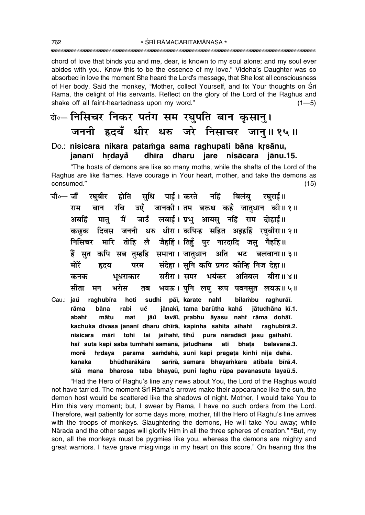chord of love that binds you and me, dear, is known to my soul alone; and my soul ever abides with you. Know this to be the essence of my love." Videha's Daughter was so absorbed in love the moment She heard the Lord's message, that She lost all consciousness of Her body. Said the monkey, "Mother, collect Yourself, and fix Your thoughts on Sri Rāma, the delight of His servants. Reflect on the glory of the Lord of the Raghus and shake off all faint-heartedness upon my word."  $(1 - 5)$ 

बे॰- निसिचर निकर पतंग सम रघुपति बान कुसानु। जननी हृदयँ धीर धरु जरे निसाचर जान्॥१५॥

#### Do.: nisicara nikara patamga sama raghupati bāna krsānu, jananī hrdavå dhīra dharu jare nisācara jānu.15.

"The hosts of demons are like so many moths, while the shafts of the Lord of the Raghus are like flames. Have courage in Your heart, mother, and take the demons as consumed."  $(15)$ 

- रघबीर होति सधि पाई।करते नहिं बिलंब रघराई॥ चौ०— जौं राम बान रबि उएँ जानकी।तम बरूथ कहँ जातधान की॥१॥ मातु मैं जाउँ लवाई। प्रभु आयसु नहिं राम दोहाई॥ अबहिं कछक दिवस जननी धरु धीरा।कपिन्ह सहित अइहहिं रघबीरा॥२॥ निसिचर मारि तोहि लै जैहहिं। तिहुँ पुर नारदादि जसु गैहहिं॥ हैं सुत कपि सब तुम्हहि समाना। जातुधान अति भट बलवाना॥३॥ संदेहा । सुनि कपि प्रगट कीन्हि निज देहा॥ मोरें हृदय परम सरीरा। समर भयंकर अतिबल बीरा॥ ४॥ भुधराकार कनक भयऊ । पुनि लघु रूप पवनसुत लयऊ॥५॥ भरोस मीता मन तब
- sudhi pāī, karate nahi Cau.: jaů raghubīra hoti bilambu raghurāī. jānakī, tama barūtha kahå jātudhāna kī.1. rāma bāna rabi uě jāů lavāi, prabhu āvasu nahř rāma dohāi. mātu abaht mat kachuka divasa jananī dharu dhīrā, kapinha sahita aihahi raghubīrā.2. nisicara māri tohi lai jaihahi, tihů pura nāradādi jasu gaihahi. hai suta kapi saba tumhahi samānā, jātudhāna ati bhata balavānā.3. hrdaya parama samdehā, suni kapi pragața kīnhi nija dehā. morě sarīrā, samara bhayamkara atibala bīrā.4. kanaka bhūdharākāra sītā mana bharosa taba bhayaū, puni laghu rūpa pavanasuta layaū.5.

"Had the Hero of Raghu's line any news about You, the Lord of the Raghus would not have tarried. The moment Sri Rama's arrows make their appearance like the sun, the demon host would be scattered like the shadows of night. Mother, I would take You to Him this very moment; but, I swear by Rāma, I have no such orders from the Lord. Therefore, wait patiently for some days more, mother, till the Hero of Raghu's line arrives with the troops of monkeys. Slaughtering the demons, He will take You away; while Nārada and the other sages will glorify Him in all the three spheres of creation." "But, my son, all the monkeys must be pygmies like you, whereas the demons are mighty and great warriors. I have grave misgivings in my heart on this score." On hearing this the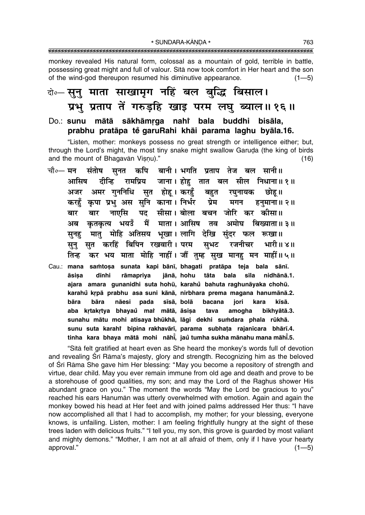monkey revealed His natural form, colossal as a mountain of gold, terrible in battle, possessing great might and full of valour. Sita now took comfort in Her heart and the son of the wind-god thereupon resumed his diminutive appearance.  $(1 - 5)$ 

# केन्-सूनु माता साखामृग नहिं बल बुद्धि बिसाल। प्रभु प्रताप तें गरुड़हि खाइ परम लघु ब्याल॥१६॥

### Do.: sunu mātā sākhāmrga nahi bala buddhi bisāla, prabhu pratāpa tě garuRahi khāi parama laghu byāla.16.

"Listen, mother: monkeys possess no great strength or intelligence either: but. through the Lord's might, the most tiny snake might swallow Garuda (the king of birds and the mount of Bhagavan Visnu)."  $(16)$ 

- संतोष सनत कपि बानी। भगति प्रताप तेज बल सानी॥ चौ०— मन जाना। होह तात बल सील निधाना॥१॥ रामप्रिय आसिष दीन्हि अमर गुननिधि सुत होहू।करहुँ बहुत रघुनायक छोह ॥ अजर कपा प्रभ अस सनि काना। निर्भर प्रेम करहँ मगन हनमाना ॥ २ ॥ पद सीसा। बोला बचन जोरि कर कीसा॥ नाएसि बार बार कृतकृत्य भयउँ मैं माता। आसिष तव अमोघ बिख्याता॥३॥ अब मात मोहि अतिसय भखा। लागि देखि संदर फल रूखा।। सनह सत करहिं बिपिन रखवारी। परम सभट रजनीचर भारी॥४॥ सन कर भय माता मोहि नाहीं। जौं तम्ह सख मानह मन माहीं॥५॥ तिन्ह
- Cau.: mana samtosa sunata kapi bānī, bhagati pratāpa teja bala sānī. āsisa dīnhi rāmapriya jānā, hohu tāta bala sīla nidhānā.1. ajara amara gunanidhi suta hohū, karahů bahuta raghunāyaka chohū. karahů krpā prabhu asa suni kānā, nirbhara prema magana hanumānā.2. bāra bāra nāesi pada sīsā, bolā bacana jori kara kīsā. aba krtakrtya bhayaŭ mat mātā, āsisa bikhyātā.3. tava amogha sunahu mātu mohi atisaya bhūkhā, lāgi dekhi sumdara phala rūkhā. sunu suta karahi bipina rakhavārī, parama subhata rajanīcara bhārī.4. tinha kara bhaya mātā mohi nāhi, jaŭ tumha sukha mānahu mana māhi.5.

"Sita felt gratified at heart even as She heard the monkey's words full of devotion and revealing Srī Rāma's majesty, glory and strength. Recognizing him as the beloved of Srī Rāma She gave him Her blessing: "May you become a repository of strength and virtue, dear child. May you ever remain immune from old age and death and prove to be a storehouse of good qualities, my son; and may the Lord of the Raghus shower His abundant grace on you." The moment the words "May the Lord be gracious to you" reached his ears Hanumān was utterly overwhelmed with emotion. Again and again the monkey bowed his head at Her feet and with joined palms addressed Her thus: "I have now accomplished all that I had to accomplish, my mother; for your blessing, everyone knows, is unfailing. Listen, mother: I am feeling frightfully hungry at the sight of these trees laden with delicious fruits." "I tell you, my son, this grove is guarded by most valiant and mighty demons." "Mother, I am not at all afraid of them, only if I have your hearty approval."  $(1 - 5)$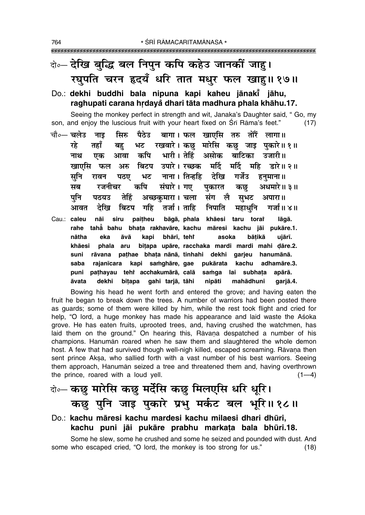# बे॰-देखि बुद्धि बल निपुन कपि कहेउ जानकीं जाहु। रघुपति चरन हृदयँ धरि तात मधुर फल खाहु॥ १७॥

### Do.: dekhi buddhi bala nipuna kapi kaheu jānaki jāhu, raghupati carana hrdayå dhari tāta madhura phala khāhu.17.

Seeing the monkey perfect in strength and wit, Janaka's Daughter said, "Go, my son, and enjoy the luscious fruit with your heart fixed on Srī Rāma's feet."  $(17)$ 

- चौ०— **चलेउ** सिरु पैठेउ बागा। फल खाएसि तरु नाड तोरैं लागा॥ रहे रखवारे। कछ मारेसि कछ जाइ पकारे॥१॥ तहाँ भट बह भारी। तेहिं असोक कपि बाटिका नाथ एक आवा उजारी।। बिटप उपारे। रच्छक मर्दि मर्टि खाएसि फल अरु महि डारे॥ २॥ सूनि नाना । तिन्हहि टेरिव गर्जेउ रावन पठा भट हनमाना ॥ संघारे । गए कपि अधमारे॥ ३॥ सब रजनीचर पकारत कछ पनि पठयउ तेहिं अच्छकमारा। चला संग ॉले सुभट अपारा। देखि बिटप गहि तर्जा । ताहि निपाति महाधनि गर्जा ॥ ४ ॥ आवत
- paitheu Cau.: caleu bāgā, phala khāesi taru torař nāi siru lāgā. rahe taha bahu bhata rakhavāre, kachu māresi kachu jāi pukāre.1. nātha eka āvā kapi bhārī, tehř asoka bātikā uiārī. bitapa upāre, racchaka mardi mardi mahi dāre.2. khāesi phala aru pathae bhata nānā, tinhahi dekhi garjeu hanumānā. suni rāvana saba rajanīcara kapi samghāre, gae pukārata kachu adhamāre.3. pathayau tehi acchakumārā, calā puni samga lai subhata apārā. āvata dekhi bitapa gahi tarjā, tāhi nipāti mahādhuni garjā.4.

Bowing his head he went forth and entered the grove; and having eaten the fruit he began to break down the trees. A number of warriors had been posted there as quards; some of them were killed by him, while the rest took flight and cried for help, "O lord, a huge monkey has made his appearance and laid waste the Asoka grove. He has eaten fruits, uprooted trees, and, having crushed the watchmen, has laid them on the ground." On hearing this, Ravana despatched a number of his champions. Hanuman roared when he saw them and slaughtered the whole demon host. A few that had survived though well-nigh killed, escaped screaming. Rāvana then sent prince Aksa, who sallied forth with a vast number of his best warriors. Seeing them approach, Hanumān seized a tree and threatened them and, having overthrown the prince, roared with a loud yell.  $(1-4)$ 

## वेन्ट कछ मारेसि कछ मर्देसि कछ मिलएसि धरि धूरि। कछु पुनि जाइ पुकारे प्रभु मर्कट बल भूरि॥१८॥

### Do.: kachu māresi kachu mardesi kachu milaesi dhari dhūri, kachu puni jāi pukāre prabhu markata bala bhūri.18.

Some he slew, some he crushed and some he seized and pounded with dust. And some who escaped cried, "O lord, the monkey is too strong for us."  $(18)$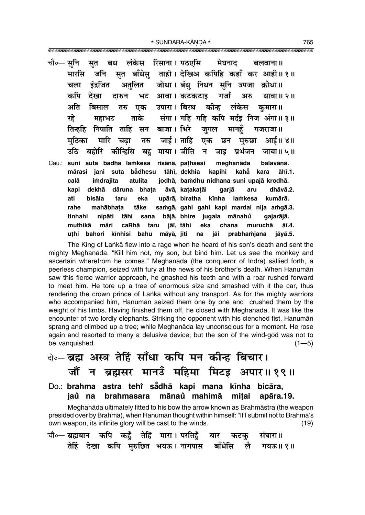\* SUNDARA-KĀNDA \*

| चौ०— सुनि सुत बध लंकेस रिसाना। पठएसि  मेघनाद  बलवाना॥              |
|--------------------------------------------------------------------|
| मारसि जनि सुत बाँधेसु ताही। देखिअ कपिहि कहाँ कर आही॥१॥             |
| चला इंद्रजित अतुलित जोधा।बंधु निधन सुनि उपजा क्रोधा॥               |
| कपि देखा दारुन भट आवा।कटकटाइ गर्जा अरु धावा॥२॥                     |
| अति बिसाल तरु एक उपारा।।बिरथ कीन्ह लंकेस कुमारा॥                   |
| रहे महाभट ताके संगा। गहि गहि कपि मर्दइ निज अंगा॥३॥                 |
| तिन्हहि निपाति ताहि सन बाजा।।भिरे जुगल मानहुँ गजराजा॥              |
| मुठिका मारि चढ़ा तरु जाई।ताहि एक छन मुरुछा आई॥४॥                   |
| उठि बहोरि कीन्हिसि बहु माया। जीति न जाइ प्रभंजन जाया॥५॥            |
| Cau.: suni suta badha lamkesa risānā, pațhaesi meghanāda balavānā. |
| mārasi jani suta bādhesu tāhī, dekhia kapihi kahā kara āhī.1.      |
| imdrajita atulita jodhā, bamdhu nidhana suni upajā krodhā.<br>calā |
| kapi dekhā dāruna bhaṭa āvā, kaṭakaṭāi garjā aru dhāvā.2.          |
| bisāla taru eka upārā, biratha kīnha lamkesa kumārā.<br>ati        |
| rahe mahābhaṭa tāke saṁgā, gahi gahi kapi mardai nija aṁgā.3.      |
| tinhahi nipāti tāhi sana bājā, bhire jugala mānahů gajarājā.       |
| muțhikā māri caRhā taru jāī, tāhi eka chana muruchā āī.4.          |
| uțhi bahori kīnhisi bahu māyā, jīti na jāi prabhamjana jāyā.5.     |

The King of Lanka flew into a rage when he heard of his son's death and sent the mighty Meghanada. "Kill him not, my son, but bind him. Let us see the monkey and ascertain wherefrom he comes." Meghanāda (the conqueror of Indra) sallied forth, a peerless champion, seized with fury at the news of his brother's death. When Hanuman saw this fierce warrior approach, he gnashed his teeth and with a roar rushed forward to meet him. He tore up a tree of enormous size and smashed with it the car, thus rendering the crown prince of Lanka without any transport. As for the mighty warriors who accompanied him, Hanuman seized them one by one and crushed them by the weight of his limbs. Having finished them off, he closed with Meghanāda. It was like the encounter of two lordly elephants. Striking the opponent with his clenched fist, Hanuman sprang and climbed up a tree; while Meghanada lay unconscious for a moment. He rose again and resorted to many a delusive device; but the son of the wind-god was not to be vanquished.  $(1 - 5)$ 

# वे० ब्रह्म अस्त्र तेहिं साँधा कपि मन कीन्ह बिचार। जौं न ब्रह्मसर मानउँ महिमा मिटइ अपार॥१९॥

Do.: brahma astra tehi sadha kapi mana kinha bicara, brahmasara mānaŭ mahimā mitai iaů na apāra.19.

Meghanāda ultimately fitted to his bow the arrow known as Brahmāstra (the weapon presided over by Brahma), when Hanuman thought within himself: "If I submit not to Brahma's own weapon, its infinite glory will be cast to the winds.  $(19)$ 

|  |  |  | चौ०— ब्रह्मबान  कपि  कहँ  तेहिं  मारा । परतिहँ  बार  कटकु  संघारा॥ |  |  |
|--|--|--|--------------------------------------------------------------------|--|--|
|  |  |  | तेहिं देखा कपि मुरुछित भयऊ। नागपास  बाँधेसि  लै  गयऊ॥१॥            |  |  |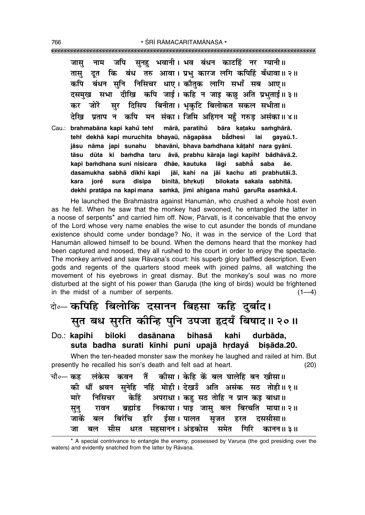जपि सुनहु भवानी । भव बंधन काटहिं नर ग्यानी ॥ नाम जास दत कि बंध तरु आवा। प्रभ कारज लगि कपिहिं बँधावा॥ २॥ तास बंधन सनि निसिचर धाए। कौतक लागि सभाँ सब आए॥ कपि दसमुख सभा दीखि कपि जाई। कहि न जाइ कछ अति प्रभुताई॥ ३॥ सर दिसिप बिनीता। भकटि बिलोकत सकल सभीता॥ जोरें  $\overline{a}$ प्रताप न कपि मन संका। जिमि अहिगन महँ गरुड असंका॥४॥ देखि

Cau.: brahmabāna kapi kahů tehř mārā, paratihů bāra kataku samqhārā. teht dekhā kapi muruchita bhavaū, nāgapāsa **b**adhesi lai aavaū.1. jāsu nāma japi sunahu bhavānī, bhava bamdhana kātahi nara gyānī. tāsu dūta ki bamdha taru āvā, prabhu kāraja lagi kapihi bådhāvā.2. kapi bamdhana suni nisicara dhāe, kautuka lāgi sabhaઁ saba āе. dasamukha sabhā dīkhi kapi jāi, kahi na jāi kachu ati prabhutāi.3. kara jorě sura disipa binītā, bhrkuti bilokata sakala sabhītā. dekhi pratāpa na kapi mana samkā, jimi ahigana mahu garuRa asamkā.4.

He launched the Brahmästra against Hanumän, who crushed a whole host even as he fell. When he saw that the monkey had swooned, he entangled the latter in a noose of serpents<sup>\*</sup> and carried him off. Now, Parvati, is it conceivable that the envoy of the Lord whose very name enables the wise to cut asunder the bonds of mundane existence should come under bondage? No, it was in the service of the Lord that Hanuman allowed himself to be bound. When the demons heard that the monkey had been captured and noosed, they all rushed to the court in order to enjoy the spectacle. The monkey arrived and saw Rāvana's court: his superb glory baffled description. Even gods and regents of the quarters stood meek with joined palms, all watching the movement of his eyebrows in great dismay. But the monkey's soul was no more disturbed at the sight of his power than Garuda (the king of birds) would be frightened in the midst of a number of serpents.  $(1-4)$ 

## बे-कपिहि बिलोकि दसानन बिहसा कहि दुर्बाद। सुत बध सुरति कीन्हि पुनि उपजा हृदयँ बिषाद्॥ २०॥

Do.: kapihi biloki dasānana bihasā kahi durbāda, suta badha surati kīnhi puni upajā hrdayå bisāda.20.

When the ten-headed monster saw the monkey he laughed and railed at him. But presently he recalled his son's death and felt sad at heart.  $(20)$ 

|  |  | चौ∘— कह लंकेस कवन तैं कीसा। केहि कें बल घालेहि बन खीसा॥ |  |                                                          |
|--|--|---------------------------------------------------------|--|----------------------------------------------------------|
|  |  |                                                         |  | की धौं श्रवन सुनेहि नहिं मोही। देखउँ अति असंक सठ तोही॥१॥ |
|  |  | मारे निसिचर केहिं अपराधा। कह सठ तोहि न प्रान कइ बाधा॥   |  |                                                          |
|  |  |                                                         |  | सुनु रावन ब्रह्मांड निकाया। पाइ जासु बल बिरचति माया॥ २॥  |
|  |  | जाकें बल बिरंचि हरि ईसा।पालत सृजत हरत दससीसा॥           |  |                                                          |
|  |  |                                                         |  | जा बल सीस धरत सहसानन।अंडकोस समेत गिरि कानन॥३॥            |

<sup>\*</sup> A special contrivance to entangle the enemy, possessed by Varuna (the god presiding over the waters) and evidently snatched from the latter by Rāvana.

766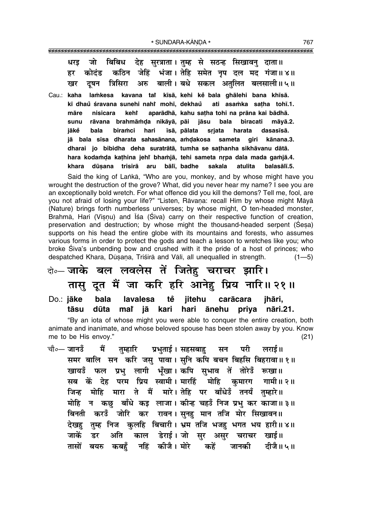जो बिबिध देह सरत्राता। तम्ह से सठन्ह सिखावन दाता॥ धरड कठिन जेहिं भंजा। तेहि समेत नृप दल मद गंजा॥४॥ कोदंड हर अरु बाली। बधे सकल अतुलित बलसाली॥५॥ त्रिसिरा खर टषन

Cau.: kaha lamkesa kavana tai kīsā, kehi ke bala ghālehi bana khīsā. kī dhaů śravana sunehi nahř mohī, dekhaů ati asamka satha tohī.1. aparādhā, kahu satha tohi na prāna kai bādhā. kehř māre nisicara sunu rāvana brahmāmda nikāyā, pāi jāsu bala biracati māvā.2. sriata iākě bala biramci hari īsā, pālata harata dasasīsā. jā bala sīsa dharata sahasānana, amdakosa sameta giri kānana.3. dharai jo bibidha deha suratrātā, tumha se sathanha sikhāvanu dātā. hara kodamda kathina jehr bhamjā, tehi sameta nrpa dala mada gamjā.4. bālī, badhe dūsana trisirā aru sakala atulita balasālī.5. khara

Said the king of Lanka, "Who are you, monkey, and by whose might have you wrought the destruction of the grove? What, did you never hear my name? I see you are an exceptionally bold wretch. For what offence did you kill the demons? Tell me, fool, are you not afraid of losing your life?" "Listen, Rāvana: recall Him by whose might Māyā (Nature) brings forth numberless universes; by whose might, O ten-headed monster, Brahmā, Hari (Vișņu) and Īśa (Śiva) carry on their respective function of creation, preservation and destruction; by whose might the thousand-headed serpent (Sesa) supports on his head the entire globe with its mountains and forests, who assumes various forms in order to protect the gods and teach a lesson to wretches like you; who broke Siva's unbending bow and crushed with it the pride of a host of princes; who despatched Khara, Dūșana, Triśirā and Vālī, all unequalled in strength.  $(1 - 5)$ 

#### के-जाके बल लवलेस तें जितेहु चराचर झारि। तासु दूत मैं जा करि हरि आनेहु प्रिय नारि॥ २१॥ tě Do.: jāke bala lavalesa jitehu carācara jhāri,

kari hari ānehu tāsu dūta mat iā priya nāri.21. "By an iota of whose might you were able to conquer the entire creation, both animate and inanimate, and whose beloved spouse has been stolen away by you. Know

me to be His envov."

चौ∘— जानउँ मैं तुम्हारि प्रभुताई। सहसबाह सन परी लराई॥ समर बालि सन करि जसु पावा। सुनि कपि बचन बिहसि बिहरावा॥१॥ खायउँ फल प्रभु लागी भूँखा।कपि सुभाव तें तोरेउँ रूखा॥ सब कें देह परम प्रिय स्वामी। मारहिं मोहि कमारग गामी॥२॥ जिन्ह मोहि मारा ते मैं मारे। तेहि पर बाँधेउँ तनयँ तुम्हारे॥ मोहि न कछ बाँधे कड़ लाजा। कीन्ह चहउँ निज प्रभ कर काजा॥३॥ बिनती करउँ जोरि कर रावन।सुनहु मान तजि मोर सिखावन॥ देखह तुम्ह निज कुलहि बिचारी। भ्रम तजि भजह भगत भय हारी॥४॥ डेराई । जो सर असर चराचर जाकें अति खाई॥ डर काल तासों कबहँ नहिं कीजै। मोरे कहें जानकी दीजै॥५॥ बयरु

 $(21)$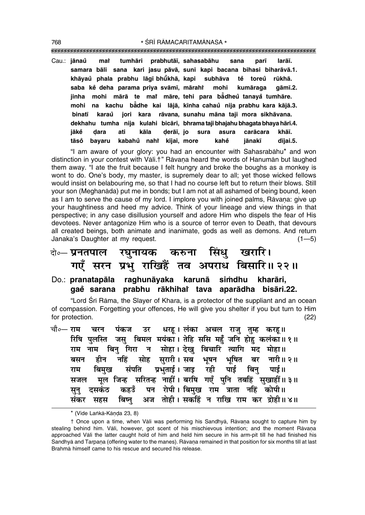""""""""""""""""""""""""""""""""""""""""""""""""""""""""""""""""""""""""""""""""""" 768 **\*** SRĪ RĀMACARITAMĀNASA \*

Cau.: **jånau mai ° Ú tumhåri prabhutå∂, sahasabåhu sana par∂ larå∂. samara båli sana kari jasu påvå, suni kapi bacana bihasi biharåvå.1. khåyau phala prabhu låg∂ bhµu ° ° khå, kapi subhåva te toreu ° rµukhå. ° saba ke deha parama priya svåm∂, mårahi ° Ú mohi kumåraga gåm∂.2. jinha mohi mårå te maiÚ måre, tehi para bå° dheu tanaya ° tumhåre. ° mohi na kachu bå° dhe kai låjå, k∂nha cahau nija prabhu kara kåjå.3. ° binat∂ karau jori kara ° råvana, sunahu måna taji mora sikhåvana. dekhahu tumha nija kulahi bicår∂, bhrama taji bhajahu bhagata bhaya hår∂.4. jåke Œara ati kåla Œerå∂, jo ° sura asura caråcara khå∂. tåso° bayaru kabahu nahi ° Ú k∂jai, more kahe jånak∂ d∂jai.5. °**

"I am aware of your glory: you had an encounter with Sahasrabahu\* and won distinction in your contest with Vāli.<sup>†</sup> Rāvana heard the words of Hanumān but laughed them away. "I ate the fruit because I felt hungry and broke the boughs as a monkey is wont to do. One's body, my master, is supremely dear to all; yet those wicked fellows would insist on belabouring me, so that I had no course left but to return their blows. Still your son (Meghanåda) put me in bonds; but I am not at all ashamed of being bound, keen as I am to serve the cause of my lord. I implore you with joined palms, Rāvana: give up your haughtiness and heed my advice. Think of your lineage and view things in that perspective; in any case disillusion yourself and adore Him who dispels the fear of His devotees. Never antagonize Him who is a source of terror even to Death, that devours all created beings, both animate and inanimate, gods as well as demons. And return Janaka's Daughter at my request. (1–5)

### दो**∘– प्रनतपाल रघुनायक करुना सिंधु खरारि।**  $\vec{v}$  सरन प्रभु राखिहैं तव अपराध बिसारि॥ २२॥

### Do.: **pranatapāla raghunāyaka karunā simdhu kharāri**, **gae sarana prabhu råkhihai ° Ú tava aparådha bisåri.22.**

"Lord Śrī Rāma, the Slayer of Khara, is a protector of the suppliant and an ocean of compassion. Forgetting your offences, He will give you shelter if you but turn to Him for protection. (22)

|  | चौ०— राम   चरन   पंकज   उर   धरहू । लंका  अचल  राजु  तुम्ह   करहू॥ |  |  |  |                                                              |  |
|--|--------------------------------------------------------------------|--|--|--|--------------------------------------------------------------|--|
|  |                                                                    |  |  |  | रिषि पुलस्ति जसु बिमल मयंका। तेहि ससि महुँ जनि होहु कलंका॥१॥ |  |
|  | राम नाम बिनु गिरा न सोहा।देखु बिचारि त्यागि मद मोहा॥               |  |  |  |                                                              |  |
|  |                                                                    |  |  |  | बसन हीन नहिं सोह सुरारी।सब भूषन भूषित बर नारी॥२॥             |  |
|  | राम बिमुख संपति प्रभुताई।जाइ रही पाई बिनु पाई॥                     |  |  |  |                                                              |  |
|  |                                                                    |  |  |  | सजल मूल जिन्ह सरितन्ह नाहीं। बरषि गएँ पुनि तबहिं सुखाहीं॥३॥  |  |
|  | सुनु दसकंठ कहउँ पन रोपी।बिमुख राम त्राता नहिं कोपी॥                |  |  |  |                                                              |  |
|  |                                                                    |  |  |  | संकर सहस बिष्नु अज तोही। सकहिं न राखि राम कर द्रोही॥४॥       |  |

<sup>\* (</sup>Vide Lankā-Kānda 23, 8)

<sup>†</sup> Once upon a time, when Vāli was performing his Sandhyā, Rāvaņa sought to capture him by stealing behind him. Vāli, however, got scent of his mischievous intention; and the moment Rāvana approached Våli the latter caught hold of him and held him secure in his arm-pit till he had finished his Sandhyā and Tarpana (offering water to the manes). Rāvana remained in that position for six months till at last Brahmå himself came to his rescue and secured his release.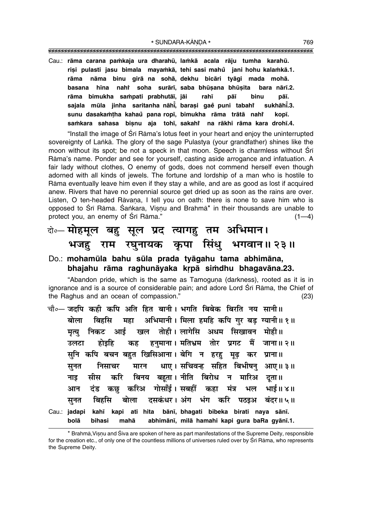\* SUNDARA-KĀNDA \*

Cau.: rāma carana pamkaja ura dharahū, lamkā acala rāju tumha karahū. risi pulasti jasu bimala mayamkā, tehi sasi mahu jani hohu kalamkā.1. nāma binu girā na sohā dekhu bicāri tvāgi mada mohā. rāma basana hīna nahi soha surārī, saba bhūsana bhūsita bara nārī.2. rāma bimukha sampati prabhutāi, jāi rahī pāī binu pāī. sajala mūla jinha saritanha nāhī, barasi gaĕ puni tabaht sukhāhī.3. sunu dasakamțha kahaů pana ropī, bimukha rāma trātā nahř kopī. samkara sahasa bisnu aja tohī, sakahi na rākhi rāma kara drohī.4.

"Install the image of Srī Rāma's lotus feet in your heart and enjoy the uninterrupted sovereignty of Lanka. The glory of the sage Pulastya (your grandfather) shines like the moon without its spot; be not a speck in that moon. Speech is charmless without Sri Rāma's name. Ponder and see for yourself, casting aside arrogance and infatuation. A fair lady without clothes, O enemy of gods, does not commend herself even though adorned with all kinds of jewels. The fortune and lordship of a man who is hostile to Rāma eventually leave him even if they stay a while, and are as good as lost if acquired anew. Rivers that have no perennial source get dried up as soon as the rains are over. Listen, O ten-headed Rāvana, I tell you on oath: there is none to save him who is opposed to Śrī Rāma. Śankara, Visnu and Brahmā\* in their thousands are unable to protect you, an enemy of Sri Rāma."  $(1-4)$ 

### वे०-सोहमूल बहु सूल प्रद त्यागहु तम अभिमान। भजहु राम रघुनायक कृपा सिंधु भगवान॥२३॥

### Do.: mohamūla bahu sūla prada tyāgahu tama abhimāna, bhajahu rāma raghunāyaka krpā simdhu bhagavāna.23.

"Abandon pride, which is the same as Tamoguna (darkness), rooted as it is in ignorance and is a source of considerable pain; and adore Lord Śrī Rāma, the Chief of the Raghus and an ocean of compassion."  $(23)$ 

चौ०— जदपि कही कपि अति हित बानी। भगति बिबेक बिरति नय सानी॥ महा अभिमानी। मिला हमहि कपि गर बड ग्यानी॥ १॥ बोला बिर्हास मृत्य निकट आई खल तोही।लागेसि अधम सिखावन मोही॥ हनुमाना। मतिभ्रम तोर प्रगट मैं जाना॥ २॥ कह उलटा होडहि सुनि कपि बचन बहुत खिसिआना। बेगि न हरह मुढ कर प्राना॥ मारन धाए। सचिवन्ह सहित बिभीषनु आए॥३॥ निसाचर सनत बिनय बहूता। नीति बिरोध न मारिअ दूता॥ मीस करि नाड दंड कछ करिअ गोसाँई। सबहीं कहा मंत्र भल भाई॥ ४॥ आन दसकंधर। अंग भंग करि पठइअ बंदर॥५॥ बिर्हास बोला सूनत Cau.: jadapi kahī kapi ati hita bānī, bhagati bibeka birati naya sānī. bolā bihasi mahā abhimānī, milā hamahi kapi gura baRa gyānī.1.

<sup>\*</sup> Brahmā, Visnu and Śiva are spoken of here as part manifestations of the Supreme Deity, responsible for the creation etc., of only one of the countless millions of universes ruled over by Srī Rāma, who represents the Supreme Deity.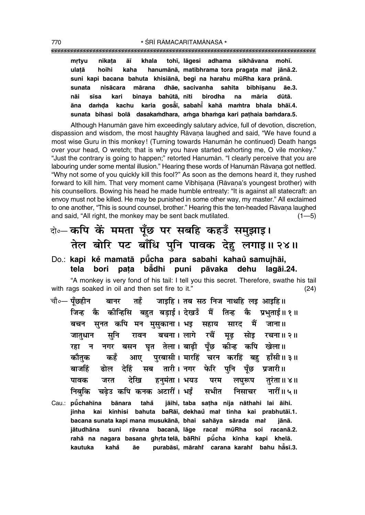tohī, lāgesi adhama sikhāvana mohī. mrtyu nikata āī khala hanumānā, matibhrama tora pragata mai jānā.2. ulatā hoihi kaha suni kapi bacana bahuta khisiānā, begi na harahu mūRha kara prānā. mārana dhāe, sacivanha sahita bibhīsanu sunata nisācara āe.3. nāi sīsa kari binaya bahūtā, nīti birodha na māria dūtā. karia gosai, sabahi kahā mamtra bhala bhāi.4. āna damda kachu sunata bihasi bolā dasakamdhara, amga bhamga kari pathaia bamdara.5.

Although Hanuman gave him exceedingly salutary advice, full of devotion, discretion, dispassion and wisdom, the most haughty Rāvana laughed and said, "We have found a most wise Guru in this monkey! (Turning towards Hanuman he continued) Death hangs over your head, O wretch; that is why you have started exhorting me, O vile monkey." "Just the contrary is going to happen;" retorted Hanuman. "I clearly perceive that you are labouring under some mental illusion." Hearing these words of Hanuman Ravana got nettled. "Why not some of you quickly kill this fool?" As soon as the demons heard it, they rushed forward to kill him. That very moment came Vibhisana (Rāvana's youngest brother) with his counsellors. Bowing his head he made humble entreaty: "It is against all statecraft: an envoy must not be killed. He may be punished in some other way, my master." All exclaimed to one another, "This is sound counsel, brother." Hearing this the ten-headed Rāvana laughed and said, "All right, the monkey may be sent back mutilated.  $(1 - 5)$ 

# वे॰ कपि कें ममता पूँछ पर सबहि कहउँ समुझाइ। तेल बोरि पट बाँधि पुनि पावक देहु लगाइ॥ २४॥

Do.: kapi kě mamatā pūcha para sabahi kahaŭ samujhāi, tela bori pata bådhi puni pāvaka dehu laqāi.24.

"A monkey is very fond of his tail: I tell you this secret. Therefore, swathe his tail with rags soaked in oil and then set fire to it."  $(24)$ 

- चौ∘— पँछहीन तहँ जाइहि। तब सठ निज नाथहि लइ आइहि॥ बानर कोन्हिसि बहुत बडाई। देखडँ मैं तिन्ह जिन्ह कै कै प्रभताई॥ १॥ बचन सुनत कपि मन मुसुकाना। भइ सारद मैं जाना ॥ सहाय रचैं बचना । लागे रचना॥ २॥ जातधान सनि रावन मढ सोड़ नगर बसन घृत तेला।बाढ़ी पूँछ कीन्ह कपि खेला॥ रहा न कौतक कहँ आए पुरबासी। मारहिं चरन करहिं बह हाँसी॥३॥ तारी । नगर फेरि पनि बाजहिं ढोल देहिं सब पँछ प्रजारी।। हनमंता । भयउ देखि पावक जरत परम लघरूप तरंता॥ ४॥ निबुकि चढेउ कपि कनक अटारीं। भईं नारीं॥ ५ ॥ सभीत निसाचर
- Cau.: puchahina bānara jāihi, taba satha nija nāthahi lai āihi. tahå kīnhisi bahuta baRāī, dekhau mat tinha kai prabhutāī.1. jinha kai bacana sunata kapi mana musukānā, bhai sahāya sārada mat iānā. bacanā, lāge racat mūRha soi racanā.2. iātudhāna suni rāvana rahā na nagara basana ghrta telā, bāRhī pūcha kīnha kapi khelā. kahå purabāsī, mārahi carana karahi bahu hāsī.3. kautuka āе

770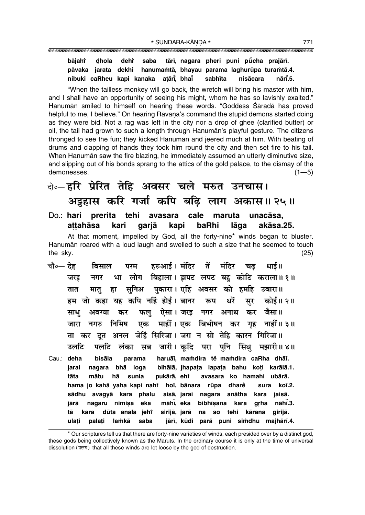tārī, nagara pheri puni pūcha prajārī. bājahr dhola deht saba hanumamtā, bhayau parama laghurūpa turamtā.4. pāvaka jarata dekhi nibuki caRheu kapi kanaka atārī bhaī sabhīta nisācara nārī.5.

"When the tailless monkey will go back, the wretch will bring his master with him, and I shall have an opportunity of seeing his might, whom he has so lavishly exalted." Hanumān smiled to himself on hearing these words. "Goddess Śāradā has proved helpful to me, I believe." On hearing Rāvana's command the stupid demons started doing as they were bid. Not a rag was left in the city nor a drop of ghee (clarified butter) or oil, the tail had grown to such a length through Hanuman's playful gesture. The citizens thronged to see the fun; they kicked Hanuman and jeered much at him. With beating of drums and clapping of hands they took him round the city and then set fire to his tail. When Hanuman saw the fire blazing, he immediately assumed an utterly diminutive size, and slipping out of his bonds sprang to the attics of the gold palace, to the dismay of the demonesses.  $(1 - 5)$ 

## के—हरि प्रेरित तेहि अवसर चले मरुत उनचास। अट्टहास करि गर्जा कपि बढ़ि लाग अकास॥२५॥

Do.: hari prerita tehi avasara cale maruta unacāsa. attahāsa kari kapi baRhi lāga akāsa.25. garjā

At that moment, impelled by God, all the forty-nine\* winds began to bluster. Hanuman roared with a loud laugh and swelled to such a size that he seemed to touch the sky.  $(25)$ 

- हरुआई। मंदिर तें मंदिर चौ०— देह्र धार्ड ॥ बिसाल परम चढ लोग बिहाला। झपट लपट बह कोटि कराला॥१॥ भा जरड नगर सनिअ पकारा। एहिं अवसर को हमहि उबारा॥ मातु हा तात हम जो कहा यह कपि नहिं होई। बानर रूप धरें सर कोई॥ २॥ फलु ऐसा। जरइ नगर अनाथ कर जैसा॥ साध अवग्या कर माहीं। एक बिभीषन कर गृह नाहीं॥३॥ निमिष एक जारा नगरु ता कर दुत अनल जेहिं सिरिजा। जरा न सो तेहि कारन गिरिजा॥ उलटि पलटि सब जारी। कदि परा पनि सिंध मझारी॥४॥ लंका
- haruāī, mamdira tě mamdira caRha dhāī. Cau.: deha bisāla parama jarai nagara bha loga bihālā, jhapata lapata bahu koți karālā.1. pukārā, ehř avasara ko hamahi ubārā. tāta mātu hā sunia hama jo kahā yaha kapi nahi hoī, bānara rūpa dharẻ sura koī.2. sādhu avagyā kara phalu aisā jarai nagara anātha kara jaisā. grha nāhī.3. māhī, eka bibhīsana iārā nagaru nimisa eka kara tā dūta anala jehi sirijā, jarā na so tehi kārana girijā. kara ulati lamkā saba jārī, kūdi parā puni simdhu majhārī.4. palați

<sup>\*</sup> Our scriptures tell us that there are forty-nine varieties of winds, each presided over by a distinct god, these gods being collectively known as the Maruts. In the ordinary course it is only at the time of universal dissolution (प्रलय) that all these winds are let loose by the god of destruction.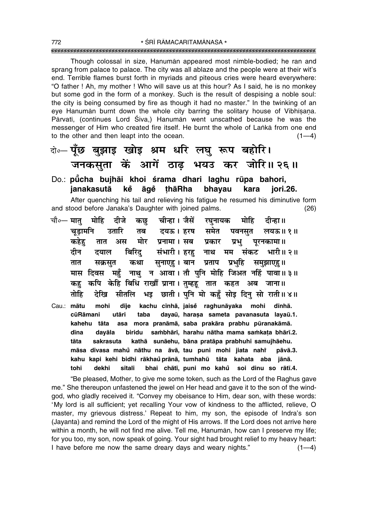Though colossal in size, Hanuman appeared most nimble-bodied; he ran and sprang from palace to palace. The city was all ablaze and the people were at their wit's end. Terrible flames burst forth in myriads and piteous cries were heard everywhere: "O father ! Ah, my mother ! Who will save us at this hour? As I said, he is no monkey but some god in the form of a monkey. Such is the result of despising a noble soul: the city is being consumed by fire as though it had no master." In the twinking of an eye Hanuman burnt down the whole city barring the solitary house of Vibhisana. Pārvatī, (continues Lord Śiva,) Hanumān went unscathed because he was the messenger of Him who created fire itself. He burnt the whole of Lanka from one end to the other and then leapt into the ocean.  $(1-4)$ 

### बे-यूँछ बुझाइ खोइ श्रम धरि लघु रूप बहोरि। जनकसूता कें आगें ठाढ़ भयउ कर जोरि॥ २६॥

#### Do.: pūcha bujhāi khoi śrama dhari laghu rūpa bahori, ianakasutā kể āɑẻ thāRha bhayau kara iori.26.

After quenching his tail and relieving his fatigue he resumed his diminutive form and stood before Janaka's Daughter with joined palms.  $(26)$ 

- चौ०— मात् मोहि दीजे चीन्हा । जैसें रघुनायक मोहि दीन्हा ॥ कछ दयऊ । हरष समेत चडामनि उतारि पवनसत तब लयऊ॥ १॥ मोर प्रनामा। सब प्रकार प्रभ कहेह तात अस परनकामा ॥ संभारी। हरह नाथ मम दीन बिरिद संकट भारी॥ २॥ दयाल सनाएह। बान प्रताप प्रभहि समझाएह॥ तात सक्रसत कथा मास दिवस महुँ नाथु न आवा। तौ पुनि मोहि जिअत नहिं पावा॥३॥ कपि केहि बिधि राखौं प्राना। तुम्हहू तात कहत अब जाना॥ कह देखि सीतलि भड़ छाती। पनि मो कहँ सोड़ दिन सो राती॥४॥ तोहि
- Cau.: mātu kachu cīnhā, jaise raghunāyaka mohi mohi dīie dīnhā. cūRāmani utāri taba dayaū, harasa sameta pavanasuta layaū.1. kahehu tāta asa mora pranāmā, saba prakāra prabhu pūranakāmā. dīna dayāla biridu sambhārī, harahu nātha mama samkata bhārī.2. sakrasuta kathā sunāehu, bāna pratāpa prabhuhi samujhāehu. tāta māsa divasa mahů nāthu na āvā, tau puni mohi jiata nahř pāvā.3. kahu kapi kehi bidhi rākhaŭ prānā, tumhahū tāta kahata aba jānā. sītali bhai chātī, puni mo kahů soi dinu so rātī.4. tohi dekhi

"Be pleased, Mother, to give me some token, such as the Lord of the Raghus gave me." She thereupon unfastened the jewel on Her head and gave it to the son of the windgod, who gladly received it. "Convey my obeisance to Him, dear son, with these words: 'My lord is all sufficient; yet recalling Your vow of kindness to the afflicted, relieve, O master, my grievous distress.' Repeat to him, my son, the episode of Indra's son (Jayanta) and remind the Lord of the might of His arrows. If the Lord does not arrive here within a month, he will not find me alive. Tell me, Hanuman, how can I preserve my life; for you too, my son, now speak of going. Your sight had brought relief to my heavy heart: I have before me now the same dreary days and weary nights."  $(1-4)$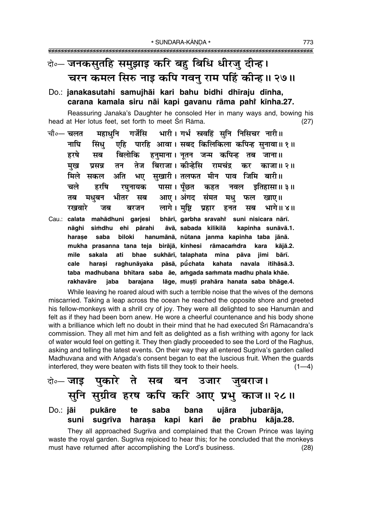### बे-जनकसुतहि समुझाइ करि बहु बिधि धीरजु दीन्ह। चरन कमल सिरु नाइ कपि गवनु राम पहिं कीन्ह।। २७॥

### Do.: janakasutahi samujhāi kari bahu bidhi dhīraju dīnha, carana kamala siru nāi kapi gavanu rāma pahi kīnha.27.

Reassuring Janaka's Daughter he consoled Her in many ways and, bowing his head at Her lotus feet, set forth to meet Sri Rāma.  $(27)$ 

- महाधनि गर्जेसि भारी। गर्भ स्त्रवहिं सुनि निसिचर नारी॥ चौ∘— चलत एहि पारहि आवा। सबद किलिकिला कपिन्ह सुनावा॥१॥ नाघि सिंध हरषे बिलोकि हनमाना। नतन जन्म कपिन्ह तब जाना॥ सब तेज बिराजा। कीन्हेसि रामचंद्र तन कर काजा॥ २॥ मख प्रसन्न सखारी। तलफत मीन पाव जिमि बारी॥ मिले अति भए सकल पासा। पँछत चले हरषि रघनायक कहत नवल इतिहासा॥ ३॥ आए। अंगद भीतर तब मधबन सब संमत मध फल खाए।। लागे। मष्टि प्रहार भागे॥ ४॥ रखवारे सब जब बरजन हनत Cau.: calata mahādhuni garjesi bhārī, garbha sravahi suni nisicara nārī.
- simdhu ehi pārahi nāghi āvā, sabada kilikilā kapinha sunāvā.1. harase saba biloki hanumānā, nūtana janma kapinha taba jānā. mukha prasanna tana teja birājā, kīnhesi rāmacamdra kara kājā.2. mile sakala ati bhae sukhārī, talaphata mīna pāva jimi bārī. pāsā, pū̃chata kahata cale harasi raghunāvaka navala itihāsā.3. taba madhubana bhītara saba āe, amgada sammata madhu phala khāe. lāge, musti prahāra hanata saba bhāge.4. rakhavāre iaba baraiana

While leaving he roared aloud with such a terrible noise that the wives of the demons miscarried. Taking a leap across the ocean he reached the opposite shore and greeted his fellow-monkeys with a shrill cry of joy. They were all delighted to see Hanuman and felt as if they had been born anew. He wore a cheerful countenance and his body shone with a brilliance which left no doubt in their mind that he had executed Srī Rāmacandra's commission. They all met him and felt as delighted as a fish writhing with agony for lack of water would feel on getting it. They then gladly proceeded to see the Lord of the Raghus, asking and telling the latest events. On their way they all entered Sugriva's garden called Madhuvana and with Angada's consent began to eat the luscious fruit. When the guards interfered, they were beaten with fists till they took to their heels.  $(1-4)$ 

#### पकारे ते सब बन उजार दो**०– जाड** जुबराज। सुनि सुग्रीव हरष कपि करि आए प्रभु काज॥२८॥ ujāra Do.: jāi pukāre te saba bana jubarāja, harasa kapi kari āe prabhu kāja.28. suni sugrīva

They all approached Sugriva and complained that the Crown Prince was laying waste the royal garden. Sugriva rejoiced to hear this; for he concluded that the monkeys must have returned after accomplishing the Lord's business.  $(28)$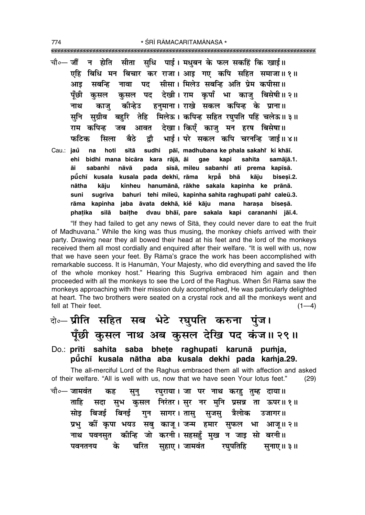\* ŚRĪ RĀMACARITAMĀNASA \* 

चौ०— **जों** न होति सीता सधि पाई। मधबन के फल सकहिं कि खाई॥ एहि बिधि मन बिचार कर राजा। आड़ गए कपि सहित समाजा॥१॥ पद सीसा। मिलेउ सबन्धि अति प्रेम कपीसा॥ मबन्धि नावा आड पँछी पद देखी। राम कपाँ भा काज बिसेषी॥२॥ कसल कसल हनुमाना। राखे सकल कपिन्ह के प्राना॥ नाथ कोन्हेउ काज सग्रीव बहरि तेहि मिलेऊ। कपिन्ह सहित रघपति पहिं चलेऊ॥३॥ सनि आवत देखा। किएँ काजु मन हरष बिसेषा॥ राम कपिन्ह जब भाई। परे सकल कपि चरनन्हि जाई॥४॥ फटिक बैठे द्रौ सिला Cau.: **jaů** sītā sudhi pāī, madhubana ke phala sakahi ki khāī. na hoti bidhi mana bicāra kara rājā, āi kapi ehi gae sahita samājā.1. sīsā, mileu sabanhi ati prema kapīsā. āi sabanhi nāvā pada pūchī kusala kusala pada dekhī, rāma krpå bhā kāju bisesī.2. kīnheu hanumānā, rākhe sakala kapinha ke prānā. nātha kāju sugrīva bahuri tehi mileū, kapinha sahita raghupati pahi caleū.3. suni rāma kapinha jaba āvata dekhā, kie kāju mana harasa bisesā. baithe dvau bhāi, pare sakala kapi carananhi jāi.4. phatika silā

"If they had failed to get any news of Sita, they could never dare to eat the fruit of Madhuvana." While the king was thus musing, the monkey chiefs arrived with their party. Drawing near they all bowed their head at his feet and the lord of the monkeys received them all most cordially and enquired after their welfare. "It is well with us, now that we have seen your feet. By Rama's grace the work has been accomplished with remarkable success. It is Hanuman, Your Majesty, who did everything and saved the life of the whole monkey host." Hearing this Sugriva embraced him again and then proceeded with all the monkeys to see the Lord of the Raghus. When Sri Rama saw the monkeys approaching with their mission duly accomplished. He was particularly delighted at heart. The two brothers were seated on a crystal rock and all the monkeys went and fell at Their feet.  $(1-4)$ 

- वे∘– प्रीति सहित सब भेटे रघुपति करुना पुंज। पूँछी कुसल नाथ अब कुसल देखि पद कंज॥ २९॥
- Do.: prīti sahita saba bhete raghupati karunā pumja, pūchī kusala nātha aba kusala dekhi pada kamja.29.

The all-merciful Lord of the Raghus embraced them all with affection and asked of their welfare. "All is well with us, now that we have seen Your lotus feet."  $(29)$ 

चौ०— जामवंत रघुराया। जा पर नाथ करहु तुम्ह दाया॥ कह सून् सदा सुभ कुसल निरंतर। सुर नर मुनि प्रसन्न ता ऊपर॥१॥ ताहि गुन सागर।तासु सुजसु सोड बिजर्ड बिनर्ड त्रैलोक उजागर।। कीं कृपा भयउ सबु काजु । जन्म हमार सुफल भा आजु ॥ २ ॥ प्रभ नाथ पवनसृत कीन्हि जो करनी। सहसहँ मुख न जाइ सो बरनी॥ के चरित सहाए। जामवंत रघपतिहि सनाए॥३॥ पवनतनय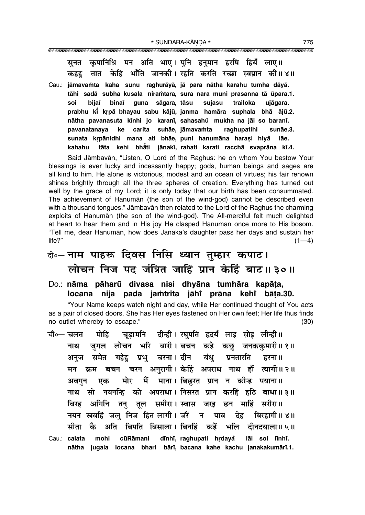कपानिधि मन अति भाए। पनि हनमान हरषि हियँ लाए॥ सनत तात केहि भाँति जानकी। रहति करति रच्छा स्वप्रान की॥४॥ कहह

Cau.: jāmavamta kaha sunu raghurāyā, jā para nātha karahu tumha dāyā. tāhi sadā subha kusala niramtara, sura nara muni prasanna tā ūpara.1. guna sāgara, tāsu soi biiaī binaī sujasu trailoka ujāgara. prabhu ki krpā bhayau sabu kājū, janma hamāra suphala bhā ājū.2. nātha pavanasuta kīnhi jo karanī, sahasahu mukha na jāi so baranī. ke carita suhāe, jāmavamta pavanatanaya raghupatihi sunāe.3. sunata krpānidhi mana ati bhāe, puni hanumāna harași hiyå lāe. tāta kehi bhāti jānakī, rahati karati racchā svaprāna kī.4. kahahu

Said Jāmbavān, "Listen, O Lord of the Raghus: he on whom You bestow Your blessings is ever lucky and incessantly happy; gods, human beings and sages are all kind to him. He alone is victorious, modest and an ocean of virtues; his fair renown shines brightly through all the three spheres of creation. Everything has turned out well by the grace of my Lord; it is only today that our birth has been consummated. The achievement of Hanuman (the son of the wind-god) cannot be described even with a thousand tongues." Jāmbavān then related to the Lord of the Raghus the charming exploits of Hanuman (the son of the wind-god). The All-merciful felt much delighted at heart to hear them and in His joy He clasped Hanuman once more to His bosom. "Tell me, dear Hanumān, how does Janaka's daughter pass her days and sustain her  $life$ ?"  $(1-4)$ 

# बे॰- नाम पाहरू दिवस निसि ध्यान तुम्हार कपाट। लोचन निज पद जंत्रित जाहिं प्रान केहिं बाट॥३०॥

Do.: nāma pāharū divasa nisi dhyāna tumhāra kapāta, locana nija pada jamtrita jāhi prāna kehi bāta.30.

"Your Name keeps watch night and day, while Her continued thought of You acts as a pair of closed doors. She has Her eyes fastened on Her own feet; Her life thus finds no outlet whereby to escape."  $(30)$ 

चड़ामनि दीन्ही। रघुपति हृदयँ लाइ सोइ लीन्ही॥ मोहि चौ०— चलत जुगल लोचन भरि बारी।बचन कहे कछु जनककुमारी॥१॥ नाथ अनुज समेत गहेहु प्रभु चरना।दीन बंधु प्रनतारति हरना ॥ मन क्रम बचन चरन अनुरागी। केहिं अपराध नाथ हौं त्यागी॥२॥ मोर मैं माना। बिछुरत प्रान न कीन्ह पयाना॥ एक अवगन नाथ सो नयनन्हि को अपराधा। निसरत प्रान करहिं हठि बाधा॥३॥ अगिनि तनु तूल समीरा।स्वास जरइ छन माहिं सरीरा॥ बिरह नयन स्रवहिं जल निज हित लागी। जौँ न पाव देह बिरहागी।। ४॥ कै अति बिपति बिसाला। बिनहिं कहें भलि दीनदयाला॥५॥ सीता Cau.: calata mohi cūRāmani dīnhī, raghupati hrdaya lāi soi līnhī. nātha jugala locana bhari bārī, bacana kahe kachu janakakumārī.1.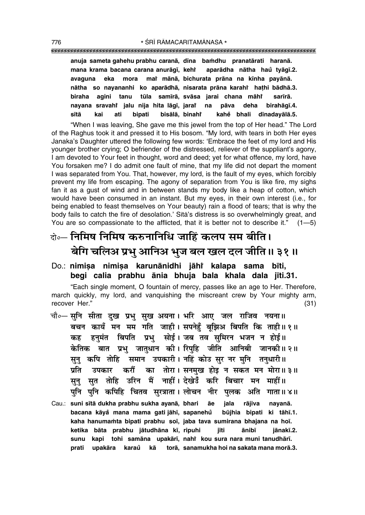| anuja sameta gahehu prabhu caranā, dīna bamdhu pranatārati haranā.   |
|----------------------------------------------------------------------|
| mana krama bacana carana anurāgī, kehi aparādha nātha haŭ tyāgī.2.   |
| avaguna eka mora mai mānā, bichurata prāna na kīnha payānā.          |
| nātha so nayananhi ko aparādhā, nisarata prāna karahi hathi bādhā.3. |
| biraha agini tanu tūla samīrā, svāsa jarai chana māhi sarīrā.        |
| nayana sravahi jalu nija hita lāgī, jarai na pāva deha birahāgī.4.   |
| sītā kai ati bipati bisālā, binahi kahe bhali dīnadayālā.5.          |

ìWhen I was leaving, She gave me this jewel from the top of Her head.î The Lord of the Raghus took it and pressed it to His bosom. "My lord, with tears in both Her eyes Janaka's Daughter uttered the following few words: 'Embrace the feet of my lord and His younger brother crying; O befriender of the distressed, reliever of the suppliantís agony, I am devoted to Your feet in thought, word and deed; yet for what offence, my lord, have You forsaken me? I do admit one fault of mine, that my life did not depart the moment I was separated from You. That, however, my lord, is the fault of my eyes, which forcibly prevent my life from escaping. The agony of separation from You is like fire, my sighs fan it as a gust of wind and in between stands my body like a heap of cotton, which would have been consumed in an instant. But my eyes, in their own interest (i.e., for being enabled to feast themselves on Your beauty) rain a flood of tears; that is why the body fails to catch the fire of desolation.' Sītā's distress is so overwhelmingly great, and You are so compassionate to the afflicted, that it is better not to describe it."  $(1-5)$ 

## दो**०– निमिष निमिष करुनानिधि जाहिं कलप सम बीति।** बेगि चलिअ प्रभु आनिअ भुज बल खल दल जीति ॥ ३१ ॥

Do.: <mark>nimiṣa nimiṣa karunānidhi jāhi kalapa sama bīti,</mark> **begi calia prabhu ånia bhuja bala khala dala j∂ti.31.**

ìEach single moment, O fountain of mercy, passes like an age to Her. Therefore, march quickly, my lord, and vanquishing the miscreant crew by Your mighty arm, recover Her." (31)

- चौ०– सुनि सीता दुख प्रभु सुख अयना। भरि आए जल राजिव नयना॥ खचन कायँ मन मम गति जाही। सपनेहँ बझिअ बिपति कि ताही॥१॥ <u>कह हनुमंत बिपति प्रभु सोई।जब तव सुमिरन भजन न होई॥</u> केतिक बात प्रभ जातधान की।**सिपहि जीति आनिबी जानकी॥२॥** सूनु कपि तोहि समान उपकारी। नहिं कोउ सुर नर मुनि तनुधारी॥ प्रति उपकार करौं का तोरा। सनमुख होइ न सकत मन मोरा॥ ३॥ सन सत तोहि उरिन मैं नाहीं।**देखेउँ करि बिचार मन माहीं**॥ पुनि पुनि कपिहि चितव सुरत्राता। लोचन नीर पुलक अति गाता॥४॥
- Cau.: **suni s∂tå dukha prabhu sukha ayanå, bhari åe jala råjiva nayanå. bacana kāyå mana mama gati jāhī, sapanehů būjhia bipati ki tāhī.1.** kaha hanumamta bipati prabhu soī, jaba tava sumirana bhajana na hoī. **ketika båta prabhu jåtudhåna k∂, ripuhi j∂ti ånib∂ jånak∂.2. sunu kapi tohi samåna upakår∂, nahiÚ kou sura nara muni tanudhår∂. prati upakåra karau kå torå, ° sanamukha hoi na sakata mana morå.3.**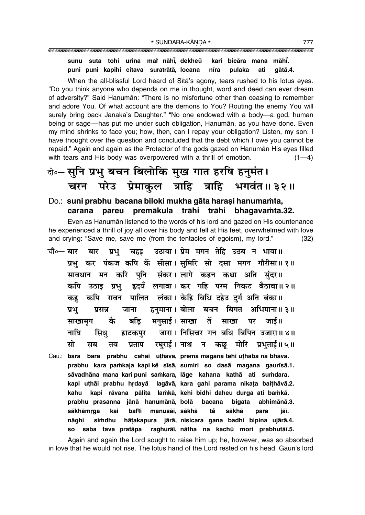### 

sunu suta tohi urina mai nāhi, dekheů kari bicāra mana māhī. puni puni kapihi citava suratrātā, locana nīra pulaka ati qātā.4.

When the all-blissful Lord heard of Sita's agony, tears rushed to his lotus eyes. "Do you think anyone who depends on me in thought, word and deed can ever dream of adversity?" Said Hanumān: "There is no misfortune other than ceasing to remember and adore You. Of what account are the demons to You? Routing the enemy You will surely bring back Janaka's Daughter." "No one endowed with a body-a god, human being or sage—has put me under such obligation, Hanuman, as you have done. Even my mind shrinks to face you; how, then, can I repay your obligation? Listen, my son: I have thought over the question and concluded that the debt which I owe you cannot be repaid." Again and again as the Protector of the gods gazed on Hanuman His eyes filled with tears and His body was overpowered with a thrill of emotion.  $(1-4)$ 

# बे-सुनि प्रभु बचन बिलोकि मुख गात हरषि हनुमंत। चरन परेउ प्रेमाकुल त्राहि त्राहि भगवंत॥३२॥

#### Do.: suni prabhu bacana biloki mukha gāta harași hanumamta, pareu premākula trāhi trāhi carana bhagavamta.32.

Even as Hanuman listened to the words of his lord and gazed on His countenance he experienced a thrill of joy all over his body and fell at His feet, overwhelmed with love and crying: "Save me, save me (from the tentacles of egoism), my lord."  $(32)$ 

- उठावा। प्रेम मगन तेहि उठब न भावा॥ चौ∘— बार बार प्रभ चहड प्रभ कर पंकज कपि कें सीसा। समिरि सो दसा मगन गौरीसा॥१॥ सावधान मन करि पनि संकर।लागे कहन कथा अति संदर॥ हृदयँ लगावा। कर गहि परम निकट बैठावा॥२॥ कपि उठाइ प्रभ् पालित लंका। केहि बिधि दहेउ दुर्ग अति बंका॥ कपि रावन कह हनमाना। बोला बचन बिगत अभिमाना॥३॥ प्रभ प्रसन्न जाना मनुसाई। साखा तें कै बद्धि साखा पर साखामृग जार्द ॥ सिंध जारा। निसिचर गन बधि बिपिन उजारा॥४॥ नाघि हाटकपर सो रघुराई। नाथ न कछ् मोरि प्रभुताई॥५॥ मब तव प्रताप
- Cau.: bāra bāra prabhu cahai uṭhāvā, prema magana tehi uṭhaba na bhāvā. prabhu kara pamkaja kapi ke sīsā, sumiri so dasā magana gaurīsā.1. sāvadhāna mana kari puni samkara, lāge kahana kathā ati sumdara. kapi uthāi prabhu hrdayå lagāvā, kara gahi parama nikata baithāvā.2. kahu kapi rāvana pālita lamkā, kehi bidhi daheu durga ati bamkā. prabhu prasanna jānā hanumānā, bolā bacana bigata abhimānā.3. sākhāmrga baRi manusāī, sākhā tě sākhā kai para jāī. nāahi simdhu hātakapura jārā, nisicara gana badhi bipina ujārā.4. saba tava pratāpa raghurāi, nātha na kachū mori prabhutāi.5. **SO**

Again and again the Lord sought to raise him up; he, however, was so absorbed in love that he would not rise. The lotus hand of the Lord rested on his head. Gauri's lord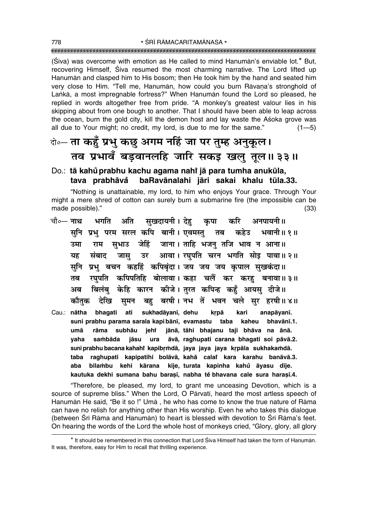(Siva) was overcome with emotion as He called to mind Hanuman's enviable lot.\* But, recovering Himself, Siva resumed the most charming narrative. The Lord lifted up Hanuman and clasped him to His bosom; then He took him by the hand and seated him very close to Him. "Tell me, Hanumān, how could you burn Rāvana's stronghold of Lanka, a most impregnable fortress?" When Hanuman found the Lord so pleased, he replied in words altogether free from pride. "A monkey's greatest valour lies in his skipping about from one bough to another. That I should have been able to leap across the ocean, burn the gold city, kill the demon host and lay waste the Asoka grove was all due to Your might; no credit, my lord, is due to me for the same."  $(1 - 5)$ 

## केन्ता कहुँ प्रभु कछु अगम नहिं जा पर तुम्ह अनुकूल। तव प्रभावँ बडवानलहि जारि सकड खल तुल॥३३॥

#### Do.: tā kahů prabhu kachu agama nahi jā para tumha anukūla, baRavānalahi jāri sakai khalu tūla.33. tava prabhāvå

"Nothing is unattainable, my lord, to him who enjoys Your grace. Through Your might a mere shred of cotton can surely burn a submarine fire (the impossible can be made possible)."  $(33)$ 

- चौ∘— **नाथ** भगति अति सखदायनी। देह कपा करि अनपायनी॥ सनि प्रभ परम सरल कपि बानी। एवमस्त तब कहेउ भवानी॥१॥ राम सुभाउ जेहिं जाना। ताहि भजन् तजि भाव न आना॥ उमा उर आवा। रघुपति चरन भगति सोइ पावा॥२॥ संबाद जास यह सुनि प्रभु बचन कहहिं कपिबृंदा। जय जय जय कृपाल सुखकंदा॥ रघपति कपिपतिहि बोलावा। कहा चलैं कर करह बनावा॥३॥ तब बिलंब केहि कारन कीजे। तरत कपिन्ह कहँ आयस दीजे॥ अब बह बरषी। नभ तें भवन चले सर हरषी॥४॥ कौतक देखि सुमन
- Cau.: nātha bhagati ati sukhadāyanī, dehu krpā kari anapāyanī. suni prabhu parama sarala kapi bānī, evamastu taba kaheu bhavānī.1. jānā, tāhi bhajanu taji bhāva na ānā. umā rāma subhāu jehi yaha sambāda jāsu ura āvā, raghupati carana bhagati soi pāvā.2. suni prabhu bacana kahahi kapibrmdā, jaya jaya jaya krpāla sukhakamdā. raghupati kapipatihi bolāvā, kahā calař kara karahu banāvā.3. taba aba bilambu kehi kārana kīje, turata kapinha kahů āyasu dīje. kautuka dekhi sumana bahu barasī, nabha tě bhavana cale sura harasī.4.

"Therefore, be pleased, my lord, to grant me unceasing Devotion, which is a source of supreme bliss." When the Lord, O Pārvatī, heard the most artless speech of Hanumān He said, "Be it so!" Umā, he who has come to know the true nature of Rāma can have no relish for anything other than His worship. Even he who takes this dialogue (between Srī Rāma and Hanumān) to heart is blessed with devotion to Srī Rāma's feet. On hearing the words of the Lord the whole host of monkeys cried, "Glory, glory, all glory

<sup>\*</sup> It should be remembered in this connection that Lord Śiva Himself had taken the form of Hanumān. It was, therefore, easy for Him to recall that thrilling experience.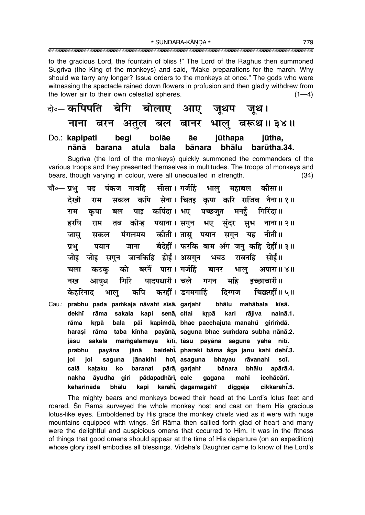\* SUNDARA-KĀNDA \* 

to the gracious Lord, the fountain of bliss !" The Lord of the Raghus then summoned Sugriva (the King of the monkeys) and said, "Make preparations for the march. Why should we tarry any longer? Issue orders to the monkeys at once." The gods who were witnessing the spectacle rained down flowers in profusion and then gladly withdrew from the lower air to their own celestial spheres.  $(1-4)$ 

आए जूथप जूथ। ते⊶ कपिपीत बांग बोलाए भाल बरूथ॥३४॥ नाना बरन अतुल बल बानर Do.: kapipati begi bolāe āе jūthapa jūtha. nānā barana bala bānara bhālu barūtha.34. atula

Sugriva (the lord of the monkeys) quickly summoned the commanders of the various troops and they presented themselves in multitudes. The troops of monkeys and bears, though varying in colour, were all unequalled in strength.  $(34)$ 

- पद पंकज नावहिं सीसा। गर्जहिं भाल महाबल कीसा॥ चौ०— **प्रभ** कपि सेना। चितड़ कपा करि राजिव नैना॥१॥ देखी राम सकल पाइ कपिंदा। भए पच्छजुत मनहँ गिरिंदा ॥ राम कुपा बल हरषि कीन्ह पयाना । सगुन भए संदर सूभ नाना॥ २॥ राम तब जास मंगलमय कीती। तास पयान सगन यह नीती॥ सकल बैदेहीं। फरकि बाम अँग जन कहि देहीं॥३॥ प्रभ पयान जाना सगुन जानकिहि होई। असगुन जोड भयउ रावनहि सोई॥ जोड को बरनैं पारा। गर्जहिं चला कटक बानर भाल् अपारा॥ ४॥ गिरि पादपधारी। चले गगन महि नख आयध डच्छाचारी॥ कपि करहीं। डगमगाहिं चिक्करहीं॥५॥ दिग्गज केहरिनाट भाल
- Cau.: prabhu pada pamkaja nāvahi sīsā, garjahi bhālu mahābala kīsā. rāma sakala kapi senā, citai dekhī krpā kari rājiva nainā.1. pāi kapimdā, bhae pacchajuta manahů girimdā. rāma krpā bala rāma taba kīnha payānā, saguna bhae sumdara subha nānā.2. harasi mamgalamaya kītī, tāsu payāna saguna yaha nītī. sakala iāsu baidehi, pharaki bāma åga janu kahi dehi.3. prabhu payāna iānā joi jānakihi hoī, asaguna bhayau rāvanahi soī. joi saguna pārā, garjaht apārā.4. calā kataku ko baranat bānara bhālu pādapadhārī, cale icchācārī. nakha āyudha giri gagana mahi karahi, dagamagāhi cikkarahi.5. keharināda bhālu kapi diggaja

The mighty bears and monkeys bowed their head at the Lord's lotus feet and roared. Srī Rāma surveyed the whole monkey host and cast on them His gracious lotus-like eyes. Emboldened by His grace the monkey chiefs vied as it were with huge mountains equipped with wings. Srī Rāma then sallied forth glad of heart and many were the delightful and auspicious omens that occurred to Him. It was in the fitness of things that good omens should appear at the time of His departure (on an expedition) whose glory itself embodies all blessings. Videha's Daughter came to know of the Lord's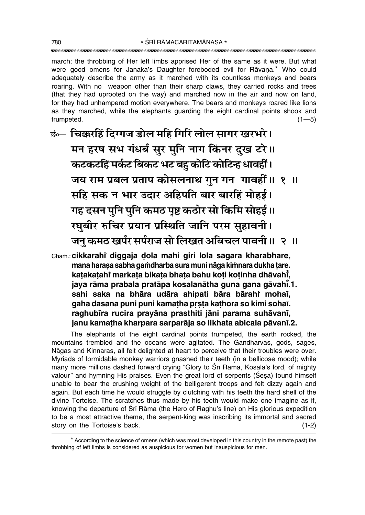march; the throbbing of Her left limbs apprised Her of the same as it were. But what were good omens for Janaka's Daughter foreboded evil for Rāvana.\* Who could adequately describe the army as it marched with its countless monkeys and bears roaring. With no weapon other than their sharp claws, they carried rocks and trees (that they had uprooted on the way) and marched now in the air and now on land, for they had unhampered motion everywhere. The bears and monkeys roared like lions as they marched, while the elephants quarding the eight cardinal points shook and trumpeted.  $(1 - 5)$ 

कं- चिक्करहिं दिग्गज डोल महि गिरि लोल सागर खरभरे। मन हरष सभ गंधर्ब सुर मुनि नाग किंनर दुख टरे।। कटकटहिं मर्कट बिकट भट बहु कोटि कोटिन्ह धावहीं। जय राम प्रबल प्रताप कोसलनाथ गुन गन गावहीं॥ १ ॥ सहि सक न भार उदार अहिपति बार बारहिं मोहर्ड। गह दसन पुनि पुनि कमठ पृष्ट कठोर सो किमि सोहई।। रघुबीर रुचिर प्रयान प्रस्थिति जानि परम सुहावनी। जन कमठ खर्पर सर्पराज सो लिखत अबिचल पावनी ॥ २ ॥

Cham.: cikkarahi diqqaja dola mahi qiri lola saqara kharabhare, mana harasa sabha gamdharba sura muni nāga kimnara dukha tare. katakatahi markata bikata bhata bahu koti kotinha dhāvahi, jaya rāma prabala pratāpa kosalanātha guna gana gāvahī.1. sahi saka na bhāra udāra ahipati bāra bārahi mohaī, gaha dasana puni puni kamatha prsta kathora so kimi sohaī. raghubīra rucira prayāna prasthiti jāni parama suhāvanī, janu kamatha kharpara sarparāja so likhata abicala pāvanī.2.

The elephants of the eight cardinal points trumpeted, the earth rocked, the mountains trembled and the oceans were agitated. The Gandharvas, gods, sages, Nāgas and Kinnaras, all felt delighted at heart to perceive that their troubles were over. Myriads of formidable monkey warriors gnashed their teeth (in a bellicose mood); while many more millions dashed forward crying "Glory to Śrī Rāma, Kosala's lord, of mighty valour" and hymning His praises. Even the great lord of serpents (Sesa) found himself unable to bear the crushing weight of the belligerent troops and felt dizzy again and again. But each time he would struggle by clutching with his teeth the hard shell of the divine Tortoise. The scratches thus made by his teeth would make one imagine as if. knowing the departure of Sri Rama (the Hero of Raghu's line) on His glorious expedition to be a most attractive theme, the serpent-king was inscribing its immortal and sacred story on the Tortoise's back.  $(1-2)$ 

\* According to the science of omens (which was most developed in this country in the remote past) the throbbing of left limbs is considered as auspicious for women but inauspicious for men.

780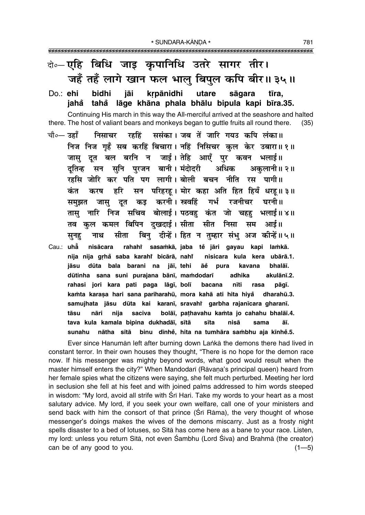# बे॰-एहि बिधि जाइ कुपानिधि उतरे सागर तीर। जहँ तहँ लागे खान फल भालु बिपुल कपि बीर॥ ३५॥

krpānidhi Do.: ehi bidhi jāi utare sāgara tīra. iahå tahå lāge khāna phala bhālu bipula kapi bīra.35.

Continuing His march in this way the All-merciful arrived at the seashore and halted there. The host of valiant bears and monkeys began to guttle fruits all round there.  $(35)$ 

- ससंका। जब तें जारि गयउ कपि लंका॥ चौ०— उहाँ निसाचर रहहिं निज निज गृहँ सब करहिं बिचारा। नहिं निसिचर कुल केर उबारा॥१॥ जासु दुत बल बरनि न जाई। तेहि आएँ पुर कवन भलाई॥ सन सुनि पुरजन बानी। मंदोदरी दतिन्ह अधिक अकलानी॥ २॥ रहसि जोरि कर पति पग लागी।बोली बचन नीति रस पागी॥ सन परिहरहू। मोर कहा अति हित हियँ धरहू॥३॥ हरि कंत करष दूत कइ करनी।स्रवहिं गर्भ रजनीचर घरनी॥ समझत जास नारि निज सचिव बोलाई। पठवह कंत जो चहह भलाई॥४॥ तास तव कल कमल बिपिन दखदाई।सीता सीत निसा सम आई॥ सीता बिन दीन्हें। हित न तम्हार संभ अज कीन्हें॥५॥ नाथ सनह
- Cau.: uhå nisācara rahahi sasamkā, jaba tě jāri gayau kapi lamkā. nija nija grhå saba karahi bicārā, nahi nisicara kula kera ubārā.1. jāsu dūta bala barani na jāī, tehi āĕ pura kavana bhalāī. dūtinha sana suni purajana bānī, mamdodarī adhika akulānī.2. rahasi jori kara pati paga lāgī, bolī bacana nīti rasa pāqī. kamta karasa hari sana pariharahū, mora kahā ati hita hiya dharahū.3. samujhata jāsu dūta kai karanī, sravahi garbha rajanīcara gharanī. tāsu nāri nija saciva bolāī, pathavahu kamta jo cahahu bhalāī.4. tava kula kamala bipina dukhadāī, sītā āī. sīta nisā sama nātha sītā binu dīnhė, hita na tumhāra sambhu aja kīnhė.5. sunahu

Ever since Hanuman left after burning down Lanka the demons there had lived in constant terror. In their own houses they thought, "There is no hope for the demon race now. If his messenger was mighty beyond words, what good would result when the master himself enters the city?" When Mandodarī (Rāvana's principal queen) heard from her female spies what the citizens were saying, she felt much perturbed. Meeting her lord in seclusion she fell at his feet and with joined palms addressed to him words steeped in wisdom: "My lord, avoid all strife with Srī Hari. Take my words to your heart as a most salutary advice. My lord, if you seek your own welfare, call one of your ministers and send back with him the consort of that prince (Sri Rama), the very thought of whose messenger's doings makes the wives of the demons miscarry. Just as a frosty night spells disaster to a bed of lotuses, so Sita has come here as a bane to your race. Listen, my lord: unless you return Sita, not even Śambhu (Lord Śiva) and Brahmā (the creator) can be of any good to you.  $(1 - 5)$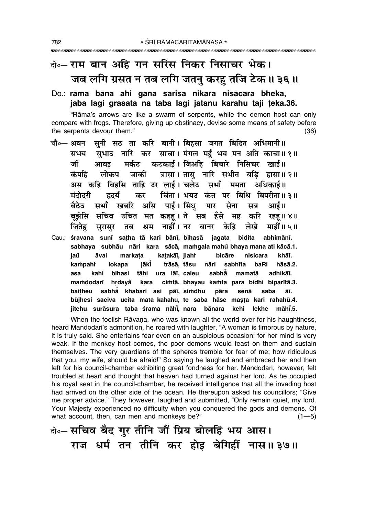# के—राम बान अहि गन सरिस निकर निसाचर भेक। जब लगि ग्रसत न तब लगि जतनु करहु तजि टेक॥ ३६॥

### Do.: rāma bāna ahi gana sarisa nikara nisācara bheka, jaba lagi grasata na taba lagi jatanu karahu taji teka.36.

"Rāma's arrows are like a swarm of serpents, while the demon host can only compare with frogs. Therefore, giving up obstinacy, devise some means of safety before the serpents devour them."  $(36)$ 

- चौ∘— श्रवन सनी सठ ता करि बानी। बिहसा जगत बिदित अभिमानी॥ सुभाउ नारि कर साचा। मंगल महँ भय मन अति काचा॥१॥ सभय मर्कट कटकाई। जिअहिं बिचारे निसिचर खाई॥ जौं आवड त्रासा। तासु नारि सभीत बड़ि हासा॥२॥ कंपहिं लोकप जार्को अस कहि बिहसि ताहि उर लाई। चलेउ सभाँ ममता अधिकाई॥ चिंता। भयउ कंत पर बिधि बिपरीता॥३॥ मंदोदरी हृदयँ कर असि पाई। सिंध बैठेउ सभाँ खबरि पार सेना सब आर्ड ॥ बझेसि सचिव उचित मत कहह।ते सब हँसे मष्ट करि रहह॥४॥ नाहीं । नर बानर केहि माहीं॥ ५॥ जितेह लेखे सुरासुर तब श्रम Cau.: śravana sunī sațha tā kari bānī, bihasā jagata bidita abhimānī. sabhaya subhāu nāri kara sācā, mamgala mahu bhaya mana ati kācā.1.
- katakāī, jiaht iaů āvai markata bicāre nisicara khāī. **lokapa** jākī trāsā, tāsu nāri sabhīta baRi hāsā.2. kampahi asa kahi bihasi tāhi ura lāī, caleu sabhå mamatā adhikāī. cimtā, bhayau kamta para bidhi biparītā.3. mamdodarī hrdavå kara baitheu sabha khabari asi pāī, simdhu pāra senā saba āī. būjhesi saciva ucita mata kahahu, te saba håse masta kari rahahū.4. iitehu surāsura taba śrama nāhī̇̃. nara bānara māhī.5. kehi lekhe

When the foolish Rāvana, who was known all the world over for his haughtiness, heard Mandodari's admonition, he roared with laughter, "A woman is timorous by nature, it is truly said. She entertains fear even on an auspicious occasion; for her mind is very weak. If the monkey host comes, the poor demons would feast on them and sustain themselves. The very guardians of the spheres tremble for fear of me; how ridiculous that you, my wife, should be afraid!" So saying he laughed and embraced her and then left for his council-chamber exhibiting great fondness for her. Mandodari, however, felt troubled at heart and thought that heaven had turned against her lord. As he occupied his royal seat in the council-chamber, he received intelligence that all the invading host had arrived on the other side of the ocean. He thereupon asked his councillors; "Give me proper advice." They however, laughed and submitted, "Only remain quiet, my lord. Your Majesty experienced no difficulty when you conquered the gods and demons. Of what account, then, can men and monkeys be?"  $(1 - 5)$ 

बे॰-सचिव बैद गुर तीनि जौं प्रिय बोलहिं भय आस। राज धर्म तन तीनि कर होड़ बेगिहीं नास॥३७॥

782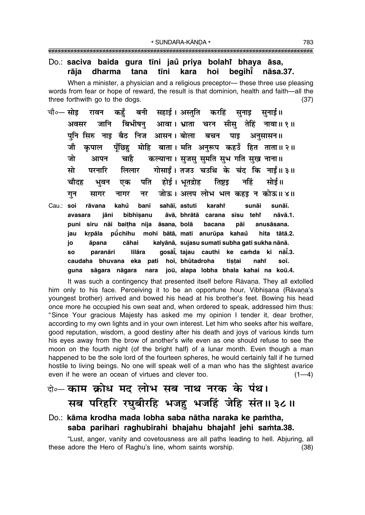#### Do.: saciva baida gura tīni jaŭ priya bolahi bhaya āsa, tīni hoi begihi rāja dharma tana kara nāsa.37.

When a minister, a physician and a religious preceptor— these three use pleasing words from fear or hope of reward, the result is that dominion, health and faith-all the three forthwith go to the dogs.  $(37)$ 

- बनी सहाई।अस्तति करहिं सनाइ चौ०— सोड रावन कहँ सनाई॥ बिभीषनु आवा। भ्राता चरन सीसु तेहिं नावा॥१॥ जानि अवसर पनि सिरु नाइ बैठ निज आसन। बोला बचन पाइ अनुसासन॥ मोहि बाता । मति अनुरूप कहउँ हित ताता॥२॥ जौ पँछिह कपाल कल्याना। सृजस् सुमति सुभ गति सुख नाना॥ जो आपन चाहै गोसाईं। तजउ चउथि के चंद कि नाईं॥३॥ मो परनारि लिलार पति होई। भूतद्रोह तिष्टड नहिं सोई॥ चौदह एक भवन जोऊ। अलप लोभ भल कहडू न कोऊ॥४॥ नर गुन सागर नागर
- sahāī, astuti Cau.: soi rāvana kahů banī karahi sunāi sunāī. āvā, bhrātā carana sīsu jāni bibhīsanu teht nāvā.1. avasara siru nāi baitha nija āsana, bolā puni bacana pāi anusāsana. mohi bātā, mati anurūpa kahaů jau krpāla pūchihu hita tātā.2. jo āpana cāhai kalyānā, sujasu sumati subha gati sukha nānā. paranāri lilāra gosāi, tajau cauthi ke camda ki nāi.3. **SO** hoī, bhūtadroha caudaha bhuvana eka pati tistai nahř soī. sāgara nāgara nara joū, alapa lobha bhala kahai na koū.4. guna

It was such a contingency that presented itself before Ravana. They all extolled him only to his face. Perceiving it to be an opportune hour, Vibhisana (Rāvana's youngest brother) arrived and bowed his head at his brother's feet. Bowing his head once more he occupied his own seat and, when ordered to speak, addressed him thus: "Since Your gracious Majesty has asked me my opinion I tender it, dear brother, according to my own lights and in your own interest. Let him who seeks after his welfare, good reputation, wisdom, a good destiny after his death and joys of various kinds turn his eyes away from the brow of another's wife even as one should refuse to see the moon on the fourth night (of the bright half) of a lunar month. Even though a man happened to be the sole lord of the fourteen spheres, he would certainly fall if he turned hostile to living beings. No one will speak well of a man who has the slightest avarice even if he were an ocean of virtues and clever too.  $(1-4)$ 

### वे… काम क्रोध मद लोभ सब नाथ नरक के पंथ। सब परिहरि रघुबीरहि भजहु भजहिं जेहि संत॥३८॥

#### Do.: kāma krodha mada lobha saba nātha naraka ke pamtha, saba parihari raghubīrahi bhajahu bhajahi jehi samta.38.

"Lust, anger, vanity and covetousness are all paths leading to hell. Abjuring, all these adore the Hero of Raghu's line, whom saints worship.  $(38)$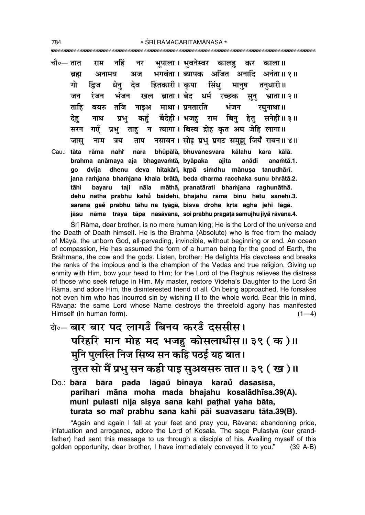\* ŚRĪ RĀMACARITAMĀNASA \* 

|       |        |        |  | चौ०— तात   राम   नहिं   नर   भूपाला । भुवनेस्वर  कालहु   कर   काला ॥   |
|-------|--------|--------|--|------------------------------------------------------------------------|
|       | ब्रह्म |        |  | अनामय अज भगवंता। ब्यापक अजित अनादि अनंता॥१॥                            |
|       | गो     |        |  | द्विज धेनु देव हितकारी।कृपा सिंधु मानुष तनुधारी॥                       |
|       | जन     |        |  | रंजन भंजन खल ब्राता।बेद धर्म रच्छक सुनु भ्राता॥२॥                      |
|       |        |        |  | ताहि बयरु तजि नाइअ माथा । प्रनतारति  भंजन  रघुनाथा ॥                   |
|       |        |        |  | देहु नाथ प्रभु कहुँ बैदेही। भजहु राम बिनु हेतु सनेही॥ ३॥               |
|       |        |        |  | सरन गएँ प्रभु ताहु न त्यागा। बिस्व द्रोह कृत अघ जेहि लागा॥             |
|       |        |        |  | जासु नाम त्रय ताप नसावन।सोइप्रभुप्रगटसमुझुजियँरावन॥४॥                  |
| Cau.: | tāta   |        |  | rāma nahi nara bhūpālā, bhuvanesvara kālahu kara kālā.                 |
|       |        |        |  | brahma anāmaya aja bhagavamtā, byāpaka ajita anādi anamtā.1.           |
|       | go     |        |  | dvija dhenu deva hitakārī, krpā simdhu mānuṣa tanudhārī.               |
|       |        |        |  | jana ramjana bhamjana khala brātā, beda dharma racchaka sunu bhrātā.2. |
|       | tāhi   | bayaru |  | taji nāia māthā, pranatārati bhamjana raghunāthā.                      |
|       |        |        |  | dehu nātha prabhu kahů baidehī, bhajahu rāma binu hetu sanehī.3.       |
|       |        |        |  | sarana gaĕ prabhu tāhu na tyāgā, bisva droha kṛta agha jehi lāgā.      |
|       | jāsu   |        |  | nāma traya tāpa nasāvana, soi prabhu pragata samujhu jiyǎ rāvana.4.    |

Śrī Rāma, dear brother, is no mere human king; He is the Lord of the universe and the Death of Death himself. He is the Brahma (Absolute) who is free from the malady of Māyā, the unborn God, all-pervading, invincible, without beginning or end. An ocean of compassion. He has assumed the form of a human being for the good of Earth, the Brāhmana, the cow and the gods. Listen, brother: He delights His devotees and breaks the ranks of the impious and is the champion of the Vedas and true religion. Giving up enmity with Him, bow your head to Him; for the Lord of the Raghus relieves the distress of those who seek refuge in Him. My master, restore Videha's Daughter to the Lord Sri Rāma, and adore Him, the disinterested friend of all. On being approached, He forsakes not even him who has incurred sin by wishing ill to the whole world. Bear this in mind, Rāvana: the same Lord whose Name destroys the threefold agony has manifested Himself (in human form).  $(1-4)$ 

- बे-बार बार पद लागडँ बिनय करउँ दससीस। परिहरि मान मोह मद भजहु कोसलाधीस।। ३९ (क)॥ मुनि पुलस्ति निज सिष्य सन कहि पठई यह बात। तुरत सो मैं प्रभु सन कही पाइ सुअवसरु तात॥ ३९ ( ख )॥
- Do.: bāra bāra pada lāgaŭ binaya karaŭ dasasīsa, parihari māna moha mada bhajahu kosalādhīsa.39(A). muni pulasti nija sisya sana kahi pathaī yaha bāta, turata so mai prabhu sana kahī pāi suavasaru tāta.39(B).

"Again and again I fall at your feet and pray you, Rāvana: abandoning pride, infatuation and arrogance, adore the Lord of Kosala. The sage Pulastya (our grandfather) had sent this message to us through a disciple of his. Availing myself of this golden opportunity, dear brother, I have immediately conveyed it to you."  $(39 A-B)$ 

784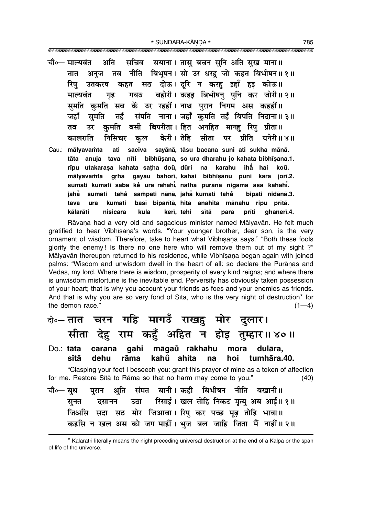- चौ०— माल्यवंत अति सचिव सयाना। तासु बचन सुनि अति सुख माना॥ अनज तव नीति बिभूषन। सो उर धरह जो कहत बिभीषन॥१॥ तात उतकरष कहत सठ दोऊ।दूरि न करहु इहाँ हइ कोऊ॥ रिप गयउ बहोरी। कहड़ बिभीषनु पुनि कर जोरी॥२॥ माल्यवंत गह सुमति कुमति सब कें उर रहहीं। नाथ पुरान निगम अस कहहीं॥ तहँ संपति नाना। जहाँ कमति तहँ बिपति निदाना॥३॥ जहाँ समति उर कुमति बसी बिपरीता। हित अनहित मानह रिपु प्रीता॥ तव केरी। तेहि सीता पर प्रीति घनेरी॥४॥ कालराति निसिचर कल
- ati saciva sayānā, tāsu bacana suni ati sukha mānā. Cau.: mālvavamta tāta anuja tava nīti bibhūsana, so ura dharahu jo kahata bibhīsana.1. rīpu utakaraṣa kahata saṭha doū, dūri na karahu ihẳ hai koū. mālyavamta grha gayau bahorī, kahai bibhīsanu puni kara jorī.2. sumati kumati saba ke ura rahahi, nātha purāna nigama asa kahahi. jahẵ sumati tahå sampati nānā, jahā kumati tahå bipati nidānā.3. kumati basī biparītā, hita anahita mānahu ripu prītā. tava ura kālarāti nisicara kula kerī, tehi sītā qhanerī.4. para prīti

Rāvana had a very old and sagacious minister named Mālyavān. He felt much gratified to hear Vibhisana's words. "Your younger brother, dear son, is the very ornament of wisdom. Therefore, take to heart what Vibhisana says." "Both these fools glorify the enemy! Is there no one here who will remove them out of my sight ?" Mālyavān thereupon returned to his residence, while Vibhīsana began again with joined palms: "Wisdom and unwisdom dwell in the heart of all: so declare the Purānas and Vedas, my lord. Where there is wisdom, prosperity of every kind reigns; and where there is unwisdom misfortune is the inevitable end. Perversity has obviously taken possession of your heart; that is why you account your friends as foes and your enemies as friends. And that is why you are so very fond of Sita, who is the very night of destruction\* for the demon race."  $(1-4)$ 

चरन गहि मागउँ राखहु मोर दुलार। दो∘— **तात** सीता देह राम कहूँ अहित न होइ तुम्हार॥४०॥ carana qahi māqaŭ rākhahu  $Do: tāta$ mora dulāra. dehu rāma kahů ahita sītā na hoi tumhāra.40. "Clasping your feet I beseech you: grant this prayer of mine as a token of affection for me. Restore Sita to Rama so that no harm may come to you."  $(40)$ पुरान श्रुति संमत बानी।कही बिभीषन नीति बखानी॥ चौ∘— **बध** रिसाई। खल तोहि निकट मृत्यु अब आई॥ १॥ उठा सनत दसानन जिअसि सदा सठ मोर जिआवा। रिप कर पच्छ मढ तोहि भावा॥ कहसि न खल अस को जग माहीं। भुज बल जाहि जिता मैं नाहीं॥२॥

<sup>\*</sup> Kālarātri literally means the night preceding universal destruction at the end of a Kalpa or the span of life of the universe.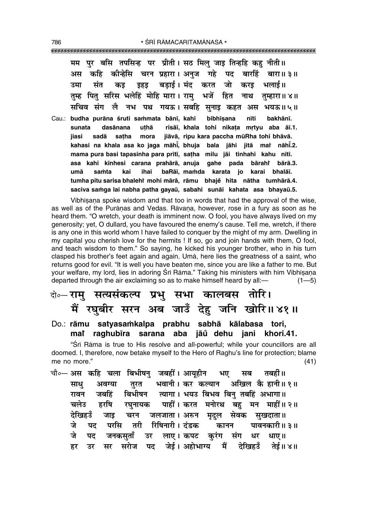मम पर बसि तपसिन्ह पर प्रीती। सठ मिल जाड तिन्हहि कह नीती॥ कहि कोन्हेसि चरन प्रहारा। अनुज गहे पद बारहिं अस बारा॥ ३॥ बडाई। मंद करत संत उमा कड इहड जो करड भलाई॥ तम्ह पित सरिस भलेहिं मोहि मारा। राम भजें हित नाथ तम्हारा॥ ४॥ सचिव संग लै नभ पथ गयऊ। सबहि सुनाइ कहत अस भयऊ॥५॥ bibhīsana nīti bakhānī.

Cau.: budha purāna śruti sammata bānī, kahī uthā risāī, khala tohi nikata mrtvu aba āī.1. sunata dasānana jiāvā, ripu kara paccha mūRha tohi bhāvā. jiasi satha mora sadā kahasi na khala asa ko jaga māhi, bhuja bala jāhi jitā mar nāhi.2. mama pura basi tapasinha para prītī, satha milu jāi tinhahi kahu nītī. asa kahi kīnhesi carana prahārā, anuja gahe pada bārahi bārā.3. umā samta kai ihai baRāi, mamda karata jo karai bhalāi. tumha pitu sarisa bhalehî mohi mārā, rāmu bhaje hita nātha tumhārā.4. saciva samga lai nabha patha gayaū, sabahi sunāi kahata asa bhayaū.5.

Vibhisana spoke wisdom and that too in words that had the approval of the wise, as well as of the Purānas and Vedas. Rāvana, however, rose in a fury as soon as he heard them. "O wretch, your death is imminent now. O fool, you have always lived on my generosity; yet, O dullard, you have favoured the enemy's cause. Tell me, wretch, if there is any one in this world whom I have failed to conquer by the might of my arm. Dwelling in my capital you cherish love for the hermits ! If so, go and join hands with them, O fool, and teach wisdom to them." So saying, he kicked his younger brother, who in his turn clasped his brother's feet again and again. Uma, here lies the greatness of a saint, who returns good for evil. "It is well you have beaten me, since you are like a father to me. But your welfare, my lord, lies in adoring Srī Rāma." Taking his ministers with him Vibhīsana departed through the air exclaiming so as to make himself heard by all:- $(1 - 5)$ 

### वे॰- रामु सत्यसंकल्प प्रभु सभा कालबस तोरि। मैं रघूबीर सरन अब जाउँ देहु जनि खोरि॥४१॥

Do.: rāmu satyasamkalpa prabhu sabhā kālabasa tori, mai raghubīra sarana aba jāŭ dehu jani khori.41.

"Śrī Rāma is true to His resolve and all-powerful; while your councillors are all doomed. I, therefore, now betake myself to the Hero of Raghu's line for protection; blame me no more."  $(41)$ 

चौ०— अस कहि चला बिभीषन जबहीं। आयहीन भए तबर्हो ॥ मब भवानी। कर कल्यान अखिल कै हानी॥१॥ साध अवग्या तरत बिभीषन त्यागा। भयउ बिभव बिन् तबहिं अभागा॥ रावन जबहिं पाहीं। करत मनोरथ बह मन माहीं॥२॥ चलेउ हरषि रघनायक देखिहउँ जलजाता। अरुन मृदुल जाड चरन सेवक सुखदाता॥ रिषिनारी । दंडक जे पद परसि तरी कानन पावनकारी॥ ३॥ जे पट जनकसताँ उर लाए। कपट करंग संग धर धाए ॥ जेई। अहोभाग्य मैं देखिहउँ तेर्ड ॥ ४ ॥ सर सरोज पद हर उर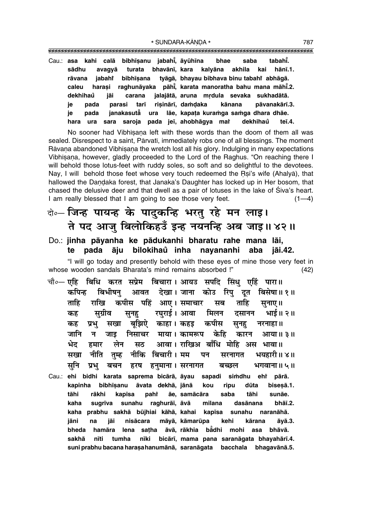Cau.: asa kahi calā bibhīsanu jabahī, āyūhīna tahahŤ bhae saba bhavānī, kara sādhu avagyā turata kalyāna akhila kai hānī.1. jabaht bibhīsana tyāgā, bhayau bibhaya binu tabahi abhāgā. rāvana caleu harasi raghunāyaka pāhi, karata manoratha bahu mana māhi.2. dekhihaů carana jalajātā, aruna mrdula sevaka sukhadātā. jāi risinārī, damdaka ie pada parasi tarī kānana pāvanakārī.3. lãe, kapata kuramga samga dhara dhãe. ie pada janakasutā ura ura sara saroja pada jeī, ahobhāgya mař dekhihaů teī.4. hara

No sooner had Vibhisana left with these words than the doom of them all was sealed. Disrespect to a saint, Pārvatī, immediately robs one of all blessings. The moment Rāvana abandoned Vibhīsana the wretch lost all his glory. Indulging in many expectations Vibhisana, however, gladly proceeded to the Lord of the Raghus. "On reaching there I will behold those lotus-feet with ruddy soles, so soft and so delightful to the devotees. Nay, I will behold those feet whose very touch redeemed the Rsi's wife (Ahalya), that hallowed the Dandaka forest, that Janaka's Daughter has locked up in Her bosom, that chased the delusive deer and that dwell as a pair of lotuses in the lake of Siva's heart. I am really blessed that I am going to see those very feet.  $(1-4)$ 

### केन्- जिन्ह पायन्ह के पादुकन्हि भरतु रहे मन लाइ। ते पद आजु बिलोकिहउँ इन्ह नयनन्हि अब जाइ॥४२॥

#### Do.: jinha pāyanha ke pādukanhi bharatu rahe mana lāi, te pada āju bilokihaů inha navananhi aba iāi.42.

"I will go today and presently behold with these eyes of mine those very feet in whose wooden sandals Bharata's mind remains absorbed !"  $(42)$ 

- चौ∘— एहि बिधि करत सप्रेम बिचारा। आयउ सपदि सिंध एहिं पारा॥ कपिन्ह देखा। जाना कोउ रिपु दूत बिभीषन आवत विसेषा॥ १॥ ताहि कपीस पहिं आए। समाचार राखि सब ताहि सुनाए ॥ सुग्रीव रघुराई । आवा मिलन दसानन भाई॥ २॥ कह सनह कपीस प्रभ सखा बझिऐ काहा। कहड कह सूनह नरनाहा ॥ केहि जानि न निसाचर माया। कामरूप जाड कारन आया॥ ३॥ भेट लेन आवा। राखिअ बाँधि मोहि अस भावा॥ हमार सठ नीति तुम्ह नीकि सखा बिचारी । मम पन भयहारी॥ ४॥ सरनागत सनि प्रभु बचन हरष हनुमाना । सरनागत बच्छल भगवाना॥ ५॥
- Cau.: ehi bidhi karata saprema bicārā, āyau simdhu ehr sapadi pārā. kapinha bibhīṣanu āvata dekhā, jānā kou ripu dūta biseșā.1. tāhi rākhi kapīsa paht āe. samācāra saba tāhi sunāe. kaha sugrīva sunahu raghurāī, āvā milana dasānana bhāī.2. kaha prabhu sakhā būjhiai kāhā, kahai kapīsa sunahu naranāhā. kehi nisācara māyā, kāmarūpa iāni na jāi kārana āyā.3. āvā, rākhia bằdhi bheda hamāra lena satha mohi asa bhāvā. tumha bicārī, mama pana saranāgata bhayahārī.4. sakhā nīti nīki suni prabhu bacana harasa hanumānā, saranāgata bacchala bhagavānā.5.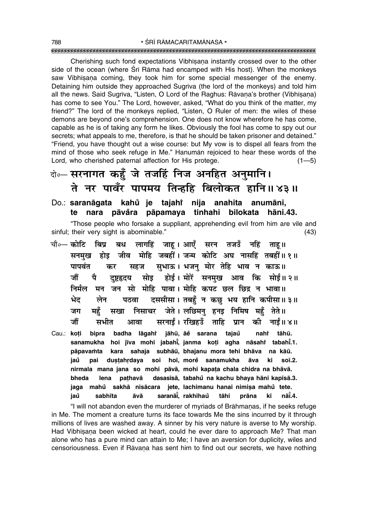Cherishing such fond expectations Vibhisana instantly crossed over to the other side of the ocean (where Sri Rama had encamped with His host). When the monkeys saw Vibhisana coming, they took him for some special messenger of the enemy. Detaining him outside they approached Sugriva (the lord of the monkeys) and told him all the news. Said Sugrīva, "Listen, O Lord of the Raghus: Rāvana's brother (Vibhīsana) has come to see You." The Lord, however, asked, "What do you think of the matter, my friend?" The lord of the monkeys replied, "Listen, O Ruler of men: the wiles of these demons are beyond one's comprehension. One does not know wherefore he has come, capable as he is of taking any form he likes. Obviously the fool has come to spy out our secrets; what appeals to me, therefore, is that he should be taken prisoner and detained." "Friend, you have thought out a wise course: but My yow is to dispel all fears from the mind of those who seek refuge in Me." Hanuman rejoiced to hear these words of the Lord, who cherished paternal affection for His protege.  $(1 - 5)$ 

# बे॰ सरनागत कहँ जे तजहिं निज अनहित अनुमानि। ते नर पावँर पापमय तिन्हहि बिलोकत हानि॥४३॥

Do.: saranāgata kahů je tajahř nija anahita anumāni, te nara pāvåra pāpamaya tinhahi bilokata hāni.43. "Those people who forsake a suppliant, apprehending evil from him are vile and

sinful; their very sight is abominable."  $(43)$ 

- बध लागहिं जाह। आएँ सरन तजडँ नहिं ताह॥ चौ०— कोटि बिप्र जीव मोहि जबहीं। जन्म कोटि अघ नासहिं तबहीं॥१॥ होड सनमख सहज सुभाऊ। भजनु मोर तेहि भाव न काऊ॥ पापवंत कर सोइ होई। मोरें सनमुख आव कि सोई॥२॥ जौं ਧੈ दष्टहृदय निर्मल मन जन सो मोहि पावा। मोहि कपट छल छिद्र न भावा॥ दससीसा। तबहँ न कछ भय हानि कपीसा॥३॥ भेद लेन पठवा निसाचर जेते। लछिमनु हनइ निमिष महुँ तेते॥ महँ जग सखा सरनाईं। रखिहउँ ताहि प्रान की नाईं॥४॥ जौं सभीत आवा
- badha lāgahi jāhū, āĕ sarana tajaů nahi tāhū. Cau.: koți bipra sanamukha hoi jīva mohi jabahi, janma koți agha nāsahi tabahi.1. pāpavamta kara sahaja subhāū, bhajanu mora tehi bhāva na kāū. soi hoi, more sanamukha jaů pai dustahrdaya āva ki soī.2. nirmala mana jana so mohi pāvā, mohi kapata chala chidra na bhāvā. pathavā dasasīsā, tabahů na kachu bhaya hāni kapīsā.3. bheda lena jete, lachimanu hanai nimișa mahů tete. jaga mahů sakhā nisācara saranāi, rakhihaŭ nāt.4. sabhīta āvā tāhi prāna kī jaů

"I will not abandon even the murderer of myriads of Brāhmanas, if he seeks refuge in Me. The moment a creature turns its face towards Me the sins incurred by it through millions of lives are washed away. A sinner by his very nature is averse to My worship. Had Vibhisana been wicked at heart, could he ever dare to approach Me? That man alone who has a pure mind can attain to Me; I have an aversion for duplicity, wiles and censoriousness. Even if Rāvana has sent him to find out our secrets, we have nothing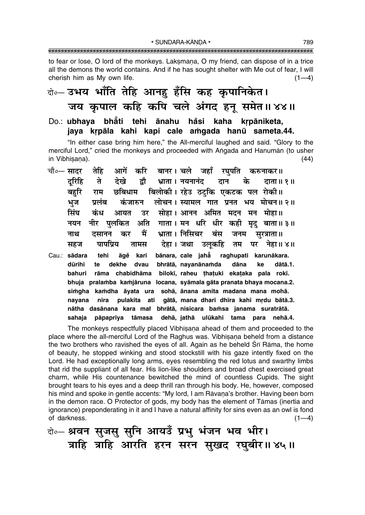\* SUNDARA-KĀNDA \* 

to fear or lose, O lord of the monkeys. Laksmana, O my friend, can dispose of in a trice all the demons the world contains. And if he has sought shelter with Me out of fear, I will cherish him as My own life.  $(1-4)$ 

## केन उभय भाँति तेहि आनहु हँसि कह कृपानिकेत। जय कृपाल कहि कपि चले अंगद हनू समेत॥४४॥

Do.: ubhaya bhåti tehi ānahu håsi kaha krpāniketa, jaya krpāla kahi kapi cale amgada hanū sameta.44.

"In either case bring him here," the All-merciful laughed and said. "Glory to the merciful Lord," cried the monkeys and proceeded with Angada and Hanuman (to usher in Vibhīsana).  $(44)$ 

| चौ॰— सादर    | तेहि          |               | आगें करि बानर। चले जहाँ रघुपति करुनाकर॥                          |  |                          |      |                                                                       |
|--------------|---------------|---------------|------------------------------------------------------------------|--|--------------------------|------|-----------------------------------------------------------------------|
| दुरिहि       |               |               |                                                                  |  |                          |      | ते देखे द्वौ भ्राता। नयनानंद दान के दाता॥१॥                           |
| बहुरि        |               |               | राम छबिधाम बिलोकी। रहेउ ठटुकि एकटक पल रोकी॥                      |  |                          |      |                                                                       |
| भूज          | प्रलंब        |               |                                                                  |  |                          |      | कंजारुन लोचन। स्यामल गात प्रनत भय मोचन॥२॥                             |
| सिंघ         |               |               | कंध आयत उर सोहा।आनन अमित मदन मन मोहा॥                            |  |                          |      |                                                                       |
| नयन          |               |               |                                                                  |  |                          |      | नीर पुलकित अति गाता। मन धरि धीर कही मृदु बाता॥३॥                      |
| नाथ          |               |               | दसानन कर मैं भ्राता।।निसिचर बंस जनम सुरत्राता॥                   |  |                          |      |                                                                       |
| सहज          |               |               |                                                                  |  |                          |      | पापप्रिय तामस देहा।जथा उलूकहि तम पर नेहा॥४॥                           |
| Cau.: sādara | tehi āgĕ kari |               | bānara, cale jahā raghupati karunākara.                          |  |                          |      |                                                                       |
| dūrihi       |               | te dekhe dvau |                                                                  |  | bhrātā, nayanānamda dāna | ke   | dātā.1.                                                               |
| bahuri       |               |               | rāma chabidhāma bilokī, raheu thatuki ekataka pala rokī.         |  |                          |      |                                                                       |
|              |               |               |                                                                  |  |                          |      | bhuja pralamba kamjāruna locana, syāmala gāta pranata bhaya mocana.2. |
|              |               |               | simgha kamdha āyata ura sohā, ānana amita madana mana mohā.      |  |                          |      |                                                                       |
| navana       | nīra          |               |                                                                  |  |                          |      | pulakita ati gātā, mana dhari dhīra kahī mrdu bātā.3.                 |
|              |               |               | nātha dasānana kara mai bhrātā, nisicara bamsa janama suratrātā. |  |                          |      |                                                                       |
| sahaja       |               |               | pāpapriya tāmasa dehā, jathā ulūkahi tama                        |  |                          | para | nehā.4.                                                               |

The monkeys respectfully placed Vibhisana ahead of them and proceeded to the place where the all-merciful Lord of the Raghus was. Vibhisana beheld from a distance the two brothers who ravished the eyes of all. Again as he beheld Srī Rāma, the home of beauty, he stopped winking and stood stockstill with his gaze intently fixed on the Lord. He had exceptionally long arms, eyes resembling the red lotus and swarthy limbs that rid the suppliant of all fear. His lion-like shoulders and broad chest exercised great charm, while His countenance bewitched the mind of countless Cupids. The sight brought tears to his eyes and a deep thrill ran through his body. He, however, composed his mind and spoke in gentle accents: "My lord, I am Rāvana's brother. Having been born in the demon race. O Protector of gods, my body has the element of Tāmas (inertia and ignorance) preponderating in it and I have a natural affinity for sins even as an owl is fond of darkness.  $(1-4)$ 

बे॰ श्रवन सुजसु सुनि आयउँ प्रभु भंजन भव भीर। त्राहि त्राहि आरति हरन सरन सुखद रघुबीर॥४५॥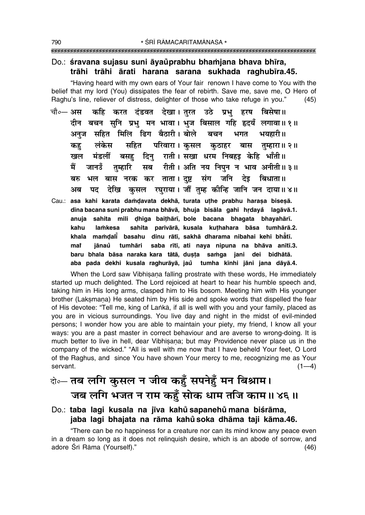### Do.: śravana sujasu suni āyaŭprabhu bhamjana bhava bhīra, trāhi trāhi ārati harana sarana sukhada raghubīra.45.

"Having heard with my own ears of Your fair renown I have come to You with the belief that my lord (You) dissipates the fear of rebirth. Save me, save me, O Hero of Raghu's line, reliever of distress, delighter of those who take refuge in you."  $(45)$ 

- कहि करत दंडवत देखा।तुरत उठे प्रभु हरष बिसेषा॥ चौ०— अस दीन बचन सनि प्रभ मन भावा। भज बिसाल गहि हृदयँ लगावा॥१॥ अनज सहित मिलि ढिग बैठारी। बोले बचन भगत भयहारी॥ सहित परिवारा। कसल कठाहर बास तम्हारा॥२॥ कह लंकेस बसह दिन् राती। सखा धरम निबहड़ केहि भाँती॥ खल मंडलीं तुम्हारि सब रीती। अति नय निपुन न भाव अनीती॥३॥ मैं जानउँ भल बास नरक कर ताता। दुष्ट संग जनि देइ बिधाता॥ बरु पद देखि कसल रघराया। जौं तम्ह कीन्हि जानि जन दाया॥४॥ अब
- Cau.: asa kahi karata damdavata dekhā, turata uthe prabhu harașa biseșā. dīna bacana suni prabhu mana bhāvā, bhuja bisāla gahi hrdayå lagāvā.1. anuja sahita mili dhiga baithārī, bole bacana bhagata bhayahārī. kahu lamkesa sahita parivārā, kusala kuthahara bāsa tumhārā.2. khala mamdali basahu dinu rātī, sakhā dharama nibahai kehi bhātī. mat iānaů tumhāri saba rītī, ati naya nipuna na bhāva anītī.3. baru bhala bāsa naraka kara tātā, dusta samga jani dei bidhātā. aba pada dekhi kusala raghurāyā, jaŭ tumha kīnhi jāni jana dāyā.4.

When the Lord saw Vibhisana falling prostrate with these words, He immediately started up much delighted. The Lord rejoiced at heart to hear his humble speech and, taking him in His long arms, clasped him to His bosom. Meeting him with His younger brother (Laksmana) He seated him by His side and spoke words that dispelled the fear of His devotee: "Tell me, king of Lanka, if all is well with you and your family, placed as you are in vicious surroundings. You live day and night in the midst of evil-minded persons; I wonder how you are able to maintain your piety, my friend, I know all your ways: you are a past master in correct behaviour and are averse to wrong-doing. It is much better to live in hell, dear Vibhisana; but may Providence never place us in the company of the wicked." "All is well with me now that I have beheld Your feet, O Lord of the Raghus, and since You have shown Your mercy to me, recognizing me as Your servant.  $(1-4)$ 

# के-तब लगि कुसल न जीव कहँ सपनेहँ मन बिश्राम। जब लगि भजत न राम कहूँ सोक धाम तजि काम॥४६॥

### Do.: taba lagi kusala na jīva kahů sapanehů mana biśrāma, jaba lagi bhajata na rāma kahů soka dhāma taji kāma.46.

"There can be no happiness for a creature nor can its mind know any peace even in a dream so long as it does not relinquish desire, which is an abode of sorrow, and adore Śrī Rāma (Yourself)."  $(46)$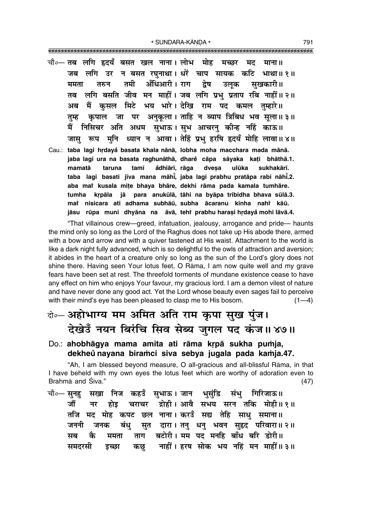\* SUNDARA-KĀNDA \* 

- चौ∘— तब लगि हृदयँ बसत खल नाना। लोभ मोह मच्छर मद माना ॥ जब लगि उर न बसत रघनाथा। धरें चाप सायक कटि भाथा॥ १॥ अँधिआरी। राग ਰਸੀ द्रेष उलुक सखकारी॥ ममता तरुन लगि बसति जीव मन माहीं। जब लगि प्रभु प्रताप रबि नाहीं॥ २॥ तब मैं कुसल मिटे भय भारे। देखि राम पद कमल तुम्हारे॥ अब कृपाल जा पर अनुकुला। ताहि न ब्याप त्रिबिध भव सुला॥३॥ तम्ह मैं निसिचर अति अधम सुभाऊ। सुभ आचरनु कीन्ह नहिं काऊ॥ जास रूप मनि ध्यान न आवा। तेहिं प्रभ हरषि हृदयँ मोहि लावा॥४॥
- Cau.: taba lagi hrdayå basata khala nānā, lobha moha macchara mada mānā. jaba lagi ura na basata raghunāthā, dhare cāpa sāyaka kati bhāthā.1. ådhiārī, rāga mamatā taruna tamī dvesa ulūka sukhakārī. taba lagi basati jīva mana māhi, jaba lagi prabhu pratāpa rabi nāhi.2. aba mai kusala mite bhaya bhāre, dekhi rāma pada kamala tumhāre. krpāla jā para anukūlā, tāhi na byāpa tribidha bhava sūlā.3. tumha mai nisicara ati adhama subhāū, subha ācaranu kīnha nahi kāū. jāsu rūpa muni dhyāna na āvā, teht prabhu harasi hrdayå mohi lāvā.4.

"That villainous crew—greed, infatuation, jealousy, arrogance and pride— haunts the mind only so long as the Lord of the Raghus does not take up His abode there, armed with a bow and arrow and with a quiver fastened at His waist. Attachment to the world is like a dark night fully advanced, which is so delightful to the owls of attraction and aversion; it abides in the heart of a creature only so long as the sun of the Lord's glory does not shine there. Having seen Your lotus feet, O Rama, I am now quite well and my grave fears have been set at rest. The threefold torments of mundane existence cease to have any effect on him who enjoys Your favour, my gracious lord. I am a demon vilest of nature and have never done any good act. Yet the Lord whose beauty even sages fail to perceive with their mind's eye has been pleased to clasp me to His bosom.  $(1-4)$ 

# बे-अहोभाग्य मम अमित अति राम कृपा सुख पुंज। देखेउँ नयन बिरंचि सिव सेब्य जुगल पद कंज॥४७॥

Do.: ahobhāgya mama amita ati rāma krpā sukha pumja, dekheŭ navana biramci siva sebva jugala pada kamja.47.

"Ah, I am blessed beyond measure, O all-gracious and all-blissful Rāma, in that I have beheld with my own eyes the lotus feet which are worthy of adoration even to Brahma and Śiva."  $(47)$ 

सखा निज कहउँ सभाऊ। जान भसंडि संभु गिरिजाऊ॥ चौ∘— सुनहु होइ चराचर द्रोही।अावै सभय सरन तकि मोही॥१॥ जौं नर तजि मद मोह कपट छल नाना। करउँ सद्य तेहि साधु समाना॥ सुत दारा। तनु धनु भवन सुहृद परिवारा॥२॥ जननी जनक बंध् बटोरी। मम पद मनहि बाँध बरि डोरी॥ कै सब ममता ताग नाहीं। हरष सोक भय नहिं मन माहीं॥३॥ समदरसी डच्छा कछ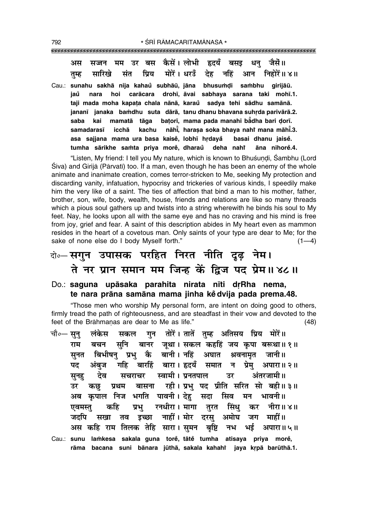बस कैसें। लोभी हृदयँ जैसें॥ बसड धन अस उर सजन मोरें। धरउँ सारिखे संत प्रिय देह नहिं निहोरें॥ ४॥ तुम्ह आन Cau.: sunahu sakhā nija kahaŭ subhāū, jāna bhusumdi sambhu girijāū. hoi carācara drohī, āvai sabhaya sarana taki mohī.1. iaů nara taji mada moha kapata chala nānā, karaŭ sadva tehi sādhu samānā. jananī janaka bamdhu suta dārā, tanu dhanu bhavana suhrda parivārā.2. mamatā tāga batorī, mama pada manahi bādha bari dorī. saba kai samadarasī icchā nāhi. harasa soka bhava nahi mana māhi.3. kachu basai dhanu jaise. asa sajjana mama ura basa kaisě, lobhī hrdayå tumha sārikhe samta priya more, dharaŭ deha naht āna nihorė.4.

"Listen, My friend: I tell you My nature, which is known to Bhuśundi, Śambhu (Lord Śiva) and Girijā (Pārvatī) too. If a man, even though he has been an enemy of the whole animate and inanimate creation, comes terror-stricken to Me, seeking My protection and discarding vanity, infatuation, hypocrisy and trickeries of various kinds, I speedily make him the very like of a saint. The ties of affection that bind a man to his mother, father, brother, son, wife, body, wealth, house, friends and relations are like so many threads which a pious soul gathers up and twists into a string wherewith he binds his soul to My feet. Nay, he looks upon all with the same eye and has no craving and his mind is free from joy, grief and fear. A saint of this description abides in My heart even as mammon resides in the heart of a covetous man. Only saints of your type are dear to Me; for the sake of none else do I body Myself forth."  $(1-4)$ 

# केन्-सगुन उपासक परहित निरत नीति दूढ़ नेम। ते नर प्रान समान मम जिन्ह कें द्विज पद प्रेम॥४८॥

#### Do.: saguna upāsaka parahita nirata nīti drRha nema, te nara prāna samāna mama jinha ke dvija pada prema.48.

"Those men who worship My personal form, are intent on doing good to others, firmly tread the path of righteousness, and are steadfast in their vow and devoted to the feet of the Brāhmanas are dear to Me as life."  $(48)$ 

गुन तोरें। तातें तुम्ह अतिसय प्रिय मोरें॥ चौ०— सन् लंकेस सकल राम सनि बानर जुथा। सकल कहहिं जय कृपा बरूथा॥१॥ बचन कै बानी। नहिं बिभीषन प्रभ सनत अघात श्रवनामत जानी॥ पद अंबज गहि बारहिं बारा। हृदयँ समात प्रेम् न अपारा॥ २॥ स्वामी । प्रनतपाल अंतरजामी॥ देव उर सूनह सचराचर उर बासना रही। प्रभु पद प्रीति सरित सो बही॥३॥ कछ प्रथम अब कृपाल निज भगति पावनी। देह सदा सिव मन भावनी॥ रनधीरा । मागा तूरत सिंध एवमस्त कहि प्रभ कर नीरा॥ ४॥ नाहीं। मोर दरस अमोघ जदपि तव इच्छा जग माहीं॥ सखा अस कहि राम तिलक तेहि सारा। सुमन भई बृष्टि नभ अपारा॥ ५॥ Cau.: sunu lamkesa sakala guna torė, tātė tumha atisaya priya morė, rāma bacana suni bānara jūthā, sakala kahahi jaya krpā barūthā.1.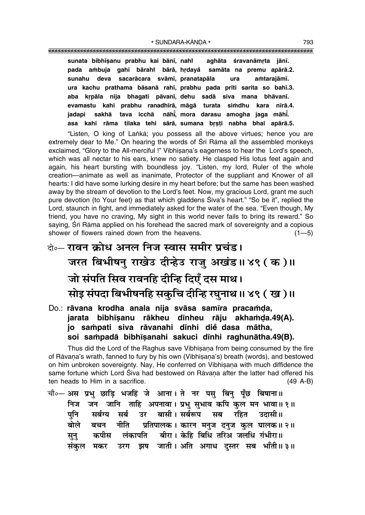#### \* SUNDARA-KĀNDA \* 793

**sunata bibh∂¶anu prabhu kai bån∂, nahiÚ aghåta ‹ravanåmæta jån∂. pada a≈buja gahi bårahiÚ bårå, hædaya° samåta na premu apårå.2. sunahu deva sacaråcara svåm∂, pranatapåla ura a≈tarajåm∂. ura kachu prathama båsanå rah∂, prabhu pada pr∂ti sarita so bah∂.3. aba kæpåla nija bhagati påvan∂, dehu sadå siva mana bhåvan∂. evamastu kahi prabhu ranadh∂rå, mågå turata si≈dhu kara n∂rå.4.** jadapi sakhā tava icchā **, mora darasu amogha jaga måh∂° .** asa kahi rāma tilaka tehi sārā, sumana brsti nabha bhaī apārā.5.

ìListen, O king of La∆kå; you possess all the above virtues; hence you are extremely dear to Me." On hearing the words of Śrī Rāma all the assembled monkeys exclaimed, "Glory to the All-merciful !" Vibhīsana's eagerness to hear the Lord's speech, which was all nectar to his ears, knew no satiety. He clasped His lotus feet again and again, his heart bursting with boundless joy. "Listen, my lord, Ruler of the whole creation—animate as well as inanimate, Protector of the suppliant and Knower of all hearts: I did have some lurking desire in my heart before; but the same has been washed away by the stream of devotion to the Lordís feet. Now, my gracious Lord, grant me such pure devotion (to Your feet) as that which gladdens Siva's heart." "So be it", replied the Lord, staunch in fight, and immediately asked for the water of the sea. "Even though, My friend, you have no craving, My sight in this world never fails to bring its reward." So saying, Srī Rāma applied on his forehead the sacred mark of sovereignty and a copious shower of flowers rained down from the heavens.  $(1-5)$ 

# <del>दो०</del>– **रावन क्रोध अनल निज स्वास समीर प्रचंड।** जरत बिभीषन् राखे**उ दीन्हेउ राज् अखंड।। ४९ ( क** )।। ेजो संपति सिव रावनहि दीन्हि दिएँ दस माथ। र्मोइ संपदा बिभीषनहि सकुचि दीन्हि रघुनाथ ॥ ४९ (ख)॥

Do.: rāvana krodha anala nija svāsa samīra pracamda, jarata bibhīsanu rākheu dīnheu rāju akhamda.49(A). **jo sa≈pati siva råvanahi d∂nhi die dasa måtha, °** soi sampadā bibhīsanahi sakuci dīnhi raghunātha.49(B).

Thus did the Lord of the Raghus save Vibhīsana from being consumed by the fire of Rāvana's wrath, fanned to fury by his own (Vibhīsana's) breath (words), and bestowed on him unbroken sovereignty. Nay, He conferred on Vibhīsana with much diffidence the same fortune which Lord Siva had bestowed on Rāvana after the latter had offered his ten heads to Him in a sacrifice. (49 A-B)

चौ०– अस प्रभु छाड़ि भजहिं जे आना। ते नर पसु बिनु पूँछ बिषाना॥ निज जन जानि ताहि अपनावा । प्रभु सुभाव कपि कुल मन भावा ॥ १ ॥ पनि सर्बग्य सर्ब उर बासी।**सर्बरूप सब रहित उदासी**॥ ेबोले बचन नीति प्रतिपालक । कारन मनुज दनुज कुल घालक ॥ २ ॥ सुनु कपीस लंकापति बीरा । केहि बिधि तरिअ जलधि गंभीरा॥  $\vec{r}$ कुल मकर उरग झष जाती।अति अगाध दुस्तर सब भाँती॥३॥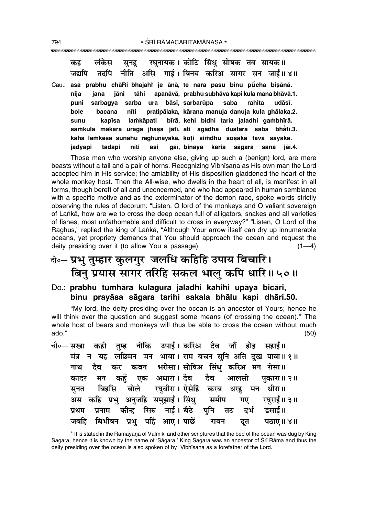लंकेस रघनायक। कोटि सिंध सोषक तव सायक॥ कह सनह नीति असि गार्ड। बिनय करिअ सागर सन जाई॥४॥ तदपि जद्यापि Cau.: asa prabhu chāRi bhajahi je ānā, te nara pasu binu pūcha bisānā. apanāvā, prabhu subhāva kapi kula mana bhāvā.1. nija jana jāni tāhi bāsī, sarbarūpa puni sarbagya sarba ura saba rahita udāsī. pratipālaka, kārana manuja danuja kula ghālaka.2. bole bacana nīti lamkāpati bīrā, kehi bidhi taria jaladhi gambhīrā. sunu kapīsa samkula makara uraga jhasa jātī, ati agādha dustara saba bhātī.3. kaha lamkesa sunahu raghunāyaka, koti simdhu sosaka tava sāyaka. tadapi asi gāi, binaya karia sāgara sana jāi.4. jadyapi nīti

Those men who worship anyone else, giving up such a (benign) lord, are mere beasts without a tail and a pair of horns. Recognizing Vibhisana as His own man the Lord accepted him in His service; the amiability of His disposition gladdened the heart of the whole monkey host. Then the All-wise, who dwells in the heart of all, is manifest in all forms, though bereft of all and unconcerned, and who had appeared in human semblance with a specific motive and as the exterminator of the demon race, spoke words strictly observing the rules of decorum: "Listen, O lord of the monkeys and O valiant sovereign of Lanka, how are we to cross the deep ocean full of alligators, snakes and all varieties of fishes, most unfathomable and difficult to cross in everyway?" "Listen, O Lord of the Raghus," replied the king of Lanka, "Although Your arrow ifself can dry up innumerable oceans, yet propriety demands that You should approach the ocean and request the deity presiding over it (to allow You a passage).  $(1-4)$ 

# बे॰- प्रभु तुम्हार कुलगुर जलधि कहिहि उपाय बिचारि। बिनु प्रयास सागर तरिहि सकल भालु कपि धारि॥५०॥

### Do.: prabhu tumhāra kulagura jaladhi kahihi upāya bicāri, binu prayāsa sāgara tarihi sakala bhālu kapi dhāri.50.

"My lord, the deity presiding over the ocean is an ancestor of Yours; hence he will think over the question and suggest some means (of crossing the ocean).\* The whole host of bears and monkeys will thus be able to cross the ocean without much ado."  $(50)$ 

नीकि उपाई।करिअ दैव जौं होड चौ०— सखा कही सहाई ॥ तम्ह न यह लछिमन मन भावा। राम बचन सुनि अति दुख पावा॥१॥ मंत्र कवन भरोसा। सोषिअ सिंधु करिअ मन रोसा॥ दैव कर नाथ एक अधारा। दैव दैव कहँ आलसी पकारा॥ २॥ कादर मन रघबीरा। ऐसेहिं करब बिहसि बोले धरह मन धीरा॥ सनत अस कहि प्रभु अनुजहि समुझाई। सिंधु समीप गए रघराई॥ ३॥ नाई । बैठे कीन्ह सिरु पनि प्रनाम दर्भ डसाई ॥ प्रथम तट पहिं आए। पाछें बिभीषन प्रभ जबहिं रावन दुत पठाए ॥ ४॥

<sup>\*</sup> It is stated in the Rāmāyana of Vālmīki and other scriptures that the bed of the ocean was dug by King Sagara, hence it is known by the name of 'Sāgara.' King Sagara was an ancestor of Śrī Rāma and thus the deity presiding over the ocean is also spoken of by Vibhiṣaṇa as a forefather of the Lord.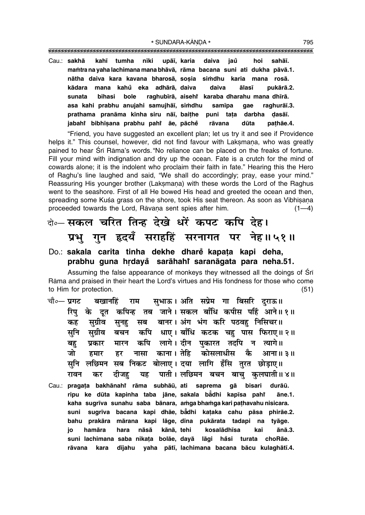upāī, karia Cau.: sakhā kahī tumha nīki daiva jaů hoi sahāī. mamtra na yaha lachimana mana bhāvā, rāma bacana suni ati dukha pāvā.1. nātha daiva kara kavana bharosā, sosia simdhu karia mana rosā. mana kahů eka adhārā daiva daiva kādara ālasī pukārā.2. sunata bihasi bole raghubīrā, aisehi karaba dharahu mana dhīrā. asa kahi prabhu anujahi samujhāī, simdhu samīpa qae raghurāī.3. prathama pranāma kīnha siru nāī, baithe puni tata darbha dasāī. jabahi bibhīsana prabhu pahi āe, pāche pathāe.4. rāvana dūta

"Friend, you have suggested an excellent plan; let us try it and see if Providence helps it." This counsel, however, did not find favour with Laksmana, who was greatly pained to hear Srī Rāma's words. "No reliance can be placed on the freaks of fortune. Fill your mind with indignation and dry up the ocean. Fate is a crutch for the mind of cowards alone; it is the indolent who proclaim their faith in fate." Hearing this the Hero of Raghu's line laughed and said, "We shall do accordingly; pray, ease your mind." Reassuring His younger brother (Laksmana) with these words the Lord of the Raghus went to the seashore. First of all He bowed His head and greeted the ocean and then, spreading some Kuśa grass on the shore, took His seat thereon. As soon as Vibhisana proceeded towards the Lord, Rāvana sent spies after him.  $(1-4)$ 

# बे⊶ सकल चरित तिन्ह देखे धरें कपट कपि देह। प्रभु गुन हृदयँ सराहहिं सरनागत पर नेह॥५१॥

#### Do.: sakala carita tinha dekhe dharë kapata kapi deha, prabhu guna hrdayå sarāhahi saranāgata para neha.51.

Assuming the false appearance of monkeys they witnessed all the doings of Sri Rāma and praised in their heart the Lord's virtues and His fondness for those who come to Him for protection.  $(51)$ 

- चौ०— प्रगट सुभाऊ। अति सप्रेम गा बिसरि दराऊ॥ बखानहिं राम रिप के दत कपिन्ह तब जाने।सकल बाँधि कपीस पहिं आने॥१॥ सुग्रीव सब बानर। अंग भंग करि पठवह निसिचर॥ कह सूनहु कपि धाए। बाँधि कटक चहु पास फिराए॥२॥ सुनि सुग्रीव बचन कपि लागे। दीन पकारत तदपि न त्यागे॥ मारन बह प्रकार नासा काना।तेहि कोसलाधीस जो कै हमार हर आना॥ ३॥ सुनि लछिमन सब निकट बोलाए। दया लागि हँसि तुरत छोड़ाए॥ रावन दीजह यह पाती । लछिमन बचन बाच् कुलघाती ॥ ४ ॥ कर
- Cau.: pragața bakhānahi rāma subhāū, ati saprema gā bisari durāū. ripu ke dūta kapinha taba jāne, sakala bādhi kapīsa pahr āne.1. kaha sugrīva sunahu saba bānara, amga bhamga kari pathavahu nisicara. sugrīva bacana kapi dhāe, bādhi kataka cahu pāsa phirāe.2. suni bahu prakāra mārana kapi lāge, dīna pukārata tadapi na tyāge. hamāra hara nāsā kānā, tehi kai ānā.3. kosalādhīsa io suni lachimana saba nikața bolāe, dayā lāgi håsi turata choRāe. kara dījahu yaha pātī, lachimana bacana bācu kulaghātī.4. rāvana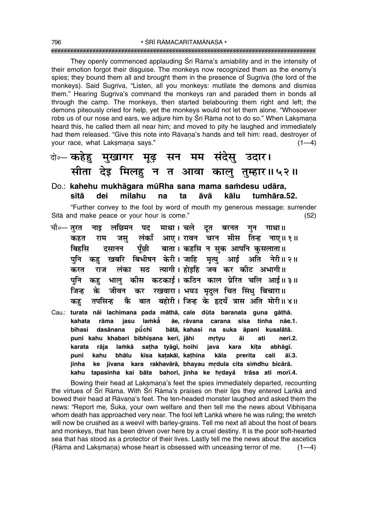They openly commenced applauding Srī Rāma's amiability and in the intensity of their emotion forgot their disguise. The monkeys now recognized them as the enemy's spies; they bound them all and brought them in the presence of Sugriva (the lord of the monkeys). Said Sugrīva, "Listen, all you monkeys: mutilate the demons and dismiss them." Hearing Sugrīva's command the monkeys ran and paraded them in bonds all through the camp. The monkeys, then started belabouring them right and left; the demons piteously cried for help, yet the monkeys would not let them alone. "Whosoever robs us of our nose and ears, we adjure him by Srī Rāma not to do so." When Laksmana heard this, he called them all near him; and moved to pity he laughed and immediately had them released. "Give this note into Rāvana's hands and tell him: read, destroyer of vour race, what Laksmana says."  $(1-4)$ 

### को॰– कहेहु मुखागर मूढ़ सन मम संदेसु उदार। सीता देइ मिलहु न त आवा कालु तुम्हार॥५२॥

#### Do.: kahehu mukhāgara mūRha sana mama samdesu udāra, sītā dei milahu  $t_{\mathbf{a}}$ āvā kālu tumhāra 52. na

"Further convey to the fool by word of mouth my generous message: surrender Sītā and make peace or your hour is come."  $(52)$ 

चौ०— तुरत लछिमन पद माथा। चले दूत बरनत गाथा ॥ नाइ गन लंकाँ आए। रावन चरन सीस तिन्ह नाए॥ १॥ कहत राम जस बिर्हास पँछी बाता। कहसि न सुक आपनि कुसलाता॥ दसानन खबरि बिभीषन केरी।जाहि मृत्यु आई अति नेरी॥२॥ पनि कह त्यागी। होइहि जव कर कीट अभागी॥ लंका सठ करत राज पनि कह भाल् कीस कटकाई । कठिन काल प्रेरित चलि आई॥ ३॥ कर रखवारा। भयउ मृदल चित सिंधु बिचारा॥ जीवन जिन्ह के कै बात बहोरी। जिन्ह के हृदयँ त्रास अति मोरी॥४॥ तपसिन्ह कह Cau.: turata nāi lachimana pada māthā, cale dūta baranata guna gāthā. iasu lamkå kahata rāma ãe. rāvana carana sīsa tinha nāe.1. **bihasi** dasānana pūchī bātā. kahasi na suka āpani kusalātā. puni kahu khabari bibhīsana kerī, jāhi mrtyu āī ati nerī.2. karata rāja lamkā sațha tyāgī, hoihi java abhāgī. kara kīta puni kahu bhālu kīsa katakāī, kathina kāla prerita cali āī.3. ke jīvana kara rakhavārā, bhayau mrdula cita simdhu bicārā. jinha kahu tapasinha kai bāta bahorī, jinha ke hrdayå trāsa ati morī.4.

Bowing their head at Laksmana's feet the spies immediately departed, recounting the virtues of Srī Rāma. With Srī Rāma's praises on their lips they entered Lankā and bowed their head at Rāvana's feet. The ten-headed monster laughed and asked them the news: "Report me, Suka, your own welfare and then tell me the news about Vibhisana whom death has approached very near. The fool left Lanka where he was ruling; the wretch will now be crushed as a weevil with barley-grains. Tell me next all about the host of bears and monkeys, that has been driven over here by a cruel destiny. It is the poor soft-hearted sea that has stood as a protector of their lives. Lastly tell me the news about the ascetics (Rāma and Laksmana) whose heart is obsessed with unceasing terror of me.  $(1-4)$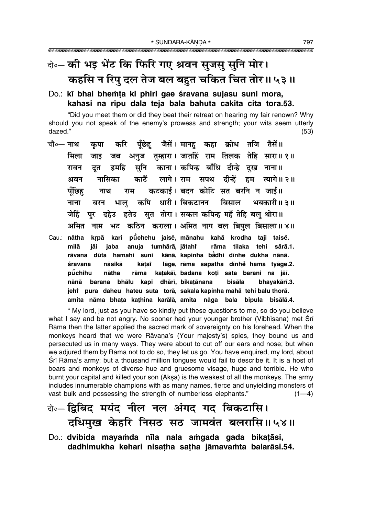# बे- की भइ भेंट कि फिरि गए श्रवन सुजसु सुनि मोर। कहसि न रिपु दल तेज बल बहुत चकित चित तोर॥५३॥

Do.: kī bhai bhemța ki phiri gae śravana sujasu suni mora, kahasi na ripu dala teja bala bahuta cakita cita tora.53.

"Did you meet them or did they beat their retreat on hearing my fair renown? Why should you not speak of the enemy's prowess and strength; your wits seem utterly dazed."  $(53)$ 

- करि पँछेह जैसें। मानह कहा क्रोध तजि तैसें॥ चौ∘— **नाथ** कपा जब अनज तम्हारा। जातहिं राम तिलक तेहि सारा॥१॥ मिला जाड सनि काना। कपिन्ह बाँधि दीन्हे दख नाना॥ रावन दत हमहि काटैं लागे। राम सपथ दीन्हें हम त्यागे॥ २॥ नासिका श्रवन कटकाई। बदन कोटि सत बरनि न जाई॥ पँछिह नाथ राम कपि धारी। बिकटानन बिसाल भयकारी॥ ३॥ नाना बरन भाल पर दहेउ हतेउ सत तोरा। सकल कपिन्ह महँ तेहि बलु थोरा॥ जेहिं अमित नाम भट कठिन कराला। अमित नाग बल बिपल बिसाला॥४॥
- krpā kari pūchehu jaisė, mānahu kahā krodha taji taisė. Cau.: nātha anuja tumhārā, jātahi rāma tilaka tehi sārā.1. milā jāi jaba rāvana dūta hamahi suni kānā, kapinha bādhi dīnhe dukha nānā. nāsikā kātat lāge, rāma sapatha dīnhe hama tvāge.2. śravana pūchihu nātha rāma katakāi, badana koți sata barani na jāī. nānā barana bhālu kapi dhārī, bikatānana bisāla bhavakārī.3. jehř pura daheu hateu suta torā, sakala kapinha mahå tehi balu thorā. amita nāma bhaṭa kaṭhina karālā, amita nāga bala bipula bisālā.4.

" My lord, just as you have so kindly put these questions to me, so do you believe what I say and be not angry. No sooner had your younger brother (Vibhisana) met Sri Rāma then the latter applied the sacred mark of sovereignty on his forehead. When the monkeys heard that we were Rāvana's (Your majesty's) spies, they bound us and persecuted us in many ways. They were about to cut off our ears and nose; but when we adjured them by Rāma not to do so, they let us go. You have enquired, my lord, about Srī Rāma's army; but a thousand million tongues would fail to describe it. It is a host of bears and monkeys of diverse hue and gruesome visage, huge and terrible. He who burnt your capital and killed your son (Aksa) is the weakest of all the monkeys. The army includes innumerable champions with as many names, fierce and unyielding monsters of vast bulk and possessing the strength of numberless elephants."  $(1-4)$ 

# के- द्विबिद मयंद नील नल अंगद गद बिकटासि। दधिमुख केहरि निसठ सठ जामवंत बलरासि॥५४॥

Do.: dvibida mayamda nīla nala amgada gada bikatāsi, dadhimukha kehari nisatha satha jāmavamta balarāsi.54.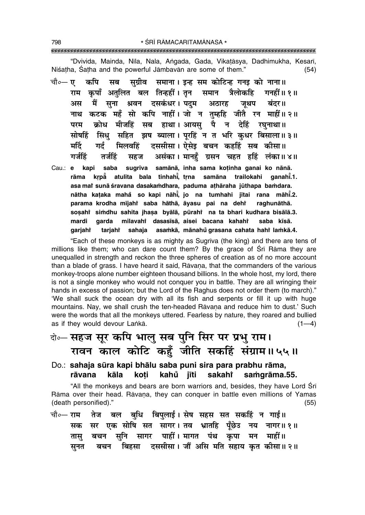"Dvivida, Mainda, Nīla, Nala, Angada, Gada, Vikațāsya, Dadhimukha, Kesarī, Niśatha, Śatha and the powerful Jāmbavān are some of them."  $(54)$ 

- चौ०— **ए** कपि सुग्रीव समाना। इन्ह सम कोटिन्ह गनइ को नाना॥ सब राम कपाँ अतलित बल तिन्हहीं।तन समान त्रैलोकहि ागनहीं ॥ १ ॥ मैं सना श्रवन दसकंधर।पदम अठारह जूथप बंदर॥ अस नाथ कटक महँ सो कपि नाहीं। जो न तुम्हहि जीतै रन माहीं॥२॥ क्रोध मीजहिं सब हाथा। आयसु पै न देहिं रघुनाथा॥ परम सोषहिं सिंध सहित झष ब्याला। परहिं न त भरि कधर बिसाला॥३॥ दससीसा। ऐसेड बचन कहहिं सब कीसा॥ गर्द मर्टि मिलवहिं असंका। मानहँ ग्रसन चहत हहिं लंका॥४॥ गर्जहिं तर्जहिं सहज
- saba sugrīva samānā, inha sama koținha ganai ko nānā. Cau.: e kapi rāma krpå atulita bala tinhahi̇̃, trna samāna trailokahi aanahi.1. asa mar sunā śravana dasakamdhara, paduma athāraha jūthapa bamdara. nātha kaṭaka mahǎ so kapi nāhi, jo na tumhahi jītai rana māhi.2. parama krodha mījahi saba hāthā, āyasu pai na dehi raghunāthā. sosahi simdhu sahita jhasa byālā, pūrahi na ta bhari kudhara bisālā.3. mardi garda milavahi dasasīsā, aisei bacana kahahi saba kīsā. sahaja asamkā, mānahu grasana cahata hahi lamkā.4. garjahr tarjahi

"Each of these monkeys is as mighty as Sugriva (the king) and there are tens of millions like them; who can dare count them? By the grace of Sri Rama they are unequalled in strength and reckon the three spheres of creation as of no more account than a blade of grass. I have heard it said, Ravana, that the commanders of the various monkey-troops alone number eighteen thousand billions. In the whole host, my lord, there is not a single monkey who would not conquer you in battle. They are all wringing their hands in excess of passion; but the Lord of the Raghus does not order them (to march)." 'We shall suck the ocean dry with all its fish and serpents or fill it up with huge mountains. Nay, we shall crush the ten-headed Rāvana and reduce him to dust.' Such were the words that all the monkeys uttered. Fearless by nature, they roared and bullied as if they would devour Lanka.  $(1-4)$ 

# के-सहज सूर कपि भालु सब पुनि सिर पर प्रभु राम। रावन काल कोटि कहुँ जीति सकहिं संग्राम॥५५॥

Do.: sahaja sūra kapi bhālu saba puni sira para prabhu rāma, sakaht rāvana kāla koti kahů jīti samgrāma.55.

"All the monkeys and bears are born warriors and, besides, they have Lord Sri Rāma over their head. Rāvana, they can conquer in battle even millions of Yamas (death personified)."  $(55)$ 

तेज बल बुधि बिपुलाई। सेष सहस सत सकहिं न गाई।। चौ०— राम सर एक सोषि सत सागर।ततव भ्रातहि पूँछेउ नय नागर॥१॥ सक बचन सुनि सागर पाहीं।मागत पंथ कृपा मन माहीं॥ तास बचन बिहसा दससीसा। जौं असि मति सहाय कृत कीसा॥२॥ सूनत

798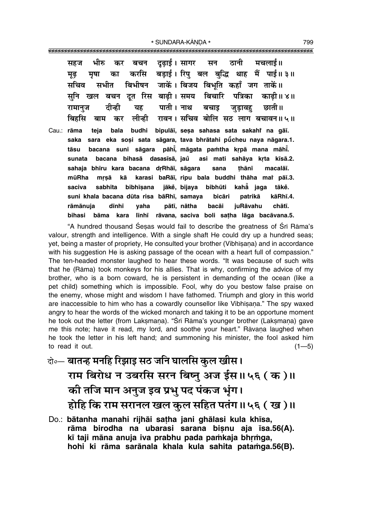भीरु दढाई। सागर ठानी मचलाई।। सन सहज कर बचन करसि बड़ाई। रिप बल बद्धि थाह मैं पाई॥ ३॥ मुढ मषा का बिभीषन जाकें। बिजय बिभुति कहाँ जग ताकें॥ सचिव सभीत दत रिस बाढी। समय बिचारि पत्रिका सनि खल बचन काढी॥ ४॥ पाती । नाथ यह बचाड छाती ॥ रामानज दीन्ही जडावह रावन। सचिव बोलि सठ लाग बचावन॥५॥ लीन्ही बिर्हास बाम कर bipulāī, sesa sahasa sata sakahi na gāī. Cau.: rāma teia bala budhi sara eka soși sata sāgara, tava bhrātahi pūcheu naya nāgara.1. saka tāsu bacana suni sāgara pāhi, māgata pamtha krpā mana māhi. bihasā dasasīsā, jaŭ asi mati sahāya krta kīsā.2. bacana sunata sahaja bhīru kara bacana drRhāī, sāgara sana thānī macalāī. karasi baRāī, ripu bala buddhi thāha mai pāī.3. mūRha mrsā kā saciva sabhīta bibhīsana jākė, bijaya bibhūti kahā jaga tākě. suni khala bacana dūta risa bāRhī, samaya patrikā kāRhī.4. bicāri rāmānuja dīnhī vaha pātī, nātha bacāi juRāvahu chātī.

**bihasi** 

bāma kara

"A hundred thousand Sesas would fail to describe the greatness of Sri Rāma's valour, strength and intelligence. With a single shaft He could dry up a hundred seas; yet, being a master of propriety, He consulted your brother (Vibhisana) and in accordance with his suggestion He is asking passage of the ocean with a heart full of compassion." The ten-headed monster laughed to hear these words. "It was because of such wits that he (Rāma) took monkeys for his allies. That is why, confirming the advice of my brother, who is a born coward, he is persistent in demanding of the ocean (like a pet child) something which is impossible. Fool, why do you bestow false praise on the enemy, whose might and wisdom I have fathomed. Triumph and glory in this world are inaccessible to him who has a cowardly counsellor like Vibhisana." The spy waxed angry to hear the words of the wicked monarch and taking it to be an opportune moment he took out the letter (from Laksmana). "Srī Rāma's younger brother (Laksmana) gave me this note; have it read, my lord, and soothe your heart." Rāvana laughed when he took the letter in his left hand; and summoning his minister, the fool asked him to read it out.  $(1 - 5)$ 

līnhī rāvana, saciva boli satha lāga bacāvana.5.

- केन्चातन्ह मनहि रिझाइ सठ जनि घालसि कुल खीस । राम बिरोध न उबरसि सरन बिष्नु अज ईस॥५६ (क)॥ की तजि मान अनुज इव प्रभु पद पंकज भूंग। होहि कि राम सरानल खल कुल सहित पतंग॥५६ (ख)॥
- Do.: bātanha manahi rijhāi satha jani ghālasi kula khīsa, rāma birodha na ubarasi sarana bisnu aja īsa.56(A). kī taji māna anuja iva prabhu pada pamkaja bhrmga, hohi ki rāma sarānala khala kula sahita patamga.56(B).

799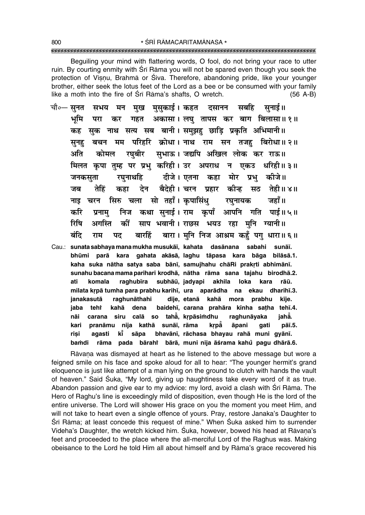Beguiling your mind with flattering words, O fool, do not bring your race to utter ruin. By courting enmity with Sri Rama you will not be spared even though you seek the protection of Visnu, Brahma or Śiva. Therefore, abandoning pride, like your younger brother, either seek the lotus feet of the Lord as a bee or be consumed with your family like a moth into the fire of Sri Rama's shafts, O wretch.  $(56 A-B)$ 

चौ०— सनत मुख मुसुकाई। कहत दसानन सबहि सनाई॥ सभय मन गहत अकासा। लघु तापस कर बाग बिलासा॥१॥ भूमि परा कर सुक नाथ सत्य सब बानी। समुझहु छाड़ि प्रकृति अभिमानी॥ कह मम परिहरि क्रोधा।नाथ राम सन तजह बिरोधा॥२॥ सनह बचन सुभाऊ। जद्यपि अखिल लोक कर राऊ॥ अति कोमल रघबीर मिलत कृपा तुम्ह पर प्रभु करिही। उर अपराध न एकउ धरिही॥३॥ दीजे। एतना कहा मोर प्रभ कीजे॥ जनकसुता रघनार्थाह देन बैदेही। चरन प्रहार कीन्ह सठ तेही॥४॥ जब तेहिं कहा चरन सिरु चला सो तहाँ।कपासिंध जहाँ ॥ रघनायक नाड निज कथा सुनाई। राम कुपाँ आपनि गति पाई॥५॥ करि प्रनाम रिषि कीं साप भवानी। राछस भयउ रहा मुनि ग्यानी॥ अगस्ति बारा। मुनि निज आश्रम कहँ पगु धारा॥६॥ बंदि बारहिं राम पट Cau.: sunata sabhaya mana mukha musukāī, kahata dasānana sabahi sunāī. bhūmi parā kara gahata akāsā, laghu tāpasa kara bāga bilāsā.1. kaha suka nātha satya saba bānī, samujhahu chāRi prakrti abhimānī. sunahu bacana mama parihari krodhā, nātha rāma sana tajahu birodhā.2. raghubīra subhāū, jadyapi akhila ati komala loka kara rāū. milata krpā tumha para prabhu karihī, ura aparādha na ekau dharihī.3.

raghunāthahi dīje, etanā kahā mora prabhu janakasutā kīie. jaba teht kahā dena baidehī, carana prahāra kīnha sațha tehī.4. carana siru calā so tahā, krpāsimdhu nāi raghunāyaka iahẳ. pranāmu nija kathā sunāī, rāma krpå āpani kari qati pāī.5. sāpa bhavānī, rāchasa bhavau rahā muni gyānī. risi agasti kŤ rāma pada bārahi bārā, muni nija āśrama kahů pagu dhārā.6. bamdi

Rāvana was dismayed at heart as he listened to the above message but wore a feigned smile on his face and spoke aloud for all to hear: "The younger hermit's grand eloquence is just like attempt of a man lying on the ground to clutch with hands the vault of heaven." Said Śuka, "My lord, giving up haughtiness take every word of it as true. Abandon passion and give ear to my advice: my lord, avoid a clash with Sri Rāma. The Hero of Raghu's line is exceedingly mild of disposition, even though He is the lord of the entire universe. The Lord will shower His grace on you the moment you meet Him, and will not take to heart even a single offence of yours. Pray, restore Janaka's Daughter to Śrī Rāma; at least concede this request of mine." When Śuka asked him to surrender Videha's Daughter, the wretch kicked him. Suka, however, bowed his head at Rāvaņa's feet and proceeded to the place where the all-merciful Lord of the Raghus was. Making obeisance to the Lord he told Him all about himself and by Rama's grace recovered his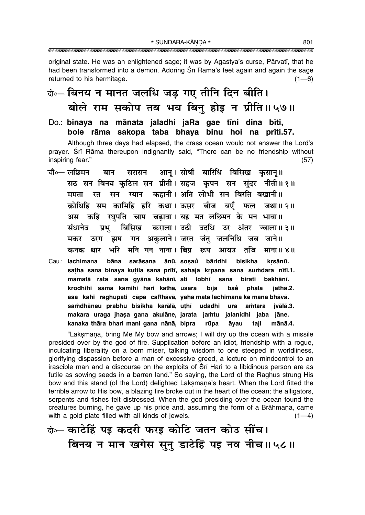original state. He was an enlightened sage; it was by Agastya's curse, Pārvatī, that he had been transformed into a demon. Adoring Srī Rāma's feet again and again the sage returned to his hermitage.  $(1 - 6)$ 

## बे॰- बिनय न मानत जलधि जड़ गए तीनि दिन बीति। बोले राम सकोप तब भय बिन् होइ न प्रीति॥५७॥

Do.: binava na mānata ialadhi iaRa gae tīni dina bīti. bole rāma sakopa taba bhaya binu hoi na prīti.57.

Although three days had elapsed, the crass ocean would not answer the Lord's prayer. Śrī Rāma thereupon indignantly said, "There can be no friendship without inspiring fear."  $(57)$ 

- सरासन आनू। सोषौं बारिधि बिसिख कृसानू॥ चौ०— लछिमन बान सठ सन बिनय कटिल सन प्रीती। सहज कृपन सन संदर नीती॥१॥ सन ग्यान कहानी। अति लोभी सन बिरति बखानी॥ ममता रत क्रोधिहि सम कामिहि हरि कथा। ऊसर बीज बएँ फल जथा॥२॥ अस कहि रघपति चाप चढावा। यह मत लछिमन के मन भावा॥ संधानेउ प्रभ बिसिख कराला। उठी उदधि उर अंतर ज्वाला॥३॥ गन अकलाने। जरत जंत जलनिधि जब जाने॥ मकर उरग झष भरि मनि गन नाना। बिप्र रूप आयउ तजि कनक थार माना ॥ ४॥
- Cau.: lachimana sarāsana ānū, sosaů bāridhi bāna bisikha krsānū. satha sana binaya kutila sana prītī, sahaja krpana sana sumdara nītī.1. mamatā rata sana gyāna kahānī, ati lobhī sana birati bakhānī. krodhihi sama kāmihi hari kathā, ūsara **bīja** baě phala iathā.2. asa kahi raghupati cāpa caRhāvā, yaha mata lachimana ke mana bhāvā. samdhāneu prabhu bisikha karālā, uthī udadhi ura amtara jvālā.3. makara uraga ihasa gana akulāne, jarata jamtu jalanidhi jaba jāne. kanaka thāra bhari mani gana nānā, bipra taji rūpa āyau mānā.4.

"Laksmana, bring Me My bow and arrows; I will dry up the ocean with a missile presided over by the god of fire. Supplication before an idiot, friendship with a roque, inculcating liberality on a born miser, talking wisdom to one steeped in worldliness, glorifying dispassion before a man of excessive greed, a lecture on mindcontrol to an irascible man and a discourse on the exploits of Srī Hari to a libidinous person are as futile as sowing seeds in a barren land." So saying, the Lord of the Raghus strung His bow and this stand (of the Lord) delighted Laksmana's heart. When the Lord fitted the terrible arrow to His bow, a blazing fire broke out in the heart of the ocean; the alligators, serpents and fishes felt distressed. When the god presiding over the ocean found the creatures burning, he gave up his pride and, assuming the form of a Brāhmana, came with a gold plate filled with all kinds of jewels.  $(1-4)$ 

बे- काटेहिं पड़ कदरी फरड़ कोटि जतन कोउ सींच। बिनय न मान खगेस सुनु डाटेहिं पड़ नव नीच॥५८॥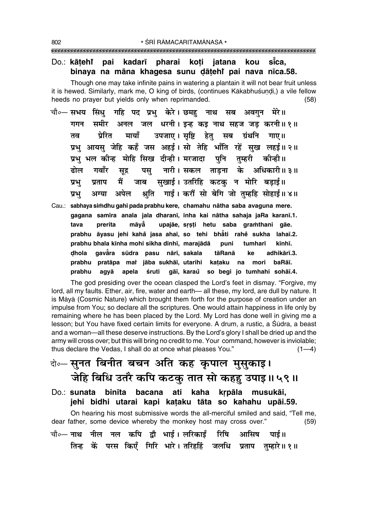#### Do.: kātehr pai kadarī pharai koti jatana kou sīca. binaya na māna khaqesa sunu dātehi pai nava nīca.58.

Though one may take infinite pains in watering a plantain it will not bear fruit unless it is hewed. Similarly, mark me, O king of birds, (continues Kākabhuśundi,) a vile fellow heeds no prayer but yields only when reprimanded.  $(58)$ 

- चौ०— सभय सिंधु गहि पद प्रभु केरे। छमह नाथ सब अवगुन मेरे॥ समीर अनल जल धरनी। इन्ह कइ नाथ सहज जड़ करनी॥१॥ गगन मायाँ उपजाए।सृष्टि हेतु सब ग्रंथनि गाए॥ प्रेरित तव प्रभु आयसु जेहि कहँ जस अहई। सो तेहि भाँति रहें सुख लहई॥२॥ प्रभ भल कीन्ह मोहि सिख दीन्ही। मरजादा पनि तम्हरी कीन्ही ।। पस् नारी।सकल ताडना के अधिकारी॥३॥ ढोल गवाँर सुद्र जाब सखाई। उतरिहि कटक न मोरि बडाई॥ प्रभ मैं प्रताप अपेल श्रति गाई। करौं सो बेगि जो तम्हहि सोहाई॥४॥ अग्या प्रभ
- Cau.: sabhaya simdhu gahi pada prabhu kere, chamahu nātha saba avaguna mere. gagana samīra anala jala dharanī, inha kai nātha sahaja jaRa karanī.1. tava prerita māvå upajāe, srsti hetu saba gramthani gāe. prabhu āyasu jehi kahå jasa ahaī, so tehi bhāti rahe sukha lahaī.2. prabhu bhala kīnha mohi sikha dīnhī, marajādā puni tumharī kīnhī. dhola gavāra sūdra pasu nārī, sakala adhikārī.3. tāRanā ke prabhu pratāpa mai jāba sukhāī, utarihi kataku na mori baRāī. prabhu agyā apela śruti gāi, karaŭ so begi jo tumhahi sohāi.4.

The god presiding over the ocean clasped the Lord's feet in dismay. "Forgive, my lord, all my faults. Ether, air, fire, water and earth-all these, my lord, are dull by nature. It is Māyā (Cosmic Nature) which brought them forth for the purpose of creation under an impulse from You; so declare all the scriptures. One would attain happiness in life only by remaining where he has been placed by the Lord. My Lord has done well in giving me a lesson; but You have fixed certain limits for everyone. A drum, a rustic, a Sūdra, a beast and a woman—all these deserve instructions. By the Lord's glory I shall be dried up and the army will cross over; but this will bring no credit to me. Your command, however is inviolable; thus declare the Vedas, I shall do at once what pleases You."  $(1-4)$ 

# बे॰ सूनत बिनीत बचन अति कह कृपाल मुसूकाइ। जेहि बिधि उतरै कपि कटकु तात सो कहहु उपाइ॥५९॥

Do.: sunata binīta bacana ati kaha krpāla musukāi, jehi bidhi utarai kapi kataku tāta so kahahu upāi.59.

On hearing his most submissive words the all-merciful smiled and said, "Tell me, dear father, some device whereby the monkey host may cross over."  $(59)$ चौ∘— नाथ नील नल कपि द्रौ भाई । लरिकाईं रिषि आसिष पार्ड ॥ तिन्ह कें परस किएँ गिरि भारे। तरिहर्हि जलधि प्रताप तुम्हारे॥१॥

802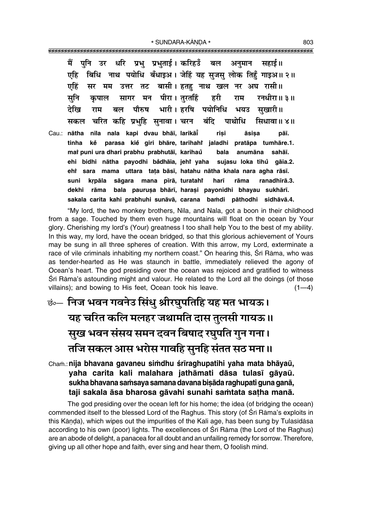पनि उर धरि प्रभ प्रभताई। करिहउँ में बल सहाई ॥ अनमान बिधि नाथ पयोधि बँधाइअ। जेहिं यह सुजसु लोक तिहुँ गाइअ॥२॥ एहि एहिं उत्तर तट बासी। हतह नाथ खल नर अघ रासी॥ सर मम मन पीरा। तरतहिं सनि हरी रनधीरा॥ ३॥ सागर राम कपाल देखि भारी। हरषि पयोनिधि पौरुष राम बल भयउ सखारी॥ चरित कहि प्रभुहि सुनावा। चरन बंदि पाथोधि सिधावा ॥ ४ ॥ सकल Cau.: nātha nīla nala kapi dvau bhāī, larikāi risi āsisa pāī.

parasa kie qiri bhare, tarihahi jaladhi pratapa tumhare.1. tinha kě mai puni ura dhari prabhu prabhutāī, karihaŭ bala anumāna sahāī. ehi bidhi nātha payodhi bådhāia, jehř yaha sujasu loka tihů gāia.2. sara mama uttara tata bāsī, hatahu nātha khala nara agha rāsī. ehr sāgara mana pīrā, turatahī suni krpāla harī rāma ranadhīrā.3. dekhi rāma bala paurusa bhārī, harasi payonidhi bhayau sukhārī. sakala carita kahi prabhuhi sunāvā, carana bamdi pāthodhi sidhāvā.4.

"My lord, the two monkey brothers, Nila, and Nala, got a boon in their childhood from a sage. Touched by them even huge mountains will float on the ocean by Your glory. Cherishing my lord's (Your) greatness I too shall help You to the best of my ability. In this way, my lord, have the ocean bridged, so that this glorious achievement of Yours may be sung in all three spheres of creation. With this arrow, my Lord, exterminate a race of vile criminals inhabiting my northern coast." On hearing this, Srī Rāma, who was as tender-hearted as He was staunch in battle, immediately relieved the agony of Ocean's heart. The god presiding over the ocean was rejoiced and gratified to witness Śrī Rāma's astounding might and valour. He related to the Lord all the doings (of those villains); and bowing to His feet, Ocean took his leave.  $(1-4)$ 

# ಕುಂ— निज भवन गवनेउ सिंधु श्रीरघुपतिहि यह मत भायऊ। यह चरित कलि मलहर जथामति दास तुलसी गायऊ॥ सुख भवन संसय समन दवन बिषाद रघुपति गुन गना। तजि सकल आस भरोस गावहि सुनहि संतत सठ मना ॥

### Cham.: nija bhavana gavaneu simdhu śrīraghupatihi yaha mata bhāyaū, yaha carita kali malahara jathāmati dāsa tulasī gāyaū. sukha bhavana samsaya samana davana bisāda raghupati guna ganā, taji sakala āsa bharosa gāvahi sunahi samtata satha manā.

The god presiding over the ocean left for his home; the idea (of bridging the ocean) commended itself to the blessed Lord of the Raghus. This story (of Srī Rāma's exploits in this Kānda), which wipes out the impurities of the Kali age, has been sung by Tulasīdāsa according to his own (poor) lights. The excellences of Srī Rāma (the Lord of the Raghus) are an abode of delight, a panacea for all doubt and an unfailing remedy for sorrow. Therefore, giving up all other hope and faith, ever sing and hear them, O foolish mind.